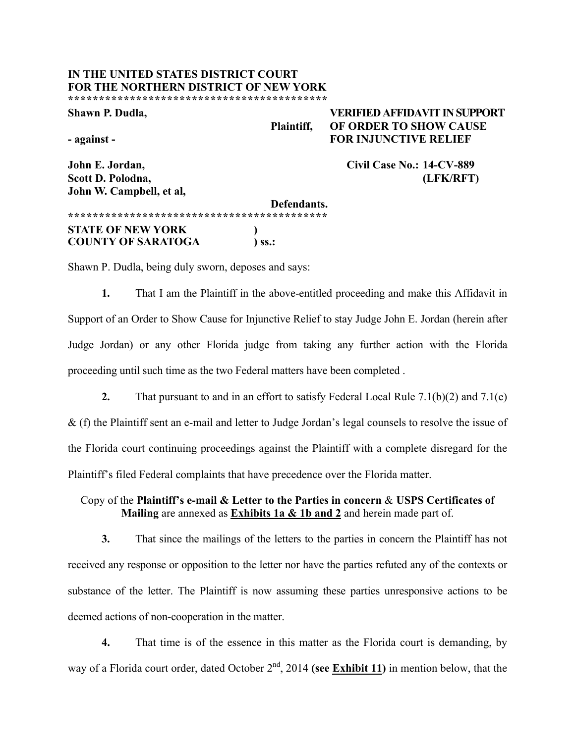#### **IN THE UNITED STATES DISTRICT COURT FOR THE NORTHERN DISTRICT OF NEW YORK \*\*\*\*\*\*\*\*\*\*\*\*\*\*\*\*\*\*\*\*\*\*\*\*\*\*\*\*\*\*\*\*\*\*\*\*\*\*\*\*\*\***

**Shawn P. Dudla, VERIFIED AFFIDAVIT IN SUPPORT Plaintiff, OF ORDER TO SHOW CAUSE - against - FOR INJUNCTIVE RELIEF**

**John E. Jordan, Civil Case No.: 14-CV-889 Scott D. Polodna, (LFK/RFT)**

**John W. Campbell, et al, Defendants. \*\*\*\*\*\*\*\*\*\*\*\*\*\*\*\*\*\*\*\*\*\*\*\*\*\*\*\*\*\*\*\*\*\*\*\*\*\*\*\*\*\* STATE OF NEW YORK ) COUNTY OF SARATOGA** 

Shawn P. Dudla, being duly sworn, deposes and says:

**1.** That I am the Plaintiff in the above-entitled proceeding and make this Affidavit in Support of an Order to Show Cause for Injunctive Relief to stay Judge John E. Jordan (herein after Judge Jordan) or any other Florida judge from taking any further action with the Florida proceeding until such time as the two Federal matters have been completed .

**2.** That pursuant to and in an effort to satisfy Federal Local Rule 7.1(b)(2) and 7.1(e) & (f) the Plaintiff sent an e-mail and letter to Judge Jordan's legal counsels to resolve the issue of the Florida court continuing proceedings against the Plaintiff with a complete disregard for the Plaintiff's filed Federal complaints that have precedence over the Florida matter.

Copy of the **Plaintiff's e-mail & Letter to the Parties in concern** & **USPS Certificates of Mailing** are annexed as **Exhibits 1a & 1b and 2** and herein made part of.

**3.** That since the mailings of the letters to the parties in concern the Plaintiff has not received any response or opposition to the letter nor have the parties refuted any of the contexts or substance of the letter. The Plaintiff is now assuming these parties unresponsive actions to be deemed actions of non-cooperation in the matter.

**4.** That time is of the essence in this matter as the Florida court is demanding, by way of a Florida court order, dated October 2<sup>nd</sup>, 2014 **(see Exhibit 11)** in mention below, that the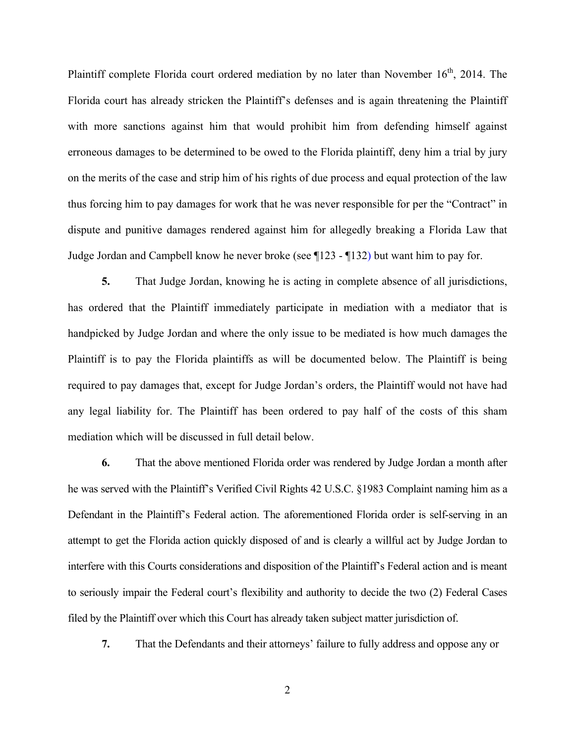Plaintiff complete Florida court ordered mediation by no later than November  $16<sup>th</sup>$ , 2014. The Florida court has already stricken the Plaintiff's defenses and is again threatening the Plaintiff with more sanctions against him that would prohibit him from defending himself against erroneous damages to be determined to be owed to the Florida plaintiff, deny him a trial by jury on the merits of the case and strip him of his rights of due process and equal protection of the law thus forcing him to pay damages for work that he was never responsible for per the "Contract" in dispute and punitive damages rendered against him for allegedly breaking a Florida Law that Judge Jordan and Campbell know he never broke (see ¶123 - ¶132) but want him to pay for.

**5.** That Judge Jordan, knowing he is acting in complete absence of all jurisdictions, has ordered that the Plaintiff immediately participate in mediation with a mediator that is handpicked by Judge Jordan and where the only issue to be mediated is how much damages the Plaintiff is to pay the Florida plaintiffs as will be documented below. The Plaintiff is being required to pay damages that, except for Judge Jordan's orders, the Plaintiff would not have had any legal liability for. The Plaintiff has been ordered to pay half of the costs of this sham mediation which will be discussed in full detail below.

**6.** That the above mentioned Florida order was rendered by Judge Jordan a month after he was served with the Plaintiff's Verified Civil Rights 42 U.S.C. §1983 Complaint naming him as a Defendant in the Plaintiff's Federal action. The aforementioned Florida order is self-serving in an attempt to get the Florida action quickly disposed of and is clearly a willful act by Judge Jordan to interfere with this Courts considerations and disposition of the Plaintiff's Federal action and is meant to seriously impair the Federal court's flexibility and authority to decide the two (2) Federal Cases filed by the Plaintiff over which this Court has already taken subject matter jurisdiction of.

**7.** That the Defendants and their attorneys' failure to fully address and oppose any or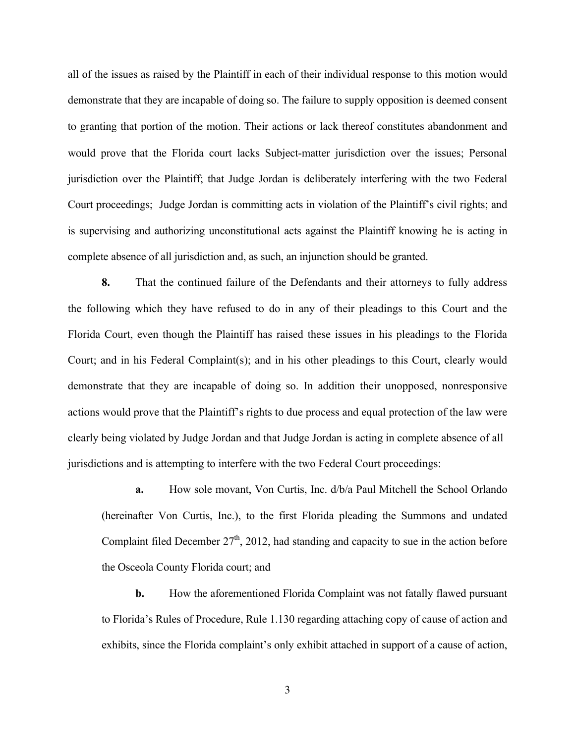all of the issues as raised by the Plaintiff in each of their individual response to this motion would demonstrate that they are incapable of doing so. The failure to supply opposition is deemed consent to granting that portion of the motion. Their actions or lack thereof constitutes abandonment and would prove that the Florida court lacks Subject-matter jurisdiction over the issues; Personal jurisdiction over the Plaintiff; that Judge Jordan is deliberately interfering with the two Federal Court proceedings; Judge Jordan is committing acts in violation of the Plaintiff's civil rights; and is supervising and authorizing unconstitutional acts against the Plaintiff knowing he is acting in complete absence of all jurisdiction and, as such, an injunction should be granted.

**8.** That the continued failure of the Defendants and their attorneys to fully address the following which they have refused to do in any of their pleadings to this Court and the Florida Court, even though the Plaintiff has raised these issues in his pleadings to the Florida Court; and in his Federal Complaint(s); and in his other pleadings to this Court, clearly would demonstrate that they are incapable of doing so. In addition their unopposed, nonresponsive actions would prove that the Plaintiff's rights to due process and equal protection of the law were clearly being violated by Judge Jordan and that Judge Jordan is acting in complete absence of all jurisdictions and is attempting to interfere with the two Federal Court proceedings:

**a.** How sole movant, Von Curtis, Inc. d/b/a Paul Mitchell the School Orlando (hereinafter Von Curtis, Inc.), to the first Florida pleading the Summons and undated Complaint filed December  $27<sup>th</sup>$ , 2012, had standing and capacity to sue in the action before the Osceola County Florida court; and

**b.** How the aforementioned Florida Complaint was not fatally flawed pursuant to Florida's Rules of Procedure, Rule 1.130 regarding attaching copy of cause of action and exhibits, since the Florida complaint's only exhibit attached in support of a cause of action,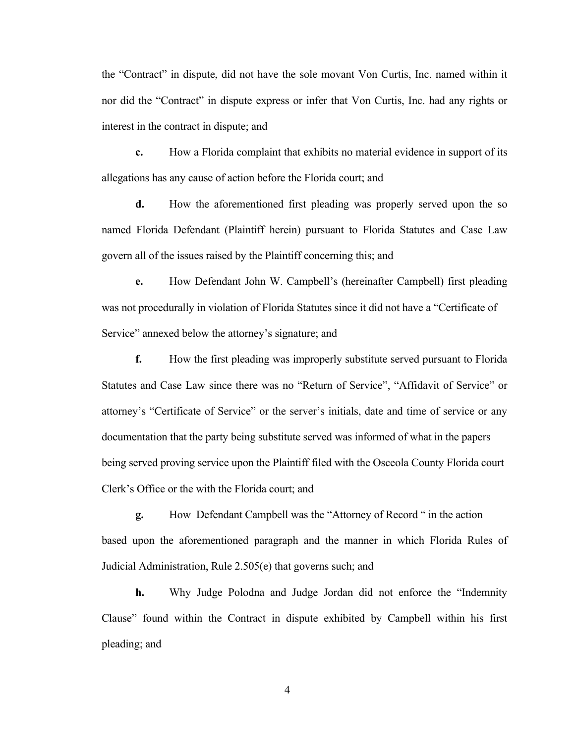the "Contract" in dispute, did not have the sole movant Von Curtis, Inc. named within it nor did the "Contract" in dispute express or infer that Von Curtis, Inc. had any rights or interest in the contract in dispute; and

**c.** How a Florida complaint that exhibits no material evidence in support of its allegations has any cause of action before the Florida court; and

**d.** How the aforementioned first pleading was properly served upon the so named Florida Defendant (Plaintiff herein) pursuant to Florida Statutes and Case Law govern all of the issues raised by the Plaintiff concerning this; and

**e.** How Defendant John W. Campbell's (hereinafter Campbell) first pleading was not procedurally in violation of Florida Statutes since it did not have a "Certificate of Service" annexed below the attorney's signature; and

**f.** How the first pleading was improperly substitute served pursuant to Florida Statutes and Case Law since there was no "Return of Service", "Affidavit of Service" or attorney's "Certificate of Service" or the server's initials, date and time of service or any documentation that the party being substitute served was informed of what in the papers being served proving service upon the Plaintiff filed with the Osceola County Florida court Clerk's Office or the with the Florida court; and

**g.** How Defendant Campbell was the "Attorney of Record " in the action based upon the aforementioned paragraph and the manner in which Florida Rules of Judicial Administration, Rule 2.505(e) that governs such; and

**h.** Why Judge Polodna and Judge Jordan did not enforce the "Indemnity Clause" found within the Contract in dispute exhibited by Campbell within his first pleading; and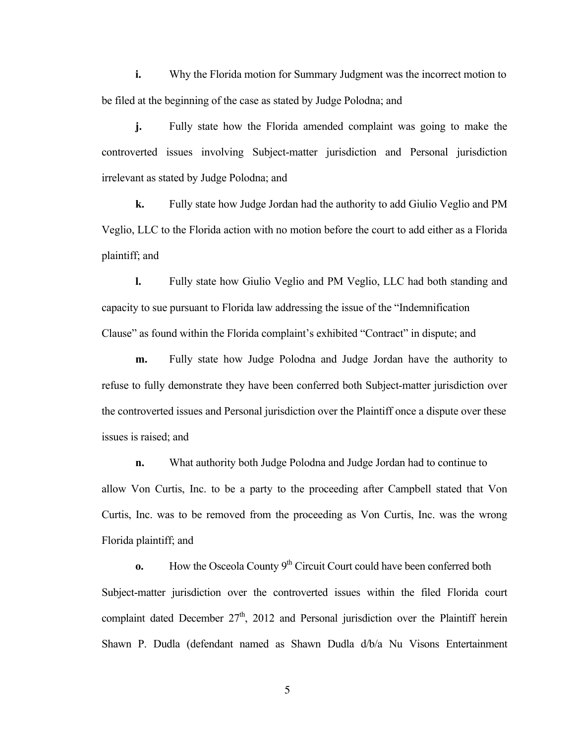**i.** Why the Florida motion for Summary Judgment was the incorrect motion to be filed at the beginning of the case as stated by Judge Polodna; and

**j.** Fully state how the Florida amended complaint was going to make the controverted issues involving Subject-matter jurisdiction and Personal jurisdiction irrelevant as stated by Judge Polodna; and

**k.** Fully state how Judge Jordan had the authority to add Giulio Veglio and PM Veglio, LLC to the Florida action with no motion before the court to add either as a Florida plaintiff; and

**l.** Fully state how Giulio Veglio and PM Veglio, LLC had both standing and capacity to sue pursuant to Florida law addressing the issue of the "Indemnification Clause" as found within the Florida complaint's exhibited "Contract" in dispute; and

**m.** Fully state how Judge Polodna and Judge Jordan have the authority to refuse to fully demonstrate they have been conferred both Subject-matter jurisdiction over the controverted issues and Personal jurisdiction over the Plaintiff once a dispute over these issues is raised; and

**n.** What authority both Judge Polodna and Judge Jordan had to continue to allow Von Curtis, Inc. to be a party to the proceeding after Campbell stated that Von Curtis, Inc. was to be removed from the proceeding as Von Curtis, Inc. was the wrong Florida plaintiff; and

**o.** How the Osceola County  $9<sup>th</sup>$  Circuit Court could have been conferred both Subject-matter jurisdiction over the controverted issues within the filed Florida court complaint dated December  $27<sup>th</sup>$ , 2012 and Personal jurisdiction over the Plaintiff herein Shawn P. Dudla (defendant named as Shawn Dudla d/b/a Nu Visons Entertainment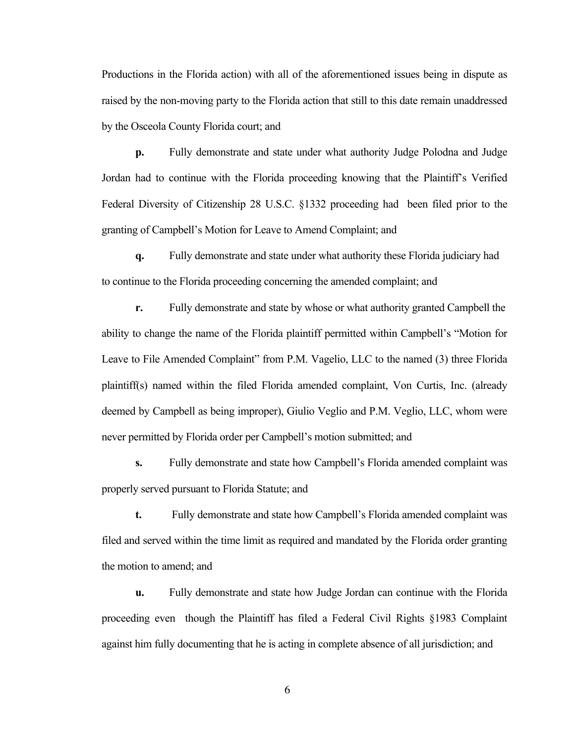Productions in the Florida action) with all of the aforementioned issues being in dispute as raised by the non-moving party to the Florida action that still to this date remain unaddressed by the Osceola County Florida court; and

**p.** Fully demonstrate and state under what authority Judge Polodna and Judge Jordan had to continue with the Florida proceeding knowing that the Plaintiff's Verified Federal Diversity of Citizenship 28 U.S.C. §1332 proceeding had been filed prior to the granting of Campbell's Motion for Leave to Amend Complaint; and

**q.** Fully demonstrate and state under what authority these Florida judiciary had to continue to the Florida proceeding concerning the amended complaint; and

**r.** Fully demonstrate and state by whose or what authority granted Campbell the ability to change the name of the Florida plaintiff permitted within Campbell's "Motion for Leave to File Amended Complaint" from P.M. Vagelio, LLC to the named (3) three Florida plaintiff(s) named within the filed Florida amended complaint, Von Curtis, Inc. (already deemed by Campbell as being improper), Giulio Veglio and P.M. Veglio, LLC, whom were never permitted by Florida order per Campbell's motion submitted; and

**s.** Fully demonstrate and state how Campbell's Florida amended complaint was properly served pursuant to Florida Statute; and

**t.** Fully demonstrate and state how Campbell's Florida amended complaint was filed and served within the time limit as required and mandated by the Florida order granting the motion to amend; and

**u.** Fully demonstrate and state how Judge Jordan can continue with the Florida proceeding even though the Plaintiff has filed a Federal Civil Rights §1983 Complaint against him fully documenting that he is acting in complete absence of all jurisdiction; and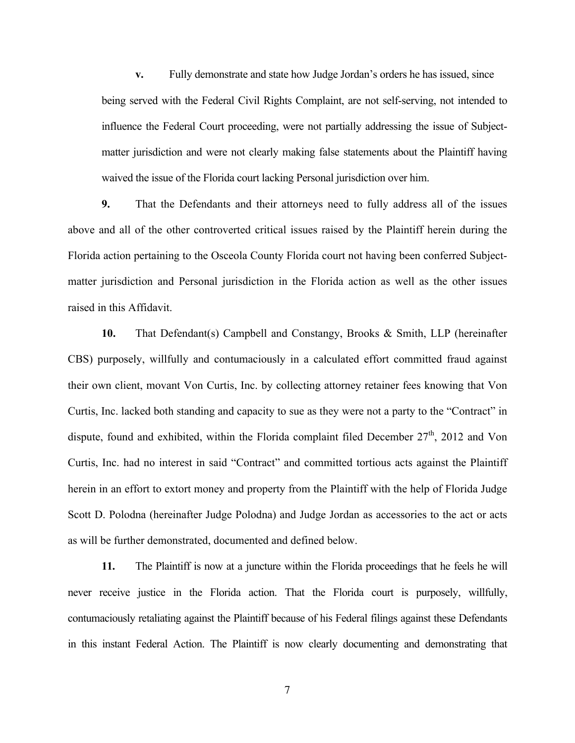**v.** Fully demonstrate and state how Judge Jordan's orders he has issued, since being served with the Federal Civil Rights Complaint, are not self-serving, not intended to influence the Federal Court proceeding, were not partially addressing the issue of Subjectmatter jurisdiction and were not clearly making false statements about the Plaintiff having waived the issue of the Florida court lacking Personal jurisdiction over him.

**9.** That the Defendants and their attorneys need to fully address all of the issues above and all of the other controverted critical issues raised by the Plaintiff herein during the Florida action pertaining to the Osceola County Florida court not having been conferred Subjectmatter jurisdiction and Personal jurisdiction in the Florida action as well as the other issues raised in this Affidavit.

**10.** That Defendant(s) Campbell and Constangy, Brooks & Smith, LLP (hereinafter CBS) purposely, willfully and contumaciously in a calculated effort committed fraud against their own client, movant Von Curtis, Inc. by collecting attorney retainer fees knowing that Von Curtis, Inc. lacked both standing and capacity to sue as they were not a party to the "Contract" in dispute, found and exhibited, within the Florida complaint filed December  $27<sup>th</sup>$ , 2012 and Von Curtis, Inc. had no interest in said "Contract" and committed tortious acts against the Plaintiff herein in an effort to extort money and property from the Plaintiff with the help of Florida Judge Scott D. Polodna (hereinafter Judge Polodna) and Judge Jordan as accessories to the act or acts as will be further demonstrated, documented and defined below.

**11.** The Plaintiff is now at a juncture within the Florida proceedings that he feels he will never receive justice in the Florida action. That the Florida court is purposely, willfully, contumaciously retaliating against the Plaintiff because of his Federal filings against these Defendants in this instant Federal Action. The Plaintiff is now clearly documenting and demonstrating that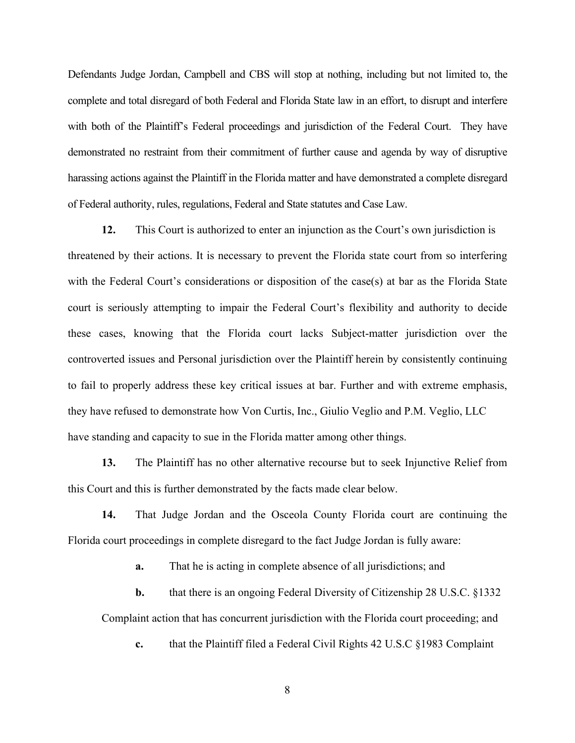Defendants Judge Jordan, Campbell and CBS will stop at nothing, including but not limited to, the complete and total disregard of both Federal and Florida State law in an effort, to disrupt and interfere with both of the Plaintiff's Federal proceedings and jurisdiction of the Federal Court. They have demonstrated no restraint from their commitment of further cause and agenda by way of disruptive harassing actions against the Plaintiff in the Florida matter and have demonstrated a complete disregard of Federal authority, rules, regulations, Federal and State statutes and Case Law.

**12.** This Court is authorized to enter an injunction as the Court's own jurisdiction is threatened by their actions. It is necessary to prevent the Florida state court from so interfering with the Federal Court's considerations or disposition of the case(s) at bar as the Florida State court is seriously attempting to impair the Federal Court's flexibility and authority to decide these cases, knowing that the Florida court lacks Subject-matter jurisdiction over the controverted issues and Personal jurisdiction over the Plaintiff herein by consistently continuing to fail to properly address these key critical issues at bar. Further and with extreme emphasis, they have refused to demonstrate how Von Curtis, Inc., Giulio Veglio and P.M. Veglio, LLC have standing and capacity to sue in the Florida matter among other things.

**13.** The Plaintiff has no other alternative recourse but to seek Injunctive Relief from this Court and this is further demonstrated by the facts made clear below.

**14.** That Judge Jordan and the Osceola County Florida court are continuing the Florida court proceedings in complete disregard to the fact Judge Jordan is fully aware:

**a.** That he is acting in complete absence of all jurisdictions; and

**b.** that there is an ongoing Federal Diversity of Citizenship 28 U.S.C. §1332 Complaint action that has concurrent jurisdiction with the Florida court proceeding; and

**c.** that the Plaintiff filed a Federal Civil Rights 42 U.S.C §1983 Complaint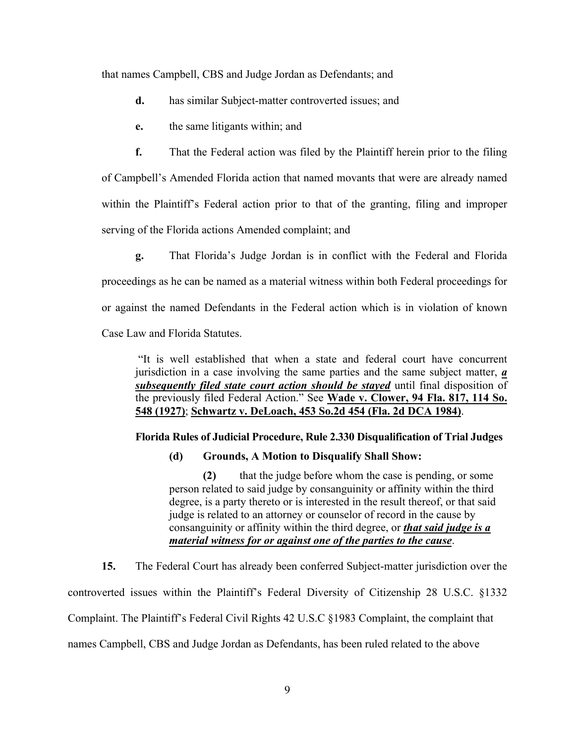that names Campbell, CBS and Judge Jordan as Defendants; and

- **d.** has similar Subject-matter controverted issues; and
- **e.** the same litigants within; and

**f.** That the Federal action was filed by the Plaintiff herein prior to the filing of Campbell's Amended Florida action that named movants that were are already named within the Plaintiff's Federal action prior to that of the granting, filing and improper serving of the Florida actions Amended complaint; and

**g.** That Florida's Judge Jordan is in conflict with the Federal and Florida proceedings as he can be named as a material witness within both Federal proceedings for or against the named Defendants in the Federal action which is in violation of known Case Law and Florida Statutes.

"It is well established that when a state and federal court have concurrent jurisdiction in a case involving the same parties and the same subject matter, *a subsequently filed state court action should be stayed* until final disposition of the previously filed Federal Action." See **Wade v. Clower, 94 Fla. 817, 114 So. 548 (1927)**; **Schwartz v. DeLoach, 453 So.2d 454 (Fla. 2d DCA 1984)**.

#### **Florida Rules of Judicial Procedure, Rule 2.330 Disqualification of Trial Judges**

#### **(d) Grounds, A Motion to Disqualify Shall Show:**

**(2)** that the judge before whom the case is pending, or some person related to said judge by consanguinity or affinity within the third degree, is a party thereto or is interested in the result thereof, or that said judge is related to an attorney or counselor of record in the cause by consanguinity or affinity within the third degree, or *that said judge is a material witness for or against one of the parties to the cause*.

**15.** The Federal Court has already been conferred Subject-matter jurisdiction over the controverted issues within the Plaintiff's Federal Diversity of Citizenship 28 U.S.C. §1332 Complaint. The Plaintiff's Federal Civil Rights 42 U.S.C §1983 Complaint, the complaint that names Campbell, CBS and Judge Jordan as Defendants, has been ruled related to the above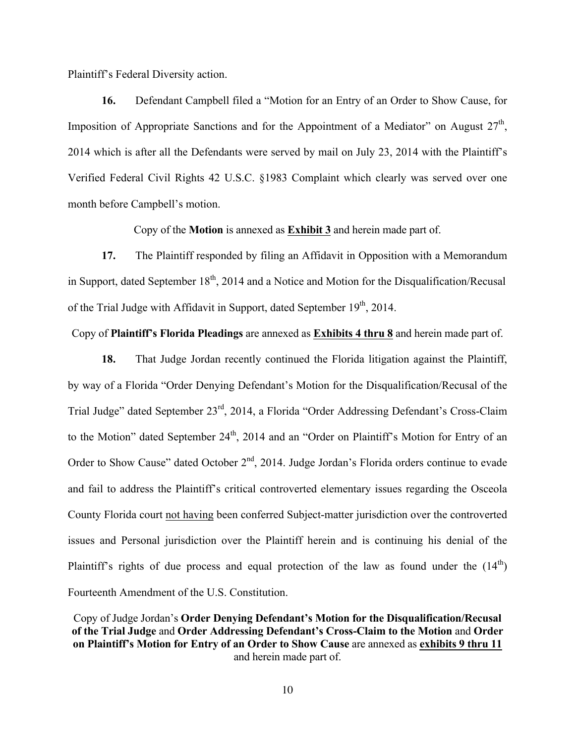Plaintiff's Federal Diversity action.

**16.** Defendant Campbell filed a "Motion for an Entry of an Order to Show Cause, for Imposition of Appropriate Sanctions and for the Appointment of a Mediator" on August  $27<sup>th</sup>$ , 2014 which is after all the Defendants were served by mail on July 23, 2014 with the Plaintiff's Verified Federal Civil Rights 42 U.S.C. §1983 Complaint which clearly was served over one month before Campbell's motion.

Copy of the **Motion** is annexed as **Exhibit 3** and herein made part of.

**17.** The Plaintiff responded by filing an Affidavit in Opposition with a Memorandum in Support, dated September  $18<sup>th</sup>$ , 2014 and a Notice and Motion for the Disqualification/Recusal of the Trial Judge with Affidavit in Support, dated September  $19<sup>th</sup>$ , 2014.

Copy of **Plaintiff's Florida Pleadings** are annexed as **Exhibits 4 thru 8** and herein made part of.

**18.** That Judge Jordan recently continued the Florida litigation against the Plaintiff, by way of a Florida "Order Denying Defendant's Motion for the Disqualification/Recusal of the Trial Judge" dated September 23rd, 2014, a Florida "Order Addressing Defendant's Cross-Claim to the Motion" dated September 24<sup>th</sup>, 2014 and an "Order on Plaintiff's Motion for Entry of an Order to Show Cause" dated October  $2<sup>nd</sup>$ , 2014. Judge Jordan's Florida orders continue to evade and fail to address the Plaintiff's critical controverted elementary issues regarding the Osceola County Florida court not having been conferred Subject-matter jurisdiction over the controverted issues and Personal jurisdiction over the Plaintiff herein and is continuing his denial of the Plaintiff's rights of due process and equal protection of the law as found under the  $(14<sup>th</sup>)$ Fourteenth Amendment of the U.S. Constitution.

Copy of Judge Jordan's **Order Denying Defendant's Motion for the Disqualification/Recusal of the Trial Judge** and **Order Addressing Defendant's Cross-Claim to the Motion** and **Order on Plaintiff's Motion for Entry of an Order to Show Cause** are annexed as **exhibits 9 thru 11** and herein made part of.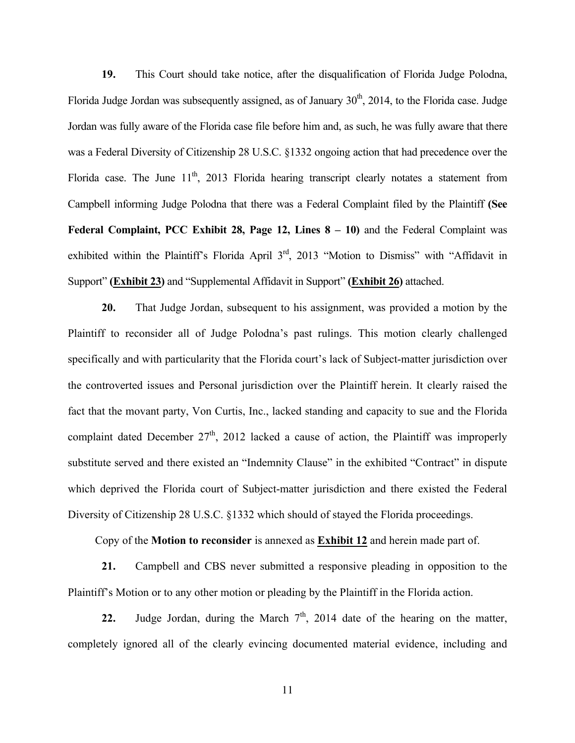**19.** This Court should take notice, after the disqualification of Florida Judge Polodna, Florida Judge Jordan was subsequently assigned, as of January  $30<sup>th</sup>$ , 2014, to the Florida case. Judge Jordan was fully aware of the Florida case file before him and, as such, he was fully aware that there was a Federal Diversity of Citizenship 28 U.S.C. §1332 ongoing action that had precedence over the Florida case. The June  $11<sup>th</sup>$ , 2013 Florida hearing transcript clearly notates a statement from Campbell informing Judge Polodna that there was a Federal Complaint filed by the Plaintiff **(See Federal Complaint, PCC Exhibit 28, Page 12, Lines 8 – 10)** and the Federal Complaint was exhibited within the Plaintiff's Florida April 3<sup>rd</sup>, 2013 "Motion to Dismiss" with "Affidavit in Support" **(Exhibit 23)** and "Supplemental Affidavit in Support" **(Exhibit 26)** attached.

**20.** That Judge Jordan, subsequent to his assignment, was provided a motion by the Plaintiff to reconsider all of Judge Polodna's past rulings. This motion clearly challenged specifically and with particularity that the Florida court's lack of Subject-matter jurisdiction over the controverted issues and Personal jurisdiction over the Plaintiff herein. It clearly raised the fact that the movant party, Von Curtis, Inc., lacked standing and capacity to sue and the Florida complaint dated December  $27<sup>th</sup>$ , 2012 lacked a cause of action, the Plaintiff was improperly substitute served and there existed an "Indemnity Clause" in the exhibited "Contract" in dispute which deprived the Florida court of Subject-matter jurisdiction and there existed the Federal Diversity of Citizenship 28 U.S.C. §1332 which should of stayed the Florida proceedings.

Copy of the **Motion to reconsider** is annexed as **Exhibit 12** and herein made part of.

**21.** Campbell and CBS never submitted a responsive pleading in opposition to the Plaintiff's Motion or to any other motion or pleading by the Plaintiff in the Florida action.

**22.** Judge Jordan, during the March  $7<sup>th</sup>$ , 2014 date of the hearing on the matter, completely ignored all of the clearly evincing documented material evidence, including and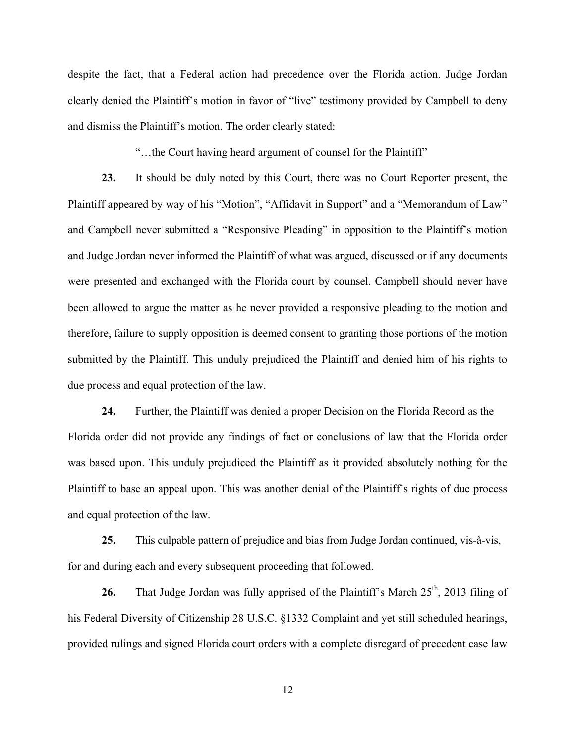despite the fact, that a Federal action had precedence over the Florida action. Judge Jordan clearly denied the Plaintiff's motion in favor of "live" testimony provided by Campbell to deny and dismiss the Plaintiff's motion. The order clearly stated:

"…the Court having heard argument of counsel for the Plaintiff"

**23.** It should be duly noted by this Court, there was no Court Reporter present, the Plaintiff appeared by way of his "Motion", "Affidavit in Support" and a "Memorandum of Law" and Campbell never submitted a "Responsive Pleading" in opposition to the Plaintiff's motion and Judge Jordan never informed the Plaintiff of what was argued, discussed or if any documents were presented and exchanged with the Florida court by counsel. Campbell should never have been allowed to argue the matter as he never provided a responsive pleading to the motion and therefore, failure to supply opposition is deemed consent to granting those portions of the motion submitted by the Plaintiff. This unduly prejudiced the Plaintiff and denied him of his rights to due process and equal protection of the law.

**24.** Further, the Plaintiff was denied a proper Decision on the Florida Record as the Florida order did not provide any findings of fact or conclusions of law that the Florida order was based upon. This unduly prejudiced the Plaintiff as it provided absolutely nothing for the Plaintiff to base an appeal upon. This was another denial of the Plaintiff's rights of due process and equal protection of the law.

**25.** This culpable pattern of prejudice and bias from Judge Jordan continued, vis-à-vis, for and during each and every subsequent proceeding that followed.

**26.** That Judge Jordan was fully apprised of the Plaintiff's March 25<sup>th</sup>, 2013 filing of his Federal Diversity of Citizenship 28 U.S.C. §1332 Complaint and yet still scheduled hearings, provided rulings and signed Florida court orders with a complete disregard of precedent case law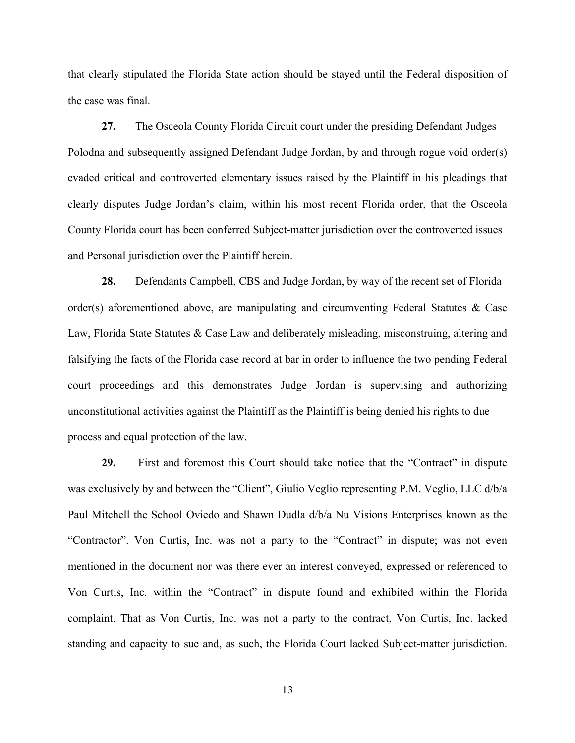that clearly stipulated the Florida State action should be stayed until the Federal disposition of the case was final.

**27.** The Osceola County Florida Circuit court under the presiding Defendant Judges Polodna and subsequently assigned Defendant Judge Jordan, by and through rogue void order(s) evaded critical and controverted elementary issues raised by the Plaintiff in his pleadings that clearly disputes Judge Jordan's claim, within his most recent Florida order, that the Osceola County Florida court has been conferred Subject-matter jurisdiction over the controverted issues and Personal jurisdiction over the Plaintiff herein.

**28.** Defendants Campbell, CBS and Judge Jordan, by way of the recent set of Florida order(s) aforementioned above, are manipulating and circumventing Federal Statutes & Case Law, Florida State Statutes & Case Law and deliberately misleading, misconstruing, altering and falsifying the facts of the Florida case record at bar in order to influence the two pending Federal court proceedings and this demonstrates Judge Jordan is supervising and authorizing unconstitutional activities against the Plaintiff as the Plaintiff is being denied his rights to due process and equal protection of the law.

**29.** First and foremost this Court should take notice that the "Contract" in dispute was exclusively by and between the "Client", Giulio Veglio representing P.M. Veglio, LLC d/b/a Paul Mitchell the School Oviedo and Shawn Dudla d/b/a Nu Visions Enterprises known as the "Contractor". Von Curtis, Inc. was not a party to the "Contract" in dispute; was not even mentioned in the document nor was there ever an interest conveyed, expressed or referenced to Von Curtis, Inc. within the "Contract" in dispute found and exhibited within the Florida complaint. That as Von Curtis, Inc. was not a party to the contract, Von Curtis, Inc. lacked standing and capacity to sue and, as such, the Florida Court lacked Subject-matter jurisdiction.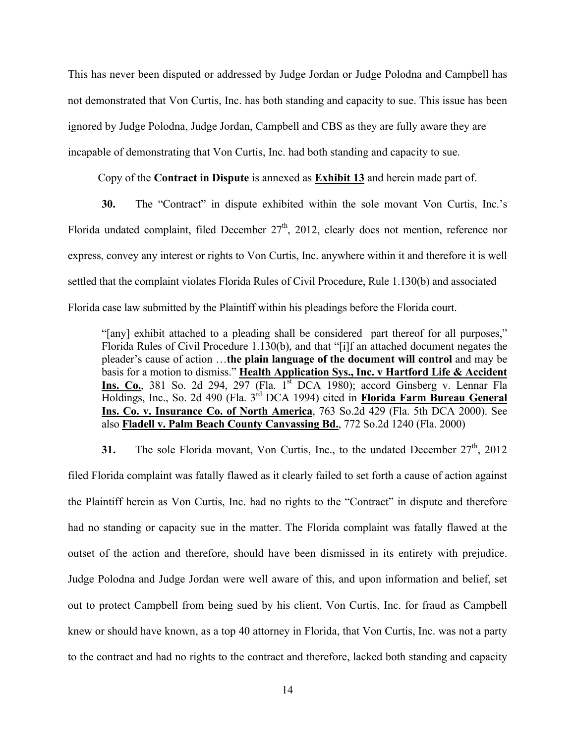This has never been disputed or addressed by Judge Jordan or Judge Polodna and Campbell has not demonstrated that Von Curtis, Inc. has both standing and capacity to sue. This issue has been ignored by Judge Polodna, Judge Jordan, Campbell and CBS as they are fully aware they are incapable of demonstrating that Von Curtis, Inc. had both standing and capacity to sue.

Copy of the **Contract in Dispute** is annexed as **Exhibit 13** and herein made part of.

**30.** The "Contract" in dispute exhibited within the sole movant Von Curtis, Inc.'s Florida undated complaint, filed December 27<sup>th</sup>, 2012, clearly does not mention, reference nor express, convey any interest or rights to Von Curtis, Inc. anywhere within it and therefore it is well settled that the complaint violates Florida Rules of Civil Procedure, Rule 1.130(b) and associated Florida case law submitted by the Plaintiff within his pleadings before the Florida court.

"[any] exhibit attached to a pleading shall be considered part thereof for all purposes," Florida Rules of Civil Procedure 1.130(b), and that "[i]f an attached document negates the pleader's cause of action …**the plain language of the document will control** and may be basis for a motion to dismiss." **Health Application Sys., Inc. v Hartford Life & Accident** Ins. Co., 381 So. 2d 294, 297 (Fla. 1<sup>st</sup> DCA 1980); accord Ginsberg v. Lennar Fla Holdings, Inc., So. 2d 490 (Fla. 3rd DCA 1994) cited in **Florida Farm Bureau General Ins. Co. v. Insurance Co. of North America**, 763 So.2d 429 (Fla. 5th DCA 2000). See also **Fladell v. Palm Beach County Canvassing Bd.**, 772 So.2d 1240 (Fla. 2000)

**31.** The sole Florida movant, Von Curtis, Inc., to the undated December 27<sup>th</sup>, 2012 filed Florida complaint was fatally flawed as it clearly failed to set forth a cause of action against the Plaintiff herein as Von Curtis, Inc. had no rights to the "Contract" in dispute and therefore had no standing or capacity sue in the matter. The Florida complaint was fatally flawed at the outset of the action and therefore, should have been dismissed in its entirety with prejudice. Judge Polodna and Judge Jordan were well aware of this, and upon information and belief, set out to protect Campbell from being sued by his client, Von Curtis, Inc. for fraud as Campbell knew or should have known, as a top 40 attorney in Florida, that Von Curtis, Inc. was not a party to the contract and had no rights to the contract and therefore, lacked both standing and capacity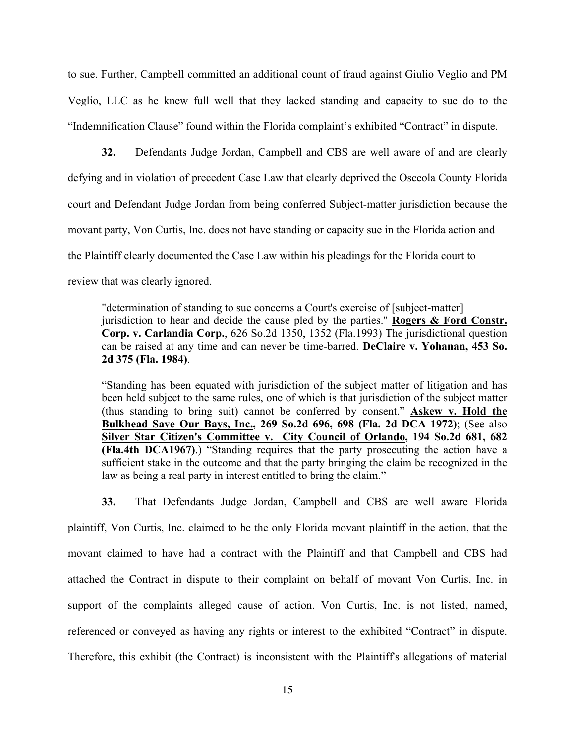to sue. Further, Campbell committed an additional count of fraud against Giulio Veglio and PM Veglio, LLC as he knew full well that they lacked standing and capacity to sue do to the "Indemnification Clause" found within the Florida complaint's exhibited "Contract" in dispute.

**32.** Defendants Judge Jordan, Campbell and CBS are well aware of and are clearly defying and in violation of precedent Case Law that clearly deprived the Osceola County Florida court and Defendant Judge Jordan from being conferred Subject-matter jurisdiction because the movant party, Von Curtis, Inc. does not have standing or capacity sue in the Florida action and the Plaintiff clearly documented the Case Law within his pleadings for the Florida court to review that was clearly ignored.

"determination of standing to sue concerns a Court's exercise of [subject-matter] jurisdiction to hear and decide the cause pled by the parties." **Rogers & Ford Constr. Corp. v. Carlandia Corp.**, 626 So.2d 1350, 1352 (Fla.1993) The jurisdictional question can be raised at any time and can never be time-barred. **DeClaire v. Yohanan, 453 So. 2d 375 (Fla. 1984)**.

"Standing has been equated with jurisdiction of the subject matter of litigation and has been held subject to the same rules, one of which is that jurisdiction of the subject matter (thus standing to bring suit) cannot be conferred by consent." **Askew v. Hold the Bulkhead Save Our Bays, Inc., 269 So.2d 696, 698 (Fla. 2d DCA 1972)**; (See also **Silver Star Citizen's Committee v. City Council of Orlando, 194 So.2d 681, 682 (Fla.4th DCA1967)**.) "Standing requires that the party prosecuting the action have a sufficient stake in the outcome and that the party bringing the claim be recognized in the law as being a real party in interest entitled to bring the claim."

**33.** That Defendants Judge Jordan, Campbell and CBS are well aware Florida plaintiff, Von Curtis, Inc. claimed to be the only Florida movant plaintiff in the action, that the movant claimed to have had a contract with the Plaintiff and that Campbell and CBS had attached the Contract in dispute to their complaint on behalf of movant Von Curtis, Inc. in support of the complaints alleged cause of action. Von Curtis, Inc. is not listed, named, referenced or conveyed as having any rights or interest to the exhibited "Contract" in dispute. Therefore, this exhibit (the Contract) is inconsistent with the Plaintiff's allegations of material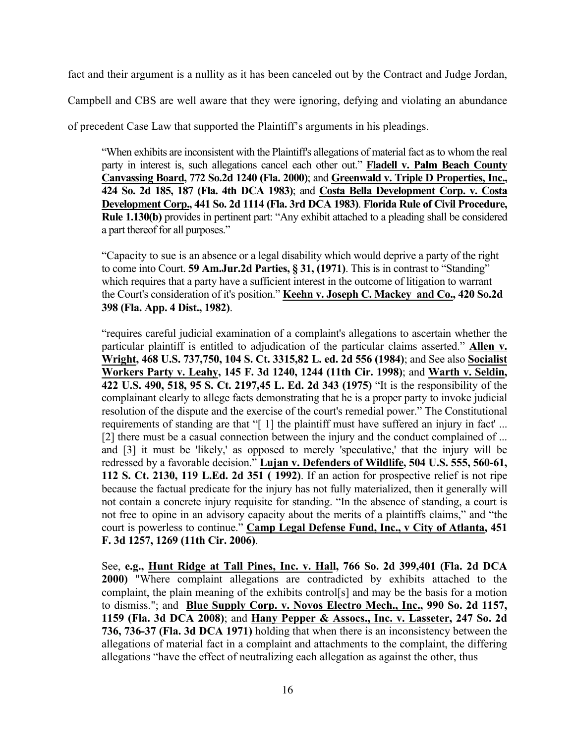fact and their argument is a nullity as it has been canceled out by the Contract and Judge Jordan,

Campbell and CBS are well aware that they were ignoring, defying and violating an abundance

of precedent Case Law that supported the Plaintiff's arguments in his pleadings.

"When exhibits are inconsistent with the Plaintiff's allegations of material fact as to whom the real party in interest is, such allegations cancel each other out." **Fladell v. Palm Beach County Canvassing Board, 772 So.2d 1240 (Fla. 2000)**; and **Greenwald v. Triple D Properties, Inc., 424 So. 2d 185, 187 (Fla. 4th DCA 1983)**; and **Costa Bella Development Corp. v. Costa Development Corp., 441 So. 2d 1114 (Fla. 3rd DCA 1983)**. **Florida Rule of Civil Procedure, Rule 1.130(b)** provides in pertinent part: "Any exhibit attached to a pleading shall be considered a part thereof for all purposes."

"Capacity to sue is an absence or a legal disability which would deprive a party of the right to come into Court. **59 Am.Jur.2d Parties, § 31, (1971)**. This is in contrast to "Standing" which requires that a party have a sufficient interest in the outcome of litigation to warrant the Court's consideration of it's position." **Keehn v. Joseph C. Mackey and Co., 420 So.2d 398 (Fla. App. 4 Dist., 1982)**.

"requires careful judicial examination of a complaint's allegations to ascertain whether the particular plaintiff is entitled to adjudication of the particular claims asserted." **Allen v. Wright, 468 U.S. 737,750, 104 S. Ct. 3315,82 L. ed. 2d 556 (1984)**; and See also **Socialist Workers Party v. Leahy, 145 F. 3d 1240, 1244 (11th Cir. 1998)**; and **Warth v. Seldin, 422 U.S. 490, 518, 95 S. Ct. 2197,45 L. Ed. 2d 343 (1975)** "It is the responsibility of the complainant clearly to allege facts demonstrating that he is a proper party to invoke judicial resolution of the dispute and the exercise of the court's remedial power." The Constitutional requirements of standing are that "[1] the plaintiff must have suffered an injury in fact'... [2] there must be a casual connection between the injury and the conduct complained of ... and [3] it must be 'likely,' as opposed to merely 'speculative,' that the injury will be redressed by a favorable decision." **Lujan v. Defenders of Wildlife, 504 U.S. 555, 560-61, 112 S. Ct. 2130, 119 L.Ed. 2d 351 ( 1992)**. If an action for prospective relief is not ripe because the factual predicate for the injury has not fully materialized, then it generally will not contain a concrete injury requisite for standing. "In the absence of standing, a court is not free to opine in an advisory capacity about the merits of a plaintiffs claims," and "the court is powerless to continue." **Camp Legal Defense Fund, Inc., v City of Atlanta, 451 F. 3d 1257, 1269 (11th Cir. 2006)**.

See, **e.g., Hunt Ridge at Tall Pines, Inc. v. Hall, 766 So. 2d 399,401 (Fla. 2d DCA 2000)** "Where complaint allegations are contradicted by exhibits attached to the complaint, the plain meaning of the exhibits control[s] and may be the basis for a motion to dismiss."; and **Blue Supply Corp. v. Novos Electro Mech., Inc., 990 So. 2d 1157, 1159 (Fla. 3d DCA 2008)**; and **Hany Pepper & Assocs., Inc. v. Lasseter, 247 So. 2d 736, 736-37 (Fla. 3d DCA 1971)** holding that when there is an inconsistency between the allegations of material fact in a complaint and attachments to the complaint, the differing allegations "have the effect of neutralizing each allegation as against the other, thus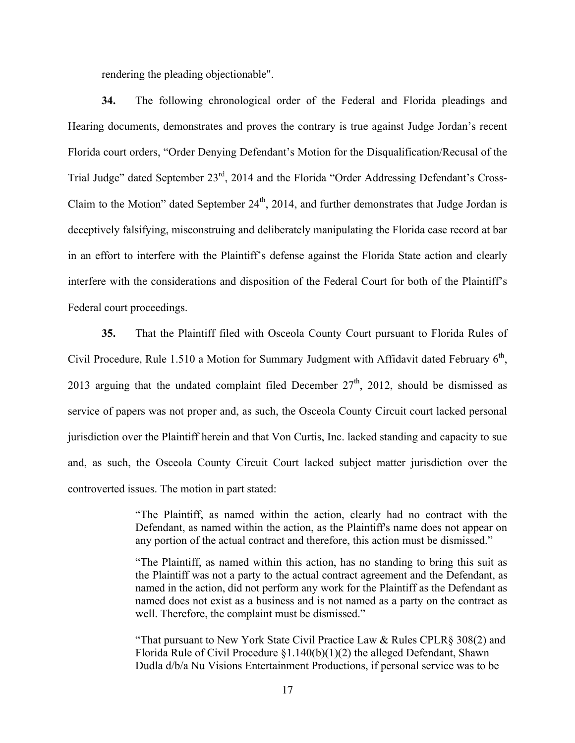rendering the pleading objectionable".

**34.** The following chronological order of the Federal and Florida pleadings and Hearing documents, demonstrates and proves the contrary is true against Judge Jordan's recent Florida court orders, "Order Denying Defendant's Motion for the Disqualification/Recusal of the Trial Judge" dated September 23rd, 2014 and the Florida "Order Addressing Defendant's Cross-Claim to the Motion" dated September  $24<sup>th</sup>$ , 2014, and further demonstrates that Judge Jordan is deceptively falsifying, misconstruing and deliberately manipulating the Florida case record at bar in an effort to interfere with the Plaintiff's defense against the Florida State action and clearly interfere with the considerations and disposition of the Federal Court for both of the Plaintiff's Federal court proceedings.

**35.** That the Plaintiff filed with Osceola County Court pursuant to Florida Rules of Civil Procedure, Rule 1.510 a Motion for Summary Judgment with Affidavit dated February 6<sup>th</sup>, 2013 arguing that the undated complaint filed December  $27<sup>th</sup>$ , 2012, should be dismissed as service of papers was not proper and, as such, the Osceola County Circuit court lacked personal jurisdiction over the Plaintiff herein and that Von Curtis, Inc. lacked standing and capacity to sue and, as such, the Osceola County Circuit Court lacked subject matter jurisdiction over the controverted issues. The motion in part stated:

> "The Plaintiff, as named within the action, clearly had no contract with the Defendant, as named within the action, as the Plaintiff's name does not appear on any portion of the actual contract and therefore, this action must be dismissed."

> "The Plaintiff, as named within this action, has no standing to bring this suit as the Plaintiff was not a party to the actual contract agreement and the Defendant, as named in the action, did not perform any work for the Plaintiff as the Defendant as named does not exist as a business and is not named as a party on the contract as well. Therefore, the complaint must be dismissed."

> "That pursuant to New York State Civil Practice Law & Rules CPLR§ 308(2) and Florida Rule of Civil Procedure  $\S1.140(b)(1)(2)$  the alleged Defendant, Shawn Dudla d/b/a Nu Visions Entertainment Productions, if personal service was to be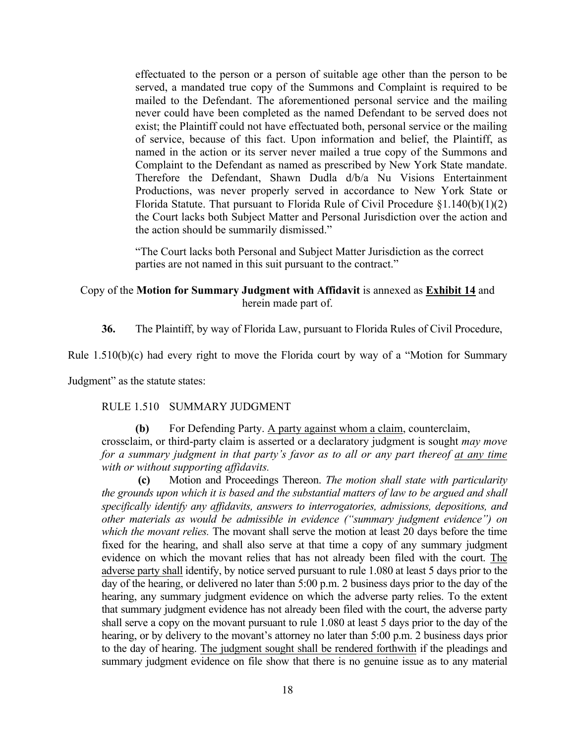effectuated to the person or a person of suitable age other than the person to be served, a mandated true copy of the Summons and Complaint is required to be mailed to the Defendant. The aforementioned personal service and the mailing never could have been completed as the named Defendant to be served does not exist; the Plaintiff could not have effectuated both, personal service or the mailing of service, because of this fact. Upon information and belief, the Plaintiff, as named in the action or its server never mailed a true copy of the Summons and Complaint to the Defendant as named as prescribed by New York State mandate. Therefore the Defendant, Shawn Dudla d/b/a Nu Visions Entertainment Productions, was never properly served in accordance to New York State or Florida Statute. That pursuant to Florida Rule of Civil Procedure §1.140(b)(1)(2) the Court lacks both Subject Matter and Personal Jurisdiction over the action and the action should be summarily dismissed."

"The Court lacks both Personal and Subject Matter Jurisdiction as the correct parties are not named in this suit pursuant to the contract."

#### Copy of the **Motion for Summary Judgment with Affidavit** is annexed as **Exhibit 14** and herein made part of.

**36.** The Plaintiff, by way of Florida Law, pursuant to Florida Rules of Civil Procedure,

Rule 1.510(b)(c) had every right to move the Florida court by way of a "Motion for Summary

Judgment" as the statute states:

#### RULE 1.510 SUMMARY JUDGMENT

**(b)** For Defending Party. A party against whom a claim, counterclaim, crossclaim, or third-party claim is asserted or a declaratory judgment is sought *may move for a summary judgment in that party's favor as to all or any part thereof at any time with or without supporting affidavits.*

**(c)** Motion and Proceedings Thereon. *The motion shall state with particularity the grounds upon which it is based and the substantial matters of law to be argued and shall specifically identify any affidavits, answers to interrogatories, admissions, depositions, and other materials as would be admissible in evidence ("summary judgment evidence") on which the movant relies.* The movant shall serve the motion at least 20 days before the time fixed for the hearing, and shall also serve at that time a copy of any summary judgment evidence on which the movant relies that has not already been filed with the court. The adverse party shall identify, by notice served pursuant to rule 1.080 at least 5 days prior to the day of the hearing, or delivered no later than 5:00 p.m. 2 business days prior to the day of the hearing, any summary judgment evidence on which the adverse party relies. To the extent that summary judgment evidence has not already been filed with the court, the adverse party shall serve a copy on the movant pursuant to rule 1.080 at least 5 days prior to the day of the hearing, or by delivery to the movant's attorney no later than 5:00 p.m. 2 business days prior to the day of hearing. The judgment sought shall be rendered forthwith if the pleadings and summary judgment evidence on file show that there is no genuine issue as to any material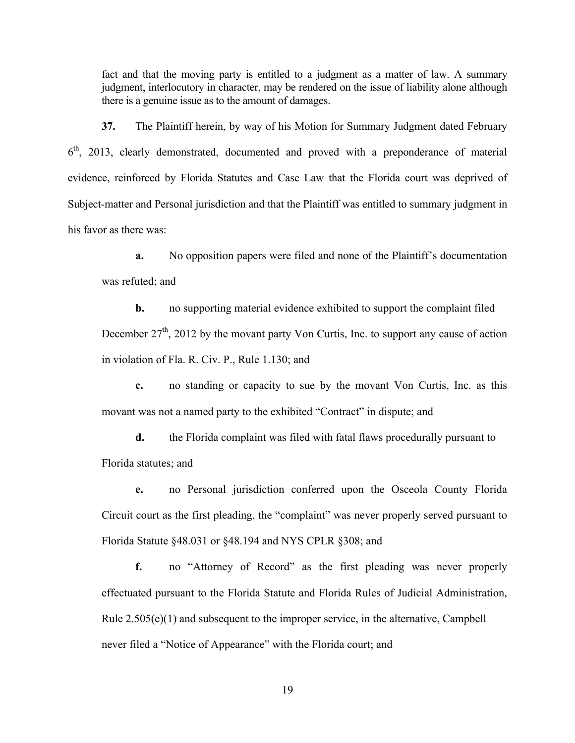fact and that the moving party is entitled to a judgment as a matter of law. A summary judgment, interlocutory in character, may be rendered on the issue of liability alone although there is a genuine issue as to the amount of damages.

**37.** The Plaintiff herein, by way of his Motion for Summary Judgment dated February  $6<sup>th</sup>$ , 2013, clearly demonstrated, documented and proved with a preponderance of material evidence, reinforced by Florida Statutes and Case Law that the Florida court was deprived of Subject-matter and Personal jurisdiction and that the Plaintiff was entitled to summary judgment in his favor as there was:

**a.** No opposition papers were filed and none of the Plaintiff's documentation was refuted; and

**b.** no supporting material evidence exhibited to support the complaint filed December  $27<sup>th</sup>$ , 2012 by the movant party Von Curtis, Inc. to support any cause of action in violation of Fla. R. Civ. P., Rule 1.130; and

**c.** no standing or capacity to sue by the movant Von Curtis, Inc. as this movant was not a named party to the exhibited "Contract" in dispute; and

**d.** the Florida complaint was filed with fatal flaws procedurally pursuant to Florida statutes; and

**e.** no Personal jurisdiction conferred upon the Osceola County Florida Circuit court as the first pleading, the "complaint" was never properly served pursuant to Florida Statute §48.031 or §48.194 and NYS CPLR §308; and

**f.** no "Attorney of Record" as the first pleading was never properly effectuated pursuant to the Florida Statute and Florida Rules of Judicial Administration, Rule 2.505(e)(1) and subsequent to the improper service, in the alternative, Campbell never filed a "Notice of Appearance" with the Florida court; and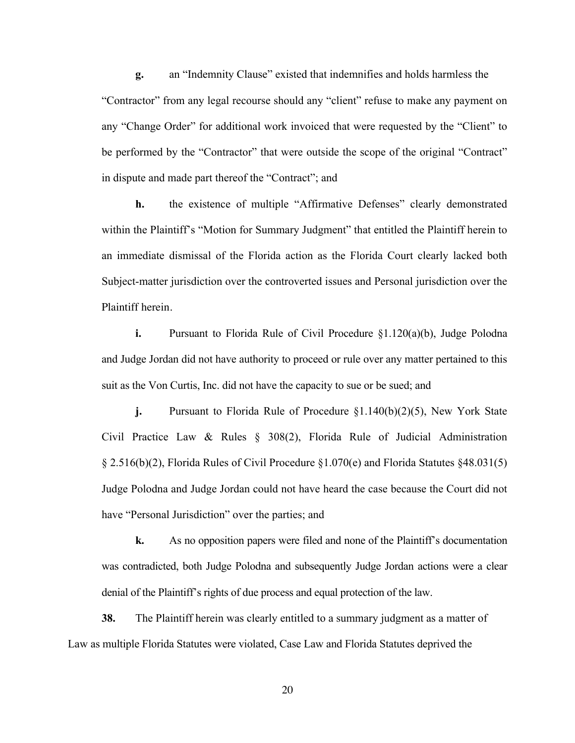**g.** an "Indemnity Clause" existed that indemnifies and holds harmless the "Contractor" from any legal recourse should any "client" refuse to make any payment on any "Change Order" for additional work invoiced that were requested by the "Client" to be performed by the "Contractor" that were outside the scope of the original "Contract" in dispute and made part thereof the "Contract"; and

**h.** the existence of multiple "Affirmative Defenses" clearly demonstrated within the Plaintiff's "Motion for Summary Judgment" that entitled the Plaintiff herein to an immediate dismissal of the Florida action as the Florida Court clearly lacked both Subject-matter jurisdiction over the controverted issues and Personal jurisdiction over the Plaintiff herein.

**i.** Pursuant to Florida Rule of Civil Procedure §1.120(a)(b), Judge Polodna and Judge Jordan did not have authority to proceed or rule over any matter pertained to this suit as the Von Curtis, Inc. did not have the capacity to sue or be sued; and

**j.** Pursuant to Florida Rule of Procedure §1.140(b)(2)(5), New York State Civil Practice Law & Rules § 308(2), Florida Rule of Judicial Administration § 2.516(b)(2), Florida Rules of Civil Procedure §1.070(e) and Florida Statutes §48.031(5) Judge Polodna and Judge Jordan could not have heard the case because the Court did not have "Personal Jurisdiction" over the parties; and

**k.** As no opposition papers were filed and none of the Plaintiff's documentation was contradicted, both Judge Polodna and subsequently Judge Jordan actions were a clear denial of the Plaintiff's rights of due process and equal protection of the law.

**38.** The Plaintiff herein was clearly entitled to a summary judgment as a matter of Law as multiple Florida Statutes were violated, Case Law and Florida Statutes deprived the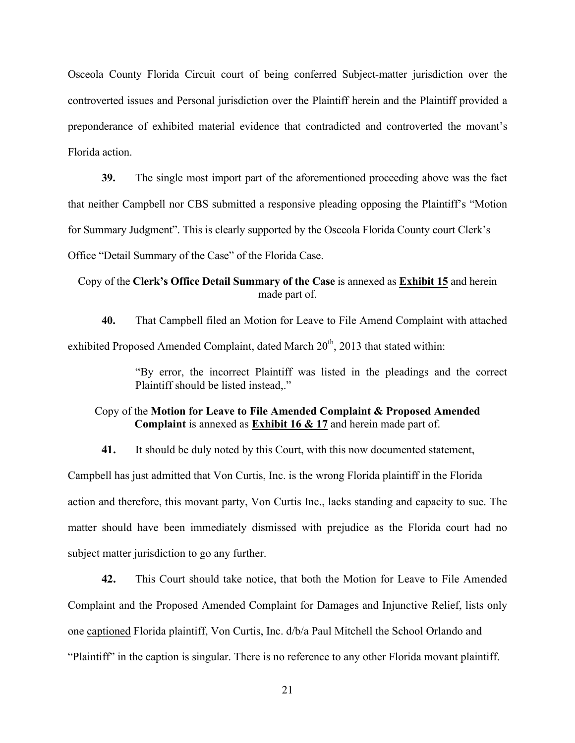Osceola County Florida Circuit court of being conferred Subject-matter jurisdiction over the controverted issues and Personal jurisdiction over the Plaintiff herein and the Plaintiff provided a preponderance of exhibited material evidence that contradicted and controverted the movant's Florida action.

**39.** The single most import part of the aforementioned proceeding above was the fact that neither Campbell nor CBS submitted a responsive pleading opposing the Plaintiff's "Motion for Summary Judgment". This is clearly supported by the Osceola Florida County court Clerk's Office "Detail Summary of the Case" of the Florida Case.

Copy of the **Clerk's Office Detail Summary of the Case** is annexed as **Exhibit 15** and herein made part of.

**40.** That Campbell filed an Motion for Leave to File Amend Complaint with attached exhibited Proposed Amended Complaint, dated March  $20<sup>th</sup>$ , 2013 that stated within:

> "By error, the incorrect Plaintiff was listed in the pleadings and the correct Plaintiff should be listed instead,."

## Copy of the **Motion for Leave to File Amended Complaint & Proposed Amended Complaint** is annexed as **Exhibit 16 & 17** and herein made part of.

**41.** It should be duly noted by this Court, with this now documented statement,

Campbell has just admitted that Von Curtis, Inc. is the wrong Florida plaintiff in the Florida action and therefore, this movant party, Von Curtis Inc., lacks standing and capacity to sue. The matter should have been immediately dismissed with prejudice as the Florida court had no subject matter jurisdiction to go any further.

**42.** This Court should take notice, that both the Motion for Leave to File Amended Complaint and the Proposed Amended Complaint for Damages and Injunctive Relief, lists only one captioned Florida plaintiff, Von Curtis, Inc. d/b/a Paul Mitchell the School Orlando and "Plaintiff" in the caption is singular. There is no reference to any other Florida movant plaintiff.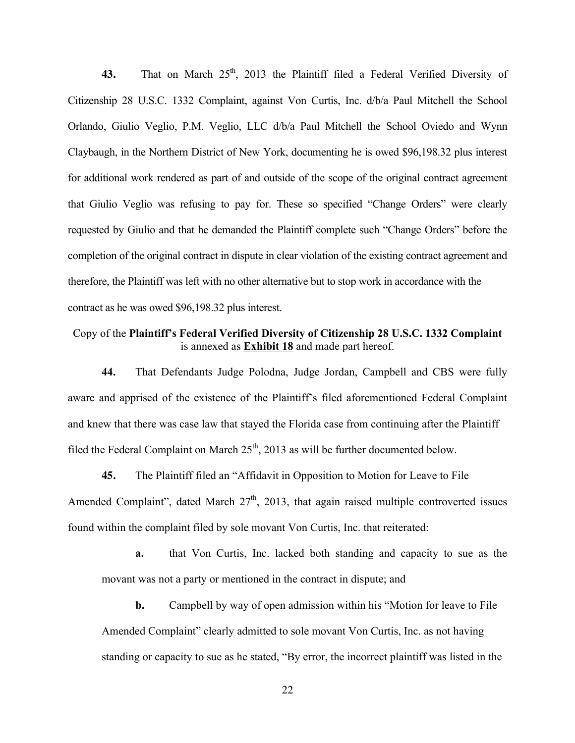**43.** That on March  $25<sup>th</sup>$ , 2013 the Plaintiff filed a Federal Verified Diversity of Citizenship 28 U.S.C. 1332 Complaint, against Von Curtis, Inc. d/b/a Paul Mitchell the School Orlando, Giulio Veglio, P.M. Veglio, LLC d/b/a Paul Mitchell the School Oviedo and Wynn Claybaugh, in the Northern District of New York, documenting he is owed \$96,198.32 plus interest for additional work rendered as part of and outside of the scope of the original contract agreement that Giulio Veglio was refusing to pay for. These so specified "Change Orders" were clearly requested by Giulio and that he demanded the Plaintiff complete such "Change Orders" before the completion of the original contract in dispute in clear violation of the existing contract agreement and therefore, the Plaintiff was left with no other alternative but to stop work in accordance with the contract as he was owed \$96,198.32 plus interest.

# Copy of the **Plaintiff's Federal Verified Diversity of Citizenship 28 U.S.C. 1332 Complaint** is annexed as **Exhibit 18** and made part hereof.

**44.** That Defendants Judge Polodna, Judge Jordan, Campbell and CBS were fully aware and apprised of the existence of the Plaintiff's filed aforementioned Federal Complaint and knew that there was case law that stayed the Florida case from continuing after the Plaintiff filed the Federal Complaint on March  $25<sup>th</sup>$ , 2013 as will be further documented below.

**45.** The Plaintiff filed an "Affidavit in Opposition to Motion for Leave to File Amended Complaint", dated March  $27<sup>th</sup>$ , 2013, that again raised multiple controverted issues found within the complaint filed by sole movant Von Curtis, Inc. that reiterated:

**a.** that Von Curtis, Inc. lacked both standing and capacity to sue as the movant was not a party or mentioned in the contract in dispute; and

**b.** Campbell by way of open admission within his "Motion for leave to File Amended Complaint" clearly admitted to sole movant Von Curtis, Inc. as not having standing or capacity to sue as he stated, "By error, the incorrect plaintiff was listed in the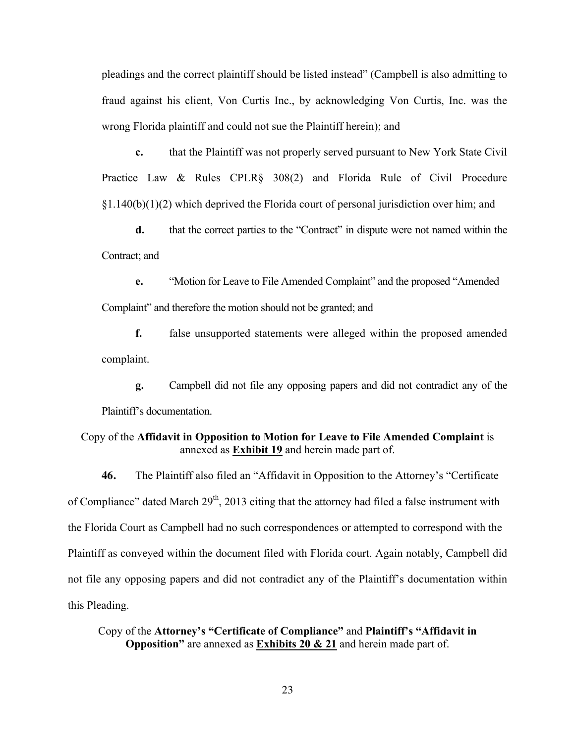pleadings and the correct plaintiff should be listed instead" (Campbell is also admitting to fraud against his client, Von Curtis Inc., by acknowledging Von Curtis, Inc. was the wrong Florida plaintiff and could not sue the Plaintiff herein); and

**c.** that the Plaintiff was not properly served pursuant to New York State Civil Practice Law & Rules CPLR§ 308(2) and Florida Rule of Civil Procedure  $\S1.140(b)(1)(2)$  which deprived the Florida court of personal jurisdiction over him; and

**d.** that the correct parties to the "Contract" in dispute were not named within the Contract; and

**e.** "Motion for Leave to File Amended Complaint" and the proposed "Amended Complaint" and therefore the motion should not be granted; and

**f.** false unsupported statements were alleged within the proposed amended complaint.

**g.** Campbell did not file any opposing papers and did not contradict any of the Plaintiff's documentation.

#### Copy of the **Affidavit in Opposition to Motion for Leave to File Amended Complaint** is annexed as **Exhibit 19** and herein made part of.

**46.** The Plaintiff also filed an "Affidavit in Opposition to the Attorney's "Certificate of Compliance" dated March  $29<sup>th</sup>$ , 2013 citing that the attorney had filed a false instrument with the Florida Court as Campbell had no such correspondences or attempted to correspond with the Plaintiff as conveyed within the document filed with Florida court. Again notably, Campbell did not file any opposing papers and did not contradict any of the Plaintiff's documentation within this Pleading.

Copy of the **Attorney's "Certificate of Compliance"** and **Plaintiff's "Affidavit in Opposition"** are annexed as **Exhibits 20 & 21** and herein made part of.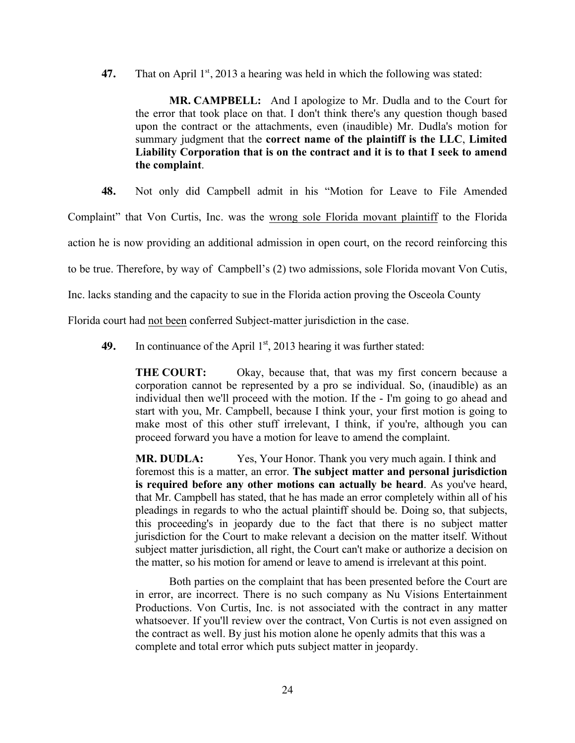**47.** That on April  $1<sup>st</sup>$ , 2013 a hearing was held in which the following was stated:

**MR. CAMPBELL:** And I apologize to Mr. Dudla and to the Court for the error that took place on that. I don't think there's any question though based upon the contract or the attachments, even (inaudible) Mr. Dudla's motion for summary judgment that the **correct name of the plaintiff is the LLC**, **Limited Liability Corporation that is on the contract and it is to that I seek to amend the complaint**.

**48.** Not only did Campbell admit in his "Motion for Leave to File Amended

Complaint" that Von Curtis, Inc. was the wrong sole Florida movant plaintiff to the Florida

action he is now providing an additional admission in open court, on the record reinforcing this

to be true. Therefore, by way of Campbell's (2) two admissions, sole Florida movant Von Cutis,

Inc. lacks standing and the capacity to sue in the Florida action proving the Osceola County

Florida court had not been conferred Subject-matter jurisdiction in the case.

**49.** In continuance of the April  $1<sup>st</sup>$ , 2013 hearing it was further stated:

**THE COURT:** Okay, because that, that was my first concern because a corporation cannot be represented by a pro se individual. So, (inaudible) as an individual then we'll proceed with the motion. If the - I'm going to go ahead and start with you, Mr. Campbell, because I think your, your first motion is going to make most of this other stuff irrelevant, I think, if you're, although you can proceed forward you have a motion for leave to amend the complaint.

**MR. DUDLA:** Yes, Your Honor. Thank you very much again. I think and foremost this is a matter, an error. **The subject matter and personal jurisdiction is required before any other motions can actually be heard**. As you've heard, that Mr. Campbell has stated, that he has made an error completely within all of his pleadings in regards to who the actual plaintiff should be. Doing so, that subjects, this proceeding's in jeopardy due to the fact that there is no subject matter jurisdiction for the Court to make relevant a decision on the matter itself. Without subject matter jurisdiction, all right, the Court can't make or authorize a decision on the matter, so his motion for amend or leave to amend is irrelevant at this point.

Both parties on the complaint that has been presented before the Court are in error, are incorrect. There is no such company as Nu Visions Entertainment Productions. Von Curtis, Inc. is not associated with the contract in any matter whatsoever. If you'll review over the contract, Von Curtis is not even assigned on the contract as well. By just his motion alone he openly admits that this was a complete and total error which puts subject matter in jeopardy.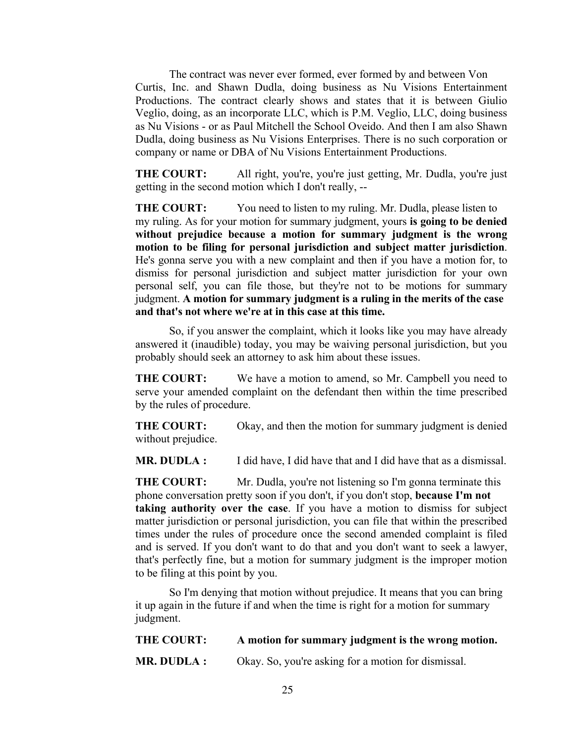The contract was never ever formed, ever formed by and between Von Curtis, Inc. and Shawn Dudla, doing business as Nu Visions Entertainment Productions. The contract clearly shows and states that it is between Giulio Veglio, doing, as an incorporate LLC, which is P.M. Veglio, LLC, doing business as Nu Visions - or as Paul Mitchell the School Oveido. And then I am also Shawn Dudla, doing business as Nu Visions Enterprises. There is no such corporation or company or name or DBA of Nu Visions Entertainment Productions.

**THE COURT:** All right, you're, you're just getting, Mr. Dudla, you're just getting in the second motion which I don't really, --

**THE COURT:** You need to listen to my ruling. Mr. Dudla, please listen to my ruling. As for your motion for summary judgment, yours **is going to be denied without prejudice because a motion for summary judgment is the wrong motion to be filing for personal jurisdiction and subject matter jurisdiction**. He's gonna serve you with a new complaint and then if you have a motion for, to dismiss for personal jurisdiction and subject matter jurisdiction for your own personal self, you can file those, but they're not to be motions for summary judgment. **A motion for summary judgment is a ruling in the merits of the case and that's not where we're at in this case at this time.**

So, if you answer the complaint, which it looks like you may have already answered it (inaudible) today, you may be waiving personal jurisdiction, but you probably should seek an attorney to ask him about these issues.

**THE COURT:** We have a motion to amend, so Mr. Campbell you need to serve your amended complaint on the defendant then within the time prescribed by the rules of procedure.

**THE COURT:** Okay, and then the motion for summary judgment is denied without prejudice.

**MR. DUDLA :** I did have, I did have that and I did have that as a dismissal.

**THE COURT:** Mr. Dudla, you're not listening so I'm gonna terminate this phone conversation pretty soon if you don't, if you don't stop, **because I'm not taking authority over the case**. If you have a motion to dismiss for subject matter jurisdiction or personal jurisdiction, you can file that within the prescribed times under the rules of procedure once the second amended complaint is filed and is served. If you don't want to do that and you don't want to seek a lawyer, that's perfectly fine, but a motion for summary judgment is the improper motion to be filing at this point by you.

So I'm denying that motion without prejudice. It means that you can bring it up again in the future if and when the time is right for a motion for summary judgment.

| <b>THE COURT:</b> | A motion for summary judgment is the wrong motion.  |
|-------------------|-----------------------------------------------------|
| MR. DUDLA :       | Okay. So, you're asking for a motion for dismissal. |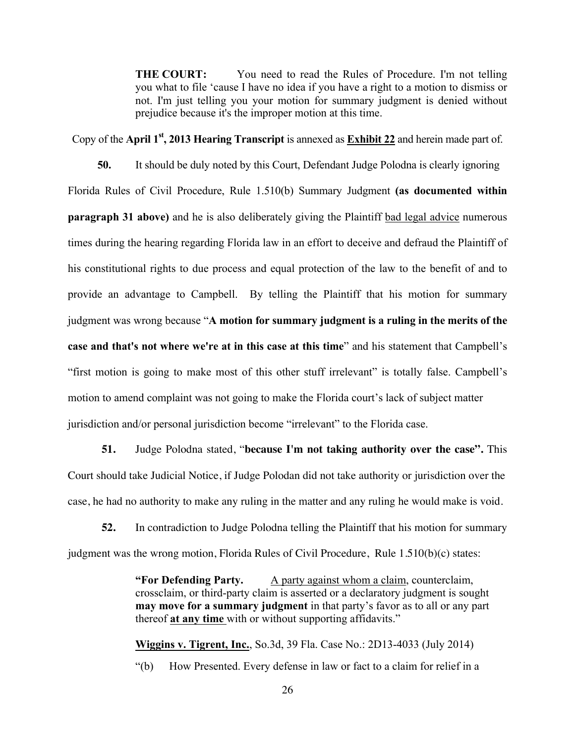**THE COURT:** You need to read the Rules of Procedure. I'm not telling you what to file 'cause I have no idea if you have a right to a motion to dismiss or not. I'm just telling you your motion for summary judgment is denied without prejudice because it's the improper motion at this time.

Copy of the **April 1st, 2013 Hearing Transcript** is annexed as **Exhibit 22** and herein made part of.

**50.** It should be duly noted by this Court, Defendant Judge Polodna is clearly ignoring Florida Rules of Civil Procedure, Rule 1.510(b) Summary Judgment **(as documented within paragraph 31 above)** and he is also deliberately giving the Plaintiff bad legal advice numerous times during the hearing regarding Florida law in an effort to deceive and defraud the Plaintiff of his constitutional rights to due process and equal protection of the law to the benefit of and to provide an advantage to Campbell. By telling the Plaintiff that his motion for summary judgment was wrong because "**A motion for summary judgment is a ruling in the merits of the case and that's not where we're at in this case at this time**" and his statement that Campbell's "first motion is going to make most of this other stuff irrelevant" is totally false. Campbell's motion to amend complaint was not going to make the Florida court's lack of subject matter jurisdiction and/or personal jurisdiction become "irrelevant" to the Florida case.

**51.** Judge Polodna stated, "**because I'm not taking authority over the case".** This Court should take Judicial Notice, if Judge Polodan did not take authority or jurisdiction over the case, he had no authority to make any ruling in the matter and any ruling he would make is void.

**52.** In contradiction to Judge Polodna telling the Plaintiff that his motion for summary judgment was the wrong motion, Florida Rules of Civil Procedure, Rule 1.510(b)(c) states:

> **"For Defending Party.** A party against whom a claim, counterclaim, crossclaim, or third-party claim is asserted or a declaratory judgment is sought **may move for a summary judgment** in that party's favor as to all or any part thereof **at any time** with or without supporting affidavits."

**Wiggins v. Tigrent, Inc.**, So.3d, 39 Fla. Case No.: 2D13-4033 (July 2014) "(b) How Presented. Every defense in law or fact to a claim for relief in a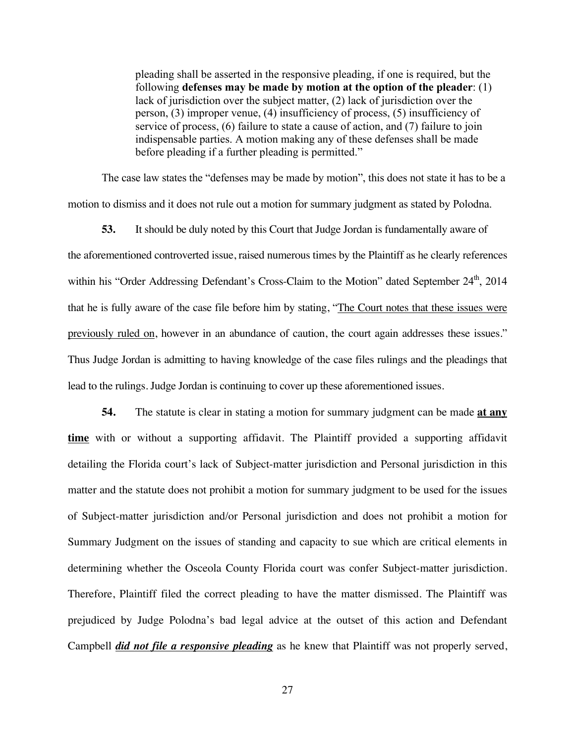pleading shall be asserted in the responsive pleading, if one is required, but the following **defenses may be made by motion at the option of the pleader**: (1) lack of jurisdiction over the subject matter, (2) lack of jurisdiction over the person, (3) improper venue, (4) insufficiency of process, (5) insufficiency of service of process, (6) failure to state a cause of action, and (7) failure to join indispensable parties. A motion making any of these defenses shall be made before pleading if a further pleading is permitted."

The case law states the "defenses may be made by motion", this does not state it has to be a motion to dismiss and it does not rule out a motion for summary judgment as stated by Polodna.

**53.** It should be duly noted by this Court that Judge Jordan is fundamentally aware of the aforementioned controverted issue, raised numerous times by the Plaintiff as he clearly references within his "Order Addressing Defendant's Cross-Claim to the Motion" dated September 24<sup>th</sup>, 2014 that he is fully aware of the case file before him by stating, "The Court notes that these issues were previously ruled on, however in an abundance of caution, the court again addresses these issues." Thus Judge Jordan is admitting to having knowledge of the case files rulings and the pleadings that lead to the rulings. Judge Jordan is continuing to cover up these aforementioned issues.

**54.** The statute is clear in stating a motion for summary judgment can be made **at any time** with or without a supporting affidavit. The Plaintiff provided a supporting affidavit detailing the Florida court's lack of Subject-matter jurisdiction and Personal jurisdiction in this matter and the statute does not prohibit a motion for summary judgment to be used for the issues of Subject-matter jurisdiction and/or Personal jurisdiction and does not prohibit a motion for Summary Judgment on the issues of standing and capacity to sue which are critical elements in determining whether the Osceola County Florida court was confer Subject-matter jurisdiction. Therefore, Plaintiff filed the correct pleading to have the matter dismissed. The Plaintiff was prejudiced by Judge Polodna's bad legal advice at the outset of this action and Defendant Campbell *did not file a responsive pleading* as he knew that Plaintiff was not properly served,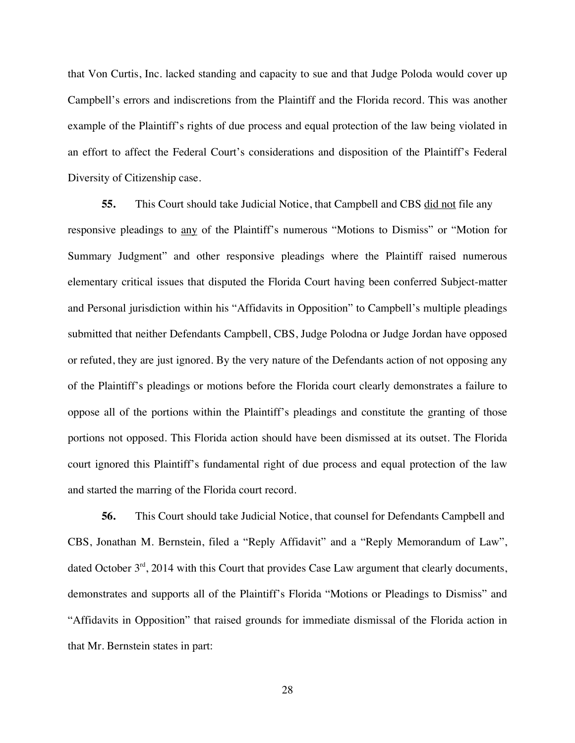that Von Curtis, Inc. lacked standing and capacity to sue and that Judge Poloda would cover up Campbell's errors and indiscretions from the Plaintiff and the Florida record. This was another example of the Plaintiff's rights of due process and equal protection of the law being violated in an effort to affect the Federal Court's considerations and disposition of the Plaintiff's Federal Diversity of Citizenship case.

**55.** This Court should take Judicial Notice, that Campbell and CBS did not file any responsive pleadings to any of the Plaintiff's numerous "Motions to Dismiss" or "Motion for Summary Judgment" and other responsive pleadings where the Plaintiff raised numerous elementary critical issues that disputed the Florida Court having been conferred Subject-matter and Personal jurisdiction within his "Affidavits in Opposition" to Campbell's multiple pleadings submitted that neither Defendants Campbell, CBS, Judge Polodna or Judge Jordan have opposed or refuted, they are just ignored. By the very nature of the Defendants action of not opposing any of the Plaintiff's pleadings or motions before the Florida court clearly demonstrates a failure to oppose all of the portions within the Plaintiff's pleadings and constitute the granting of those portions not opposed. This Florida action should have been dismissed at its outset. The Florida court ignored this Plaintiff's fundamental right of due process and equal protection of the law and started the marring of the Florida court record.

**56.** This Court should take Judicial Notice, that counsel for Defendants Campbell and CBS, Jonathan M. Bernstein, filed a "Reply Affidavit" and a "Reply Memorandum of Law", dated October  $3<sup>rd</sup>$ , 2014 with this Court that provides Case Law argument that clearly documents, demonstrates and supports all of the Plaintiff's Florida "Motions or Pleadings to Dismiss" and "Affidavits in Opposition" that raised grounds for immediate dismissal of the Florida action in that Mr. Bernstein states in part: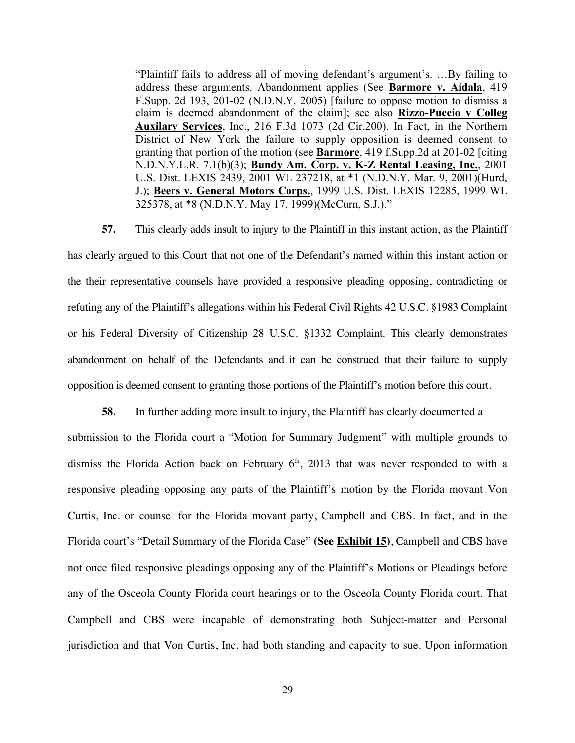"Plaintiff fails to address all of moving defendant's argument's. …By failing to address these arguments. Abandonment applies (See **Barmore v. Aidala**, 419 F.Supp. 2d 193, 201-02 (N.D.N.Y. 2005) [failure to oppose motion to dismiss a claim is deemed abandonment of the claim]; see also **Rizzo-Puccio v Colleg Auxilary Services**, Inc., 216 F.3d 1073 (2d Cir.200). In Fact, in the Northern District of New York the failure to supply opposition is deemed consent to granting that portion of the motion (see **Barmore**, 419 f.Supp.2d at 201-02 [citing N.D.N.Y.L.R. 7.1(b)(3); **Bundy Am. Corp. v. K-Z Rental Leasing, Inc.**, 2001 U.S. Dist. LEXIS 2439, 2001 WL 237218, at \*1 (N.D.N.Y. Mar. 9, 2001)(Hurd, J.); **Beers v. General Motors Corps.**, 1999 U.S. Dist. LEXIS 12285, 1999 WL 325378, at \*8 (N.D.N.Y. May 17, 1999)(McCurn, S.J.)."

**57.** This clearly adds insult to injury to the Plaintiff in this instant action, as the Plaintiff has clearly argued to this Court that not one of the Defendant's named within this instant action or the their representative counsels have provided a responsive pleading opposing, contradicting or refuting any of the Plaintiff's allegations within his Federal Civil Rights 42 U.S.C. §1983 Complaint or his Federal Diversity of Citizenship 28 U.S.C. §1332 Complaint. This clearly demonstrates abandonment on behalf of the Defendants and it can be construed that their failure to supply opposition is deemed consent to granting those portions of the Plaintiff's motion before this court.

**58.** In further adding more insult to injury, the Plaintiff has clearly documented a submission to the Florida court a "Motion for Summary Judgment" with multiple grounds to dismiss the Florida Action back on February  $6<sup>th</sup>$ , 2013 that was never responded to with a responsive pleading opposing any parts of the Plaintiff's motion by the Florida movant Von Curtis, Inc. or counsel for the Florida movant party, Campbell and CBS. In fact, and in the Florida court's "Detail Summary of the Florida Case" **(See Exhibit 15)**, Campbell and CBS have not once filed responsive pleadings opposing any of the Plaintiff's Motions or Pleadings before any of the Osceola County Florida court hearings or to the Osceola County Florida court. That Campbell and CBS were incapable of demonstrating both Subject-matter and Personal jurisdiction and that Von Curtis, Inc. had both standing and capacity to sue. Upon information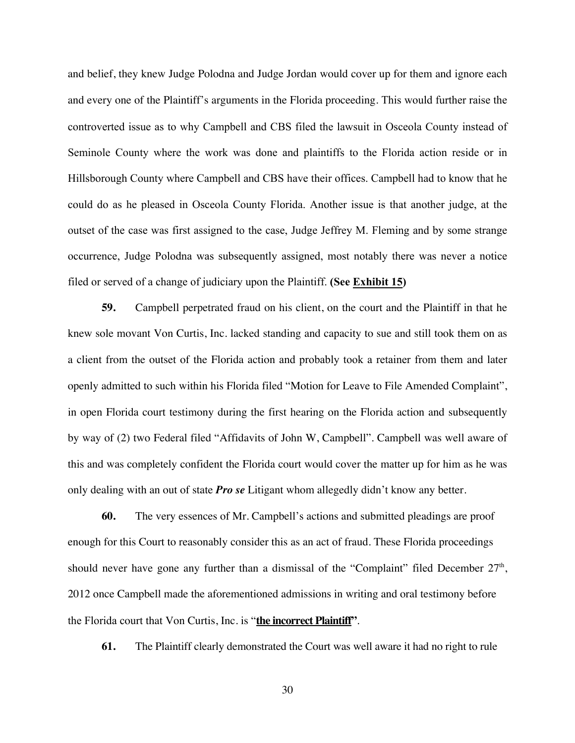and belief, they knew Judge Polodna and Judge Jordan would cover up for them and ignore each and every one of the Plaintiff's arguments in the Florida proceeding. This would further raise the controverted issue as to why Campbell and CBS filed the lawsuit in Osceola County instead of Seminole County where the work was done and plaintiffs to the Florida action reside or in Hillsborough County where Campbell and CBS have their offices. Campbell had to know that he could do as he pleased in Osceola County Florida. Another issue is that another judge, at the outset of the case was first assigned to the case, Judge Jeffrey M. Fleming and by some strange occurrence, Judge Polodna was subsequently assigned, most notably there was never a notice filed or served of a change of judiciary upon the Plaintiff. **(See Exhibit 15)**

**59.** Campbell perpetrated fraud on his client, on the court and the Plaintiff in that he knew sole movant Von Curtis, Inc. lacked standing and capacity to sue and still took them on as a client from the outset of the Florida action and probably took a retainer from them and later openly admitted to such within his Florida filed "Motion for Leave to File Amended Complaint", in open Florida court testimony during the first hearing on the Florida action and subsequently by way of (2) two Federal filed "Affidavits of John W, Campbell". Campbell was well aware of this and was completely confident the Florida court would cover the matter up for him as he was only dealing with an out of state *Pro se* Litigant whom allegedly didn't know any better.

**60.** The very essences of Mr. Campbell's actions and submitted pleadings are proof enough for this Court to reasonably consider this as an act of fraud. These Florida proceedings should never have gone any further than a dismissal of the "Complaint" filed December  $27<sup>th</sup>$ , 2012 once Campbell made the aforementioned admissions in writing and oral testimony before the Florida court that Von Curtis, Inc. is "**the incorrect Plaintiff"**.

**61.** The Plaintiff clearly demonstrated the Court was well aware it had no right to rule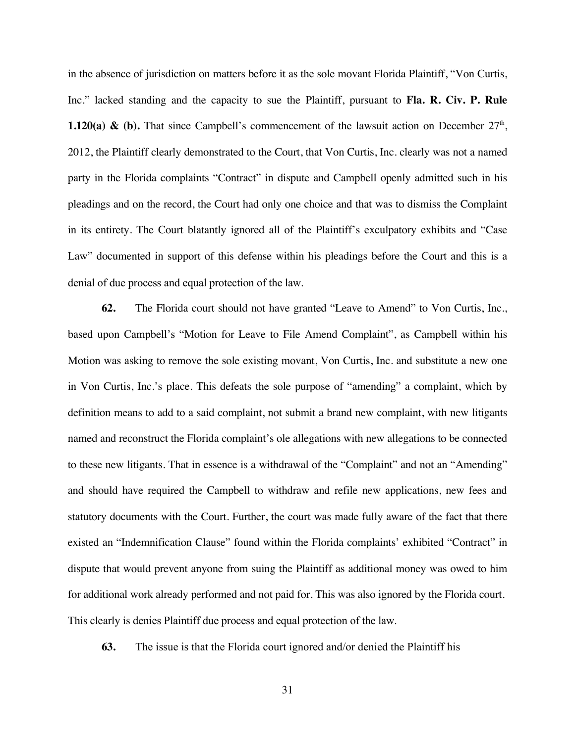in the absence of jurisdiction on matters before it as the sole movant Florida Plaintiff, "Von Curtis, Inc." lacked standing and the capacity to sue the Plaintiff, pursuant to **Fla. R. Civ. P. Rule 1.120(a) & (b).** That since Campbell's commencement of the lawsuit action on December  $27<sup>th</sup>$ , 2012, the Plaintiff clearly demonstrated to the Court, that Von Curtis, Inc. clearly was not a named party in the Florida complaints "Contract" in dispute and Campbell openly admitted such in his pleadings and on the record, the Court had only one choice and that was to dismiss the Complaint in its entirety. The Court blatantly ignored all of the Plaintiff's exculpatory exhibits and "Case Law" documented in support of this defense within his pleadings before the Court and this is a denial of due process and equal protection of the law.

**62.** The Florida court should not have granted "Leave to Amend" to Von Curtis, Inc., based upon Campbell's "Motion for Leave to File Amend Complaint", as Campbell within his Motion was asking to remove the sole existing movant, Von Curtis, Inc. and substitute a new one in Von Curtis, Inc.'s place. This defeats the sole purpose of "amending" a complaint, which by definition means to add to a said complaint, not submit a brand new complaint, with new litigants named and reconstruct the Florida complaint's ole allegations with new allegations to be connected to these new litigants. That in essence is a withdrawal of the "Complaint" and not an "Amending" and should have required the Campbell to withdraw and refile new applications, new fees and statutory documents with the Court. Further, the court was made fully aware of the fact that there existed an "Indemnification Clause" found within the Florida complaints' exhibited "Contract" in dispute that would prevent anyone from suing the Plaintiff as additional money was owed to him for additional work already performed and not paid for. This was also ignored by the Florida court. This clearly is denies Plaintiff due process and equal protection of the law.

**63.** The issue is that the Florida court ignored and/or denied the Plaintiff his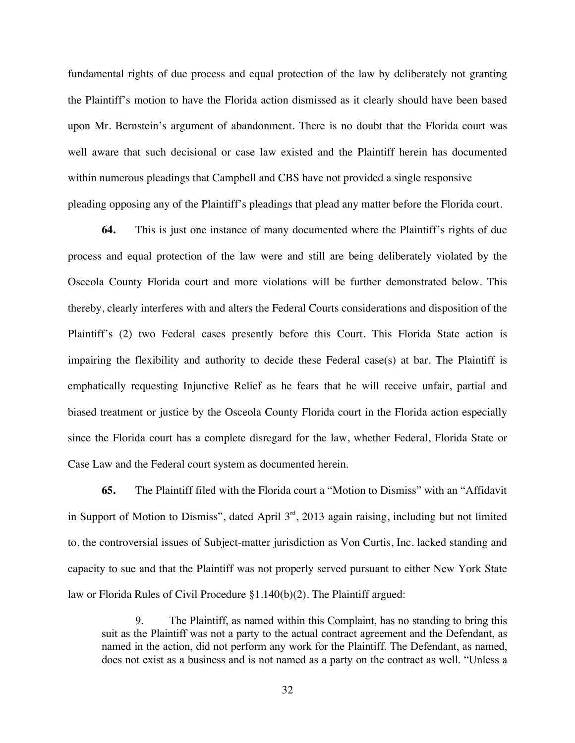fundamental rights of due process and equal protection of the law by deliberately not granting the Plaintiff's motion to have the Florida action dismissed as it clearly should have been based upon Mr. Bernstein's argument of abandonment. There is no doubt that the Florida court was well aware that such decisional or case law existed and the Plaintiff herein has documented within numerous pleadings that Campbell and CBS have not provided a single responsive pleading opposing any of the Plaintiff's pleadings that plead any matter before the Florida court.

**64.** This is just one instance of many documented where the Plaintiff's rights of due process and equal protection of the law were and still are being deliberately violated by the Osceola County Florida court and more violations will be further demonstrated below. This thereby, clearly interferes with and alters the Federal Courts considerations and disposition of the Plaintiff's (2) two Federal cases presently before this Court. This Florida State action is impairing the flexibility and authority to decide these Federal case(s) at bar. The Plaintiff is emphatically requesting Injunctive Relief as he fears that he will receive unfair, partial and biased treatment or justice by the Osceola County Florida court in the Florida action especially since the Florida court has a complete disregard for the law, whether Federal, Florida State or Case Law and the Federal court system as documented herein.

**65.** The Plaintiff filed with the Florida court a "Motion to Dismiss" with an "Affidavit in Support of Motion to Dismiss", dated April  $3<sup>rd</sup>$ , 2013 again raising, including but not limited to, the controversial issues of Subject-matter jurisdiction as Von Curtis, Inc. lacked standing and capacity to sue and that the Plaintiff was not properly served pursuant to either New York State law or Florida Rules of Civil Procedure §1.140(b)(2). The Plaintiff argued:

9. The Plaintiff, as named within this Complaint, has no standing to bring this suit as the Plaintiff was not a party to the actual contract agreement and the Defendant, as named in the action, did not perform any work for the Plaintiff. The Defendant, as named, does not exist as a business and is not named as a party on the contract as well. "Unless a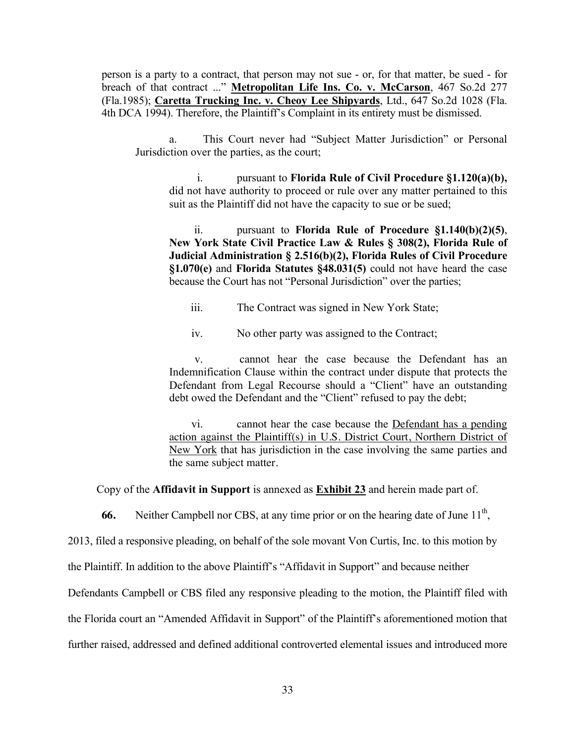person is a party to a contract, that person may not sue - or, for that matter, be sued - for breach of that contract ..." **Metropolitan Life Ins. Co. v. McCarson**, 467 So.2d 277 (Fla.1985); **Caretta Trucking Inc. v. Cheoy Lee Shipyards**, Ltd., 647 So.2d 1028 (Fla. 4th DCA 1994). Therefore, the Plaintiff's Complaint in its entirety must be dismissed.

a. This Court never had "Subject Matter Jurisdiction" or Personal Jurisdiction over the parties, as the court;

i. pursuant to **Florida Rule of Civil Procedure §1.120(a)(b),**  did not have authority to proceed or rule over any matter pertained to this suit as the Plaintiff did not have the capacity to sue or be sued;

ii. pursuant to **Florida Rule of Procedure §1.140(b)(2)(5)**, **New York State Civil Practice Law & Rules § 308(2), Florida Rule of Judicial Administration § 2.516(b)(2), Florida Rules of Civil Procedure §1.070(e)** and **Florida Statutes §48.031(5)** could not have heard the case because the Court has not "Personal Jurisdiction" over the parties;

iii. The Contract was signed in New York State;

iv. No other party was assigned to the Contract;

v. cannot hear the case because the Defendant has an Indemnification Clause within the contract under dispute that protects the Defendant from Legal Recourse should a "Client" have an outstanding debt owed the Defendant and the "Client" refused to pay the debt;

vi. cannot hear the case because the Defendant has a pending action against the Plaintiff(s) in U.S. District Court, Northern District of New York that has jurisdiction in the case involving the same parties and the same subject matter.

Copy of the **Affidavit in Support** is annexed as **Exhibit 23** and herein made part of.

**66.** Neither Campbell nor CBS, at any time prior or on the hearing date of June 11<sup>th</sup>.

2013, filed a responsive pleading, on behalf of the sole movant Von Curtis, Inc. to this motion by

the Plaintiff. In addition to the above Plaintiff's "Affidavit in Support" and because neither

Defendants Campbell or CBS filed any responsive pleading to the motion, the Plaintiff filed with

the Florida court an "Amended Affidavit in Support" of the Plaintiff's aforementioned motion that

further raised, addressed and defined additional controverted elemental issues and introduced more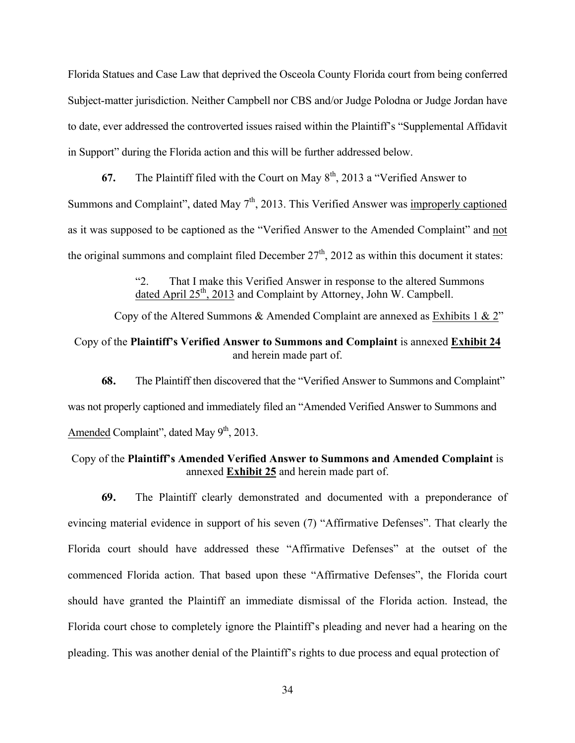Florida Statues and Case Law that deprived the Osceola County Florida court from being conferred Subject-matter jurisdiction. Neither Campbell nor CBS and/or Judge Polodna or Judge Jordan have to date, ever addressed the controverted issues raised within the Plaintiff's "Supplemental Affidavit in Support" during the Florida action and this will be further addressed below.

**67.** The Plaintiff filed with the Court on May  $8<sup>th</sup>$ , 2013 a "Verified Answer to Summons and Complaint", dated May  $7<sup>th</sup>$ , 2013. This Verified Answer was improperly captioned as it was supposed to be captioned as the "Verified Answer to the Amended Complaint" and not the original summons and complaint filed December  $27<sup>th</sup>$ , 2012 as within this document it states:

> "2. That I make this Verified Answer in response to the altered Summons dated April  $25<sup>th</sup>$ , 2013 and Complaint by Attorney, John W. Campbell.

Copy of the Altered Summons & Amended Complaint are annexed as Exhibits 1 & 2"

# Copy of the **Plaintiff's Verified Answer to Summons and Complaint** is annexed **Exhibit 24** and herein made part of.

**68.** The Plaintiff then discovered that the "Verified Answer to Summons and Complaint" was not properly captioned and immediately filed an "Amended Verified Answer to Summons and Amended Complaint", dated May  $9<sup>th</sup>$ , 2013.

## Copy of the **Plaintiff's Amended Verified Answer to Summons and Amended Complaint** is annexed **Exhibit 25** and herein made part of.

**69.** The Plaintiff clearly demonstrated and documented with a preponderance of evincing material evidence in support of his seven (7) "Affirmative Defenses". That clearly the Florida court should have addressed these "Affirmative Defenses" at the outset of the commenced Florida action. That based upon these "Affirmative Defenses", the Florida court should have granted the Plaintiff an immediate dismissal of the Florida action. Instead, the Florida court chose to completely ignore the Plaintiff's pleading and never had a hearing on the pleading. This was another denial of the Plaintiff's rights to due process and equal protection of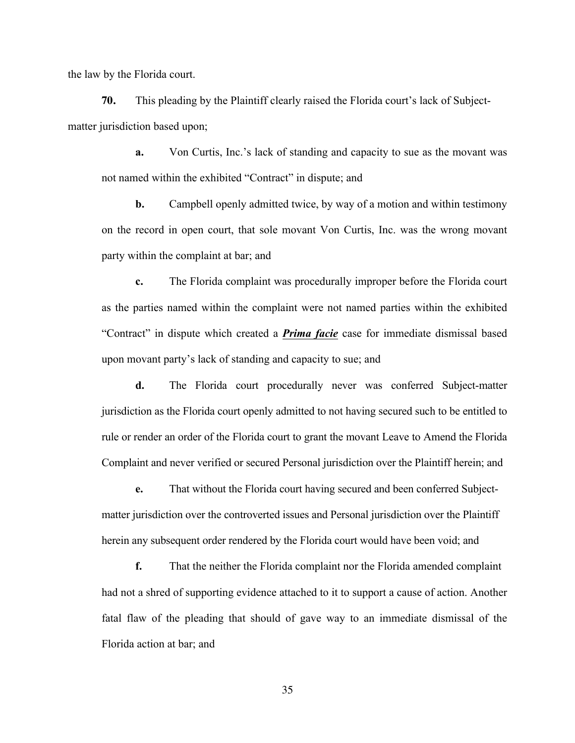the law by the Florida court.

**70.** This pleading by the Plaintiff clearly raised the Florida court's lack of Subjectmatter jurisdiction based upon;

**a.** Von Curtis, Inc.'s lack of standing and capacity to sue as the movant was not named within the exhibited "Contract" in dispute; and

**b.** Campbell openly admitted twice, by way of a motion and within testimony on the record in open court, that sole movant Von Curtis, Inc. was the wrong movant party within the complaint at bar; and

**c.** The Florida complaint was procedurally improper before the Florida court as the parties named within the complaint were not named parties within the exhibited "Contract" in dispute which created a *Prima facie* case for immediate dismissal based upon movant party's lack of standing and capacity to sue; and

**d.** The Florida court procedurally never was conferred Subject-matter jurisdiction as the Florida court openly admitted to not having secured such to be entitled to rule or render an order of the Florida court to grant the movant Leave to Amend the Florida Complaint and never verified or secured Personal jurisdiction over the Plaintiff herein; and

**e.** That without the Florida court having secured and been conferred Subjectmatter jurisdiction over the controverted issues and Personal jurisdiction over the Plaintiff herein any subsequent order rendered by the Florida court would have been void; and

**f.** That the neither the Florida complaint nor the Florida amended complaint had not a shred of supporting evidence attached to it to support a cause of action. Another fatal flaw of the pleading that should of gave way to an immediate dismissal of the Florida action at bar; and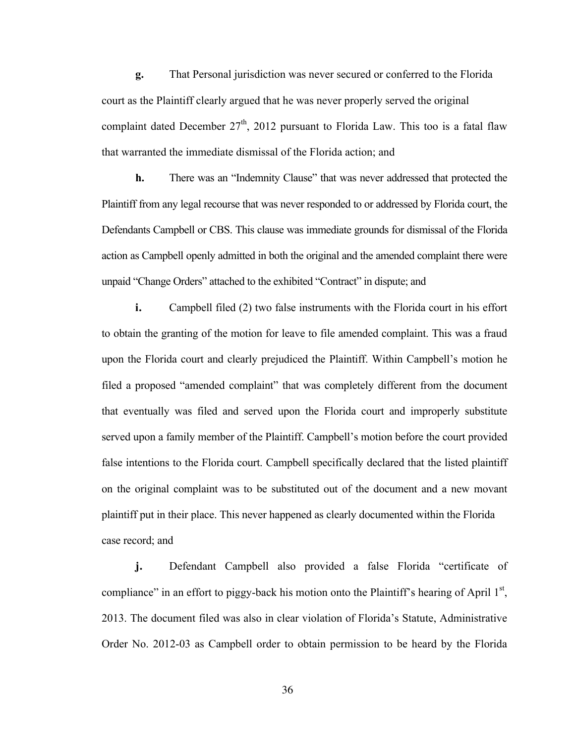**g.** That Personal jurisdiction was never secured or conferred to the Florida court as the Plaintiff clearly argued that he was never properly served the original complaint dated December  $27<sup>th</sup>$ , 2012 pursuant to Florida Law. This too is a fatal flaw that warranted the immediate dismissal of the Florida action; and

**h.** There was an "Indemnity Clause" that was never addressed that protected the Plaintiff from any legal recourse that was never responded to or addressed by Florida court, the Defendants Campbell or CBS. This clause was immediate grounds for dismissal of the Florida action as Campbell openly admitted in both the original and the amended complaint there were unpaid "Change Orders" attached to the exhibited "Contract" in dispute; and

**i.** Campbell filed (2) two false instruments with the Florida court in his effort to obtain the granting of the motion for leave to file amended complaint. This was a fraud upon the Florida court and clearly prejudiced the Plaintiff. Within Campbell's motion he filed a proposed "amended complaint" that was completely different from the document that eventually was filed and served upon the Florida court and improperly substitute served upon a family member of the Plaintiff. Campbell's motion before the court provided false intentions to the Florida court. Campbell specifically declared that the listed plaintiff on the original complaint was to be substituted out of the document and a new movant plaintiff put in their place. This never happened as clearly documented within the Florida case record; and

**j.** Defendant Campbell also provided a false Florida "certificate of compliance" in an effort to piggy-back his motion onto the Plaintiff's hearing of April  $1<sup>st</sup>$ , 2013. The document filed was also in clear violation of Florida's Statute, Administrative Order No. 2012-03 as Campbell order to obtain permission to be heard by the Florida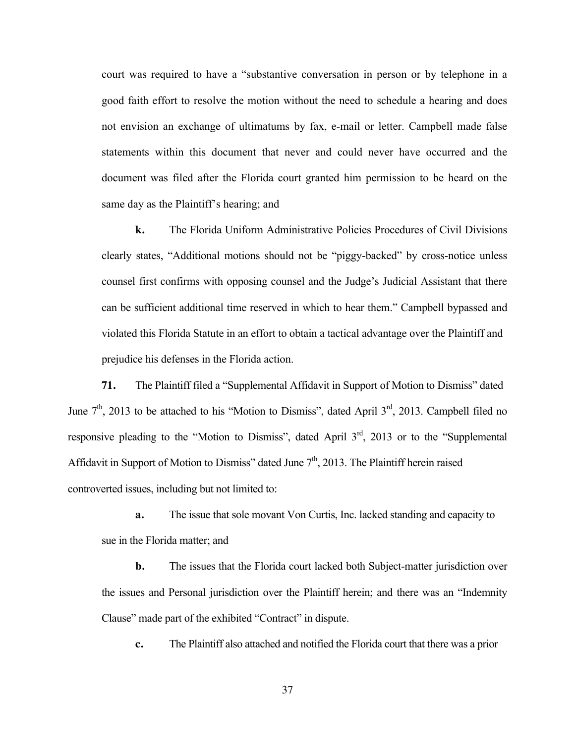court was required to have a "substantive conversation in person or by telephone in a good faith effort to resolve the motion without the need to schedule a hearing and does not envision an exchange of ultimatums by fax, e-mail or letter. Campbell made false statements within this document that never and could never have occurred and the document was filed after the Florida court granted him permission to be heard on the same day as the Plaintiff's hearing; and

**k.** The Florida Uniform Administrative Policies Procedures of Civil Divisions clearly states, "Additional motions should not be "piggy-backed" by cross-notice unless counsel first confirms with opposing counsel and the Judge's Judicial Assistant that there can be sufficient additional time reserved in which to hear them." Campbell bypassed and violated this Florida Statute in an effort to obtain a tactical advantage over the Plaintiff and prejudice his defenses in the Florida action.

**71.** The Plaintiff filed a "Supplemental Affidavit in Support of Motion to Dismiss" dated June  $7<sup>th</sup>$ , 2013 to be attached to his "Motion to Dismiss", dated April  $3<sup>rd</sup>$ , 2013. Campbell filed no responsive pleading to the "Motion to Dismiss", dated April 3<sup>rd</sup>, 2013 or to the "Supplemental" Affidavit in Support of Motion to Dismiss" dated June  $7<sup>th</sup>$ , 2013. The Plaintiff herein raised controverted issues, including but not limited to:

**a.** The issue that sole movant Von Curtis, Inc. lacked standing and capacity to sue in the Florida matter; and

**b.** The issues that the Florida court lacked both Subject-matter jurisdiction over the issues and Personal jurisdiction over the Plaintiff herein; and there was an "Indemnity Clause" made part of the exhibited "Contract" in dispute.

**c.** The Plaintiff also attached and notified the Florida court that there was a prior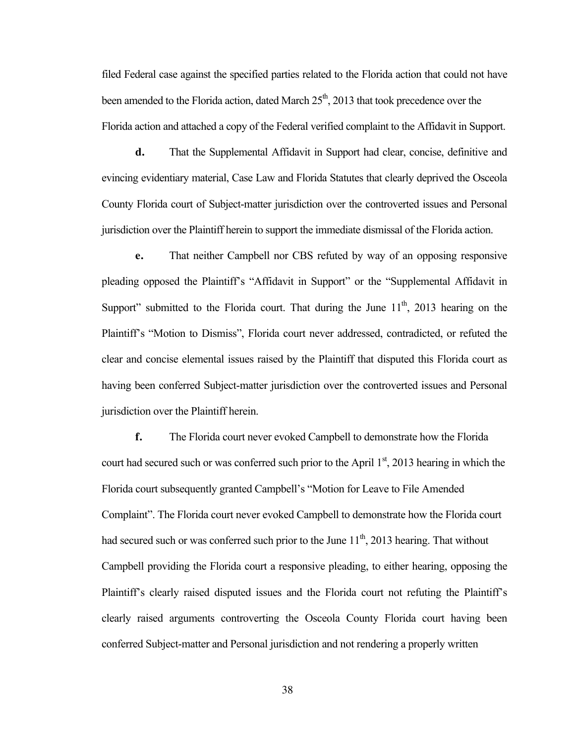filed Federal case against the specified parties related to the Florida action that could not have been amended to the Florida action, dated March  $25<sup>th</sup>$ , 2013 that took precedence over the Florida action and attached a copy of the Federal verified complaint to the Affidavit in Support.

**d.** That the Supplemental Affidavit in Support had clear, concise, definitive and evincing evidentiary material, Case Law and Florida Statutes that clearly deprived the Osceola County Florida court of Subject-matter jurisdiction over the controverted issues and Personal jurisdiction over the Plaintiff herein to support the immediate dismissal of the Florida action.

**e.** That neither Campbell nor CBS refuted by way of an opposing responsive pleading opposed the Plaintiff's "Affidavit in Support" or the "Supplemental Affidavit in Support" submitted to the Florida court. That during the June  $11<sup>th</sup>$ , 2013 hearing on the Plaintiff's "Motion to Dismiss", Florida court never addressed, contradicted, or refuted the clear and concise elemental issues raised by the Plaintiff that disputed this Florida court as having been conferred Subject-matter jurisdiction over the controverted issues and Personal jurisdiction over the Plaintiff herein.

**f.** The Florida court never evoked Campbell to demonstrate how the Florida court had secured such or was conferred such prior to the April  $1<sup>st</sup>$ , 2013 hearing in which the Florida court subsequently granted Campbell's "Motion for Leave to File Amended Complaint". The Florida court never evoked Campbell to demonstrate how the Florida court had secured such or was conferred such prior to the June  $11<sup>th</sup>$ , 2013 hearing. That without Campbell providing the Florida court a responsive pleading, to either hearing, opposing the Plaintiff's clearly raised disputed issues and the Florida court not refuting the Plaintiff's clearly raised arguments controverting the Osceola County Florida court having been conferred Subject-matter and Personal jurisdiction and not rendering a properly written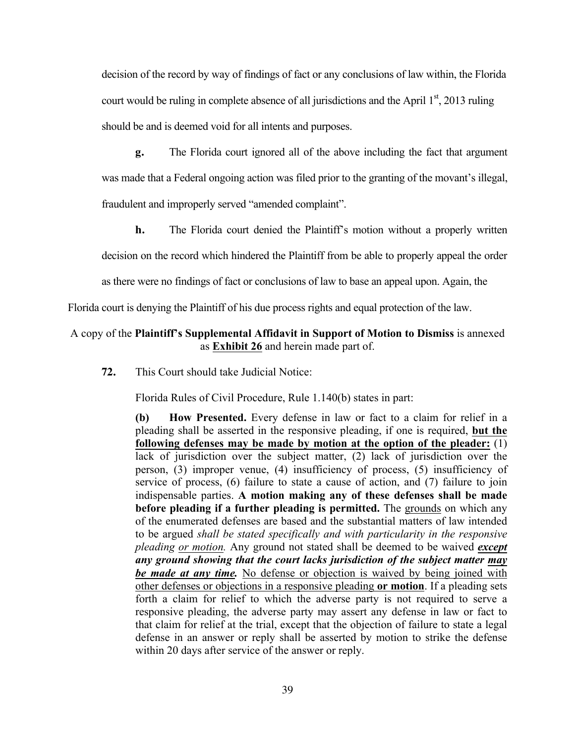decision of the record by way of findings of fact or any conclusions of law within, the Florida court would be ruling in complete absence of all jurisdictions and the April  $1<sup>st</sup>$ , 2013 ruling should be and is deemed void for all intents and purposes.

**g.** The Florida court ignored all of the above including the fact that argument was made that a Federal ongoing action was filed prior to the granting of the movant's illegal, fraudulent and improperly served "amended complaint".

**h.** The Florida court denied the Plaintiff's motion without a properly written

decision on the record which hindered the Plaintiff from be able to properly appeal the order

as there were no findings of fact or conclusions of law to base an appeal upon. Again, the

Florida court is denying the Plaintiff of his due process rights and equal protection of the law.

#### A copy of the **Plaintiff's Supplemental Affidavit in Support of Motion to Dismiss** is annexed as **Exhibit 26** and herein made part of.

**72.** This Court should take Judicial Notice:

Florida Rules of Civil Procedure, Rule 1.140(b) states in part:

**(b) How Presented.** Every defense in law or fact to a claim for relief in a pleading shall be asserted in the responsive pleading, if one is required, **but the following defenses may be made by motion at the option of the pleader:** (1) lack of jurisdiction over the subject matter, (2) lack of jurisdiction over the person, (3) improper venue, (4) insufficiency of process, (5) insufficiency of service of process, (6) failure to state a cause of action, and (7) failure to join indispensable parties. **A motion making any of these defenses shall be made before pleading if a further pleading is permitted.** The grounds on which any of the enumerated defenses are based and the substantial matters of law intended to be argued *shall be stated specifically and with particularity in the responsive pleading or motion.* Any ground not stated shall be deemed to be waived *except any ground showing that the court lacks jurisdiction of the subject matter may be made at any time.* No defense or objection is waived by being joined with other defenses or objections in a responsive pleading **or motion**. If a pleading sets forth a claim for relief to which the adverse party is not required to serve a responsive pleading, the adverse party may assert any defense in law or fact to that claim for relief at the trial, except that the objection of failure to state a legal defense in an answer or reply shall be asserted by motion to strike the defense within 20 days after service of the answer or reply.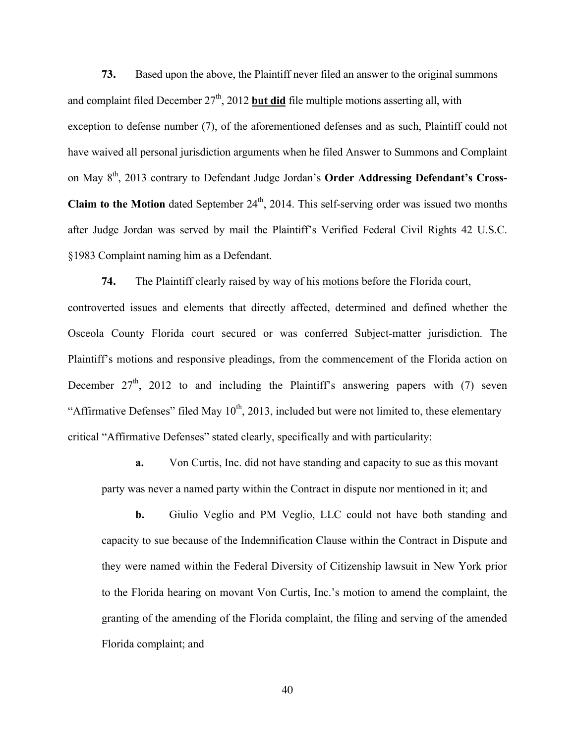**73.** Based upon the above, the Plaintiff never filed an answer to the original summons and complaint filed December  $27<sup>th</sup>$ , 2012 **but did** file multiple motions asserting all, with exception to defense number (7), of the aforementioned defenses and as such, Plaintiff could not have waived all personal jurisdiction arguments when he filed Answer to Summons and Complaint on May 8<sup>th</sup>, 2013 contrary to Defendant Judge Jordan's **Order Addressing Defendant's Cross-Claim to the Motion** dated September  $24<sup>th</sup>$ , 2014. This self-serving order was issued two months after Judge Jordan was served by mail the Plaintiff's Verified Federal Civil Rights 42 U.S.C. §1983 Complaint naming him as a Defendant.

**74.** The Plaintiff clearly raised by way of his motions before the Florida court, controverted issues and elements that directly affected, determined and defined whether the Osceola County Florida court secured or was conferred Subject-matter jurisdiction. The Plaintiff's motions and responsive pleadings, from the commencement of the Florida action on December  $27<sup>th</sup>$ , 2012 to and including the Plaintiff's answering papers with (7) seven "Affirmative Defenses" filed May  $10^{th}$ , 2013, included but were not limited to, these elementary critical "Affirmative Defenses" stated clearly, specifically and with particularity:

**a.** Von Curtis, Inc. did not have standing and capacity to sue as this movant party was never a named party within the Contract in dispute nor mentioned in it; and

**b.** Giulio Veglio and PM Veglio, LLC could not have both standing and capacity to sue because of the Indemnification Clause within the Contract in Dispute and they were named within the Federal Diversity of Citizenship lawsuit in New York prior to the Florida hearing on movant Von Curtis, Inc.'s motion to amend the complaint, the granting of the amending of the Florida complaint, the filing and serving of the amended Florida complaint; and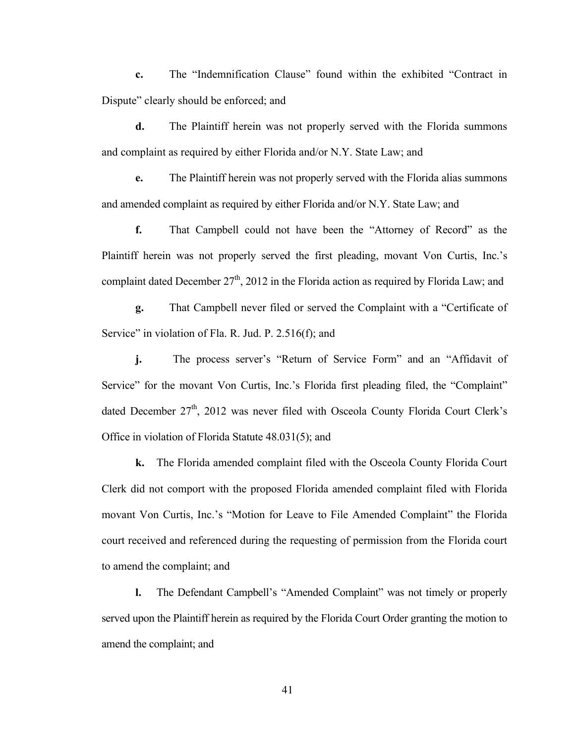**c.** The "Indemnification Clause" found within the exhibited "Contract in Dispute" clearly should be enforced; and

**d.** The Plaintiff herein was not properly served with the Florida summons and complaint as required by either Florida and/or N.Y. State Law; and

**e.** The Plaintiff herein was not properly served with the Florida alias summons and amended complaint as required by either Florida and/or N.Y. State Law; and

**f.** That Campbell could not have been the "Attorney of Record" as the Plaintiff herein was not properly served the first pleading, movant Von Curtis, Inc.'s complaint dated December  $27<sup>th</sup>$ , 2012 in the Florida action as required by Florida Law; and

**g.** That Campbell never filed or served the Complaint with a "Certificate of Service" in violation of Fla. R. Jud. P. 2.516(f); and

**j.** The process server's "Return of Service Form" and an "Affidavit of Service" for the movant Von Curtis, Inc.'s Florida first pleading filed, the "Complaint" dated December  $27<sup>th</sup>$ , 2012 was never filed with Osceola County Florida Court Clerk's Office in violation of Florida Statute 48.031(5); and

**k.** The Florida amended complaint filed with the Osceola County Florida Court Clerk did not comport with the proposed Florida amended complaint filed with Florida movant Von Curtis, Inc.'s "Motion for Leave to File Amended Complaint" the Florida court received and referenced during the requesting of permission from the Florida court to amend the complaint; and

**l.** The Defendant Campbell's "Amended Complaint" was not timely or properly served upon the Plaintiff herein as required by the Florida Court Order granting the motion to amend the complaint; and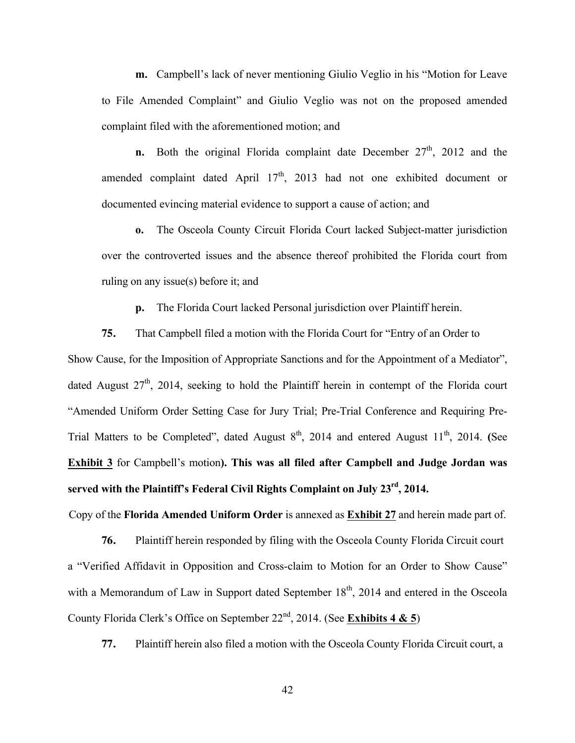**m.** Campbell's lack of never mentioning Giulio Veglio in his "Motion for Leave to File Amended Complaint" and Giulio Veglio was not on the proposed amended complaint filed with the aforementioned motion; and

**n.** Both the original Florida complaint date December 27<sup>th</sup>, 2012 and the amended complaint dated April  $17<sup>th</sup>$ , 2013 had not one exhibited document or documented evincing material evidence to support a cause of action; and

**o.** The Osceola County Circuit Florida Court lacked Subject-matter jurisdiction over the controverted issues and the absence thereof prohibited the Florida court from ruling on any issue(s) before it; and

**p.** The Florida Court lacked Personal jurisdiction over Plaintiff herein.

**75.** That Campbell filed a motion with the Florida Court for "Entry of an Order to Show Cause, for the Imposition of Appropriate Sanctions and for the Appointment of a Mediator", dated August  $27<sup>th</sup>$ , 2014, seeking to hold the Plaintiff herein in contempt of the Florida court "Amended Uniform Order Setting Case for Jury Trial; Pre-Trial Conference and Requiring Pre-Trial Matters to be Completed", dated August  $8<sup>th</sup>$ , 2014 and entered August  $11<sup>th</sup>$ , 2014. **(See**) **Exhibit 3** for Campbell's motion**). This was all filed after Campbell and Judge Jordan was served with the Plaintiff's Federal Civil Rights Complaint on July 23rd, 2014.**

Copy of the **Florida Amended Uniform Order** is annexed as **Exhibit 27** and herein made part of.

**76.** Plaintiff herein responded by filing with the Osceola County Florida Circuit court a "Verified Affidavit in Opposition and Cross-claim to Motion for an Order to Show Cause" with a Memorandum of Law in Support dated September  $18<sup>th</sup>$ , 2014 and entered in the Osceola County Florida Clerk's Office on September 22nd, 2014. (See **Exhibits 4 & 5**)

**77.** Plaintiff herein also filed a motion with the Osceola County Florida Circuit court, a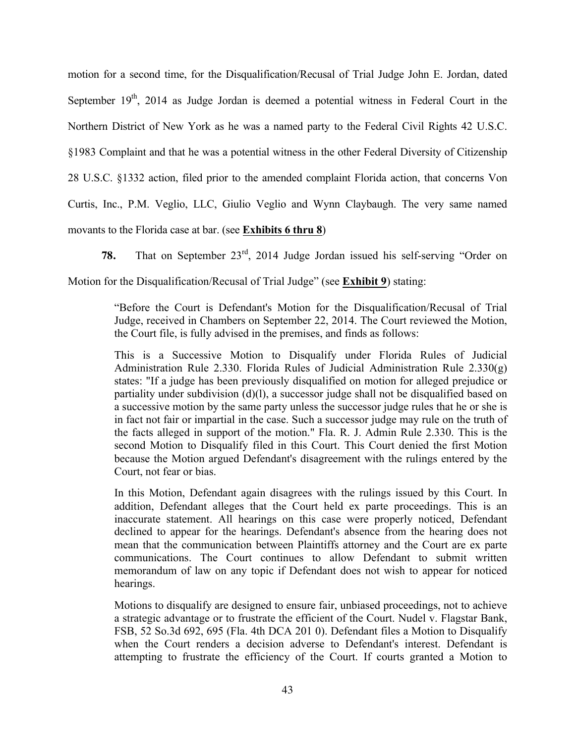motion for a second time, for the Disqualification/Recusal of Trial Judge John E. Jordan, dated September  $19<sup>th</sup>$ , 2014 as Judge Jordan is deemed a potential witness in Federal Court in the Northern District of New York as he was a named party to the Federal Civil Rights 42 U.S.C. §1983 Complaint and that he was a potential witness in the other Federal Diversity of Citizenship 28 U.S.C. §1332 action, filed prior to the amended complaint Florida action, that concerns Von Curtis, Inc., P.M. Veglio, LLC, Giulio Veglio and Wynn Claybaugh. The very same named movants to the Florida case at bar. (see **Exhibits 6 thru 8**)

**78.** That on September 23rd, 2014 Judge Jordan issued his self-serving "Order on Motion for the Disqualification/Recusal of Trial Judge" (see **Exhibit 9**) stating:

> "Before the Court is Defendant's Motion for the Disqualification/Recusal of Trial Judge, received in Chambers on September 22, 2014. The Court reviewed the Motion, the Court file, is fully advised in the premises, and finds as follows:

> This is a Successive Motion to Disqualify under Florida Rules of Judicial Administration Rule 2.330. Florida Rules of Judicial Administration Rule 2.330(g) states: "If a judge has been previously disqualified on motion for alleged prejudice or partiality under subdivision (d)(l), a successor judge shall not be disqualified based on a successive motion by the same party unless the successor judge rules that he or she is in fact not fair or impartial in the case. Such a successor judge may rule on the truth of the facts alleged in support of the motion." Fla. R. J. Admin Rule 2.330. This is the second Motion to Disqualify filed in this Court. This Court denied the first Motion because the Motion argued Defendant's disagreement with the rulings entered by the Court, not fear or bias.

> In this Motion, Defendant again disagrees with the rulings issued by this Court. In addition, Defendant alleges that the Court held ex parte proceedings. This is an inaccurate statement. All hearings on this case were properly noticed, Defendant declined to appear for the hearings. Defendant's absence from the hearing does not mean that the communication between Plaintiffs attorney and the Court are ex parte communications. The Court continues to allow Defendant to submit written memorandum of law on any topic if Defendant does not wish to appear for noticed hearings.

> Motions to disqualify are designed to ensure fair, unbiased proceedings, not to achieve a strategic advantage or to frustrate the efficient of the Court. Nudel v. Flagstar Bank, FSB, 52 So.3d 692, 695 (Fla. 4th DCA 201 0). Defendant files a Motion to Disqualify when the Court renders a decision adverse to Defendant's interest. Defendant is attempting to frustrate the efficiency of the Court. If courts granted a Motion to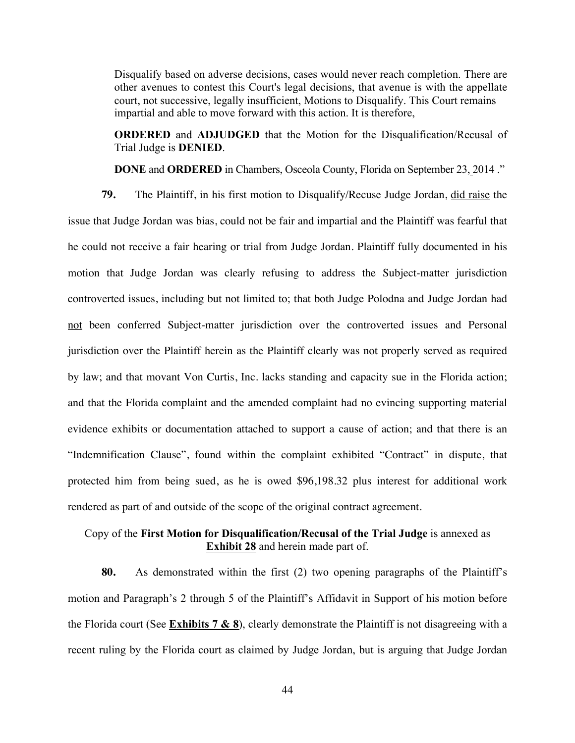Disqualify based on adverse decisions, cases would never reach completion. There are other avenues to contest this Court's legal decisions, that avenue is with the appellate court, not successive, legally insufficient, Motions to Disqualify. This Court remains impartial and able to move forward with this action. It is therefore,

**ORDERED** and **ADJUDGED** that the Motion for the Disqualification/Recusal of Trial Judge is **DENIED**.

**DONE** and **ORDERED** in Chambers, Osceola County, Florida on September 23, 2014 ."

**79.** The Plaintiff, in his first motion to Disqualify/Recuse Judge Jordan, did raise the issue that Judge Jordan was bias, could not be fair and impartial and the Plaintiff was fearful that he could not receive a fair hearing or trial from Judge Jordan. Plaintiff fully documented in his motion that Judge Jordan was clearly refusing to address the Subject-matter jurisdiction controverted issues, including but not limited to; that both Judge Polodna and Judge Jordan had not been conferred Subject-matter jurisdiction over the controverted issues and Personal jurisdiction over the Plaintiff herein as the Plaintiff clearly was not properly served as required by law; and that movant Von Curtis, Inc. lacks standing and capacity sue in the Florida action; and that the Florida complaint and the amended complaint had no evincing supporting material evidence exhibits or documentation attached to support a cause of action; and that there is an "Indemnification Clause", found within the complaint exhibited "Contract" in dispute, that protected him from being sued, as he is owed \$96,198.32 plus interest for additional work rendered as part of and outside of the scope of the original contract agreement.

## Copy of the **First Motion for Disqualification/Recusal of the Trial Judge** is annexed as **Exhibit 28** and herein made part of.

**80.** As demonstrated within the first (2) two opening paragraphs of the Plaintiff's motion and Paragraph's 2 through 5 of the Plaintiff's Affidavit in Support of his motion before the Florida court (See **Exhibits 7 & 8**), clearly demonstrate the Plaintiff is not disagreeing with a recent ruling by the Florida court as claimed by Judge Jordan, but is arguing that Judge Jordan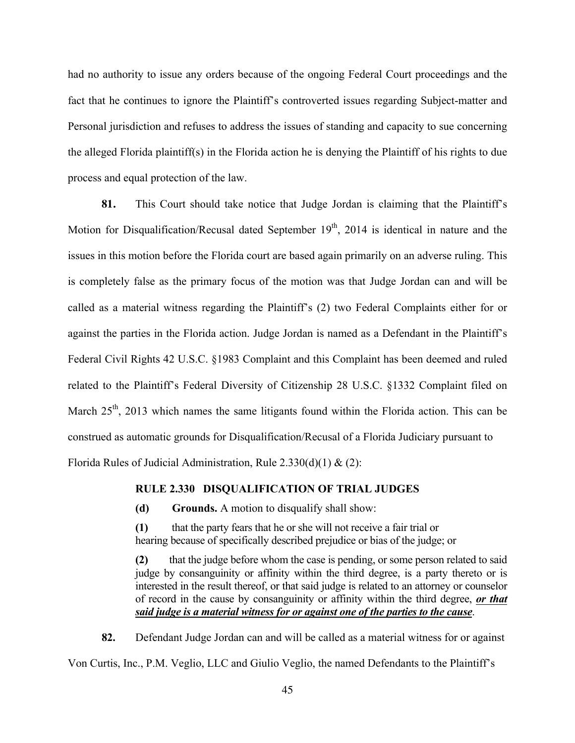had no authority to issue any orders because of the ongoing Federal Court proceedings and the fact that he continues to ignore the Plaintiff's controverted issues regarding Subject-matter and Personal jurisdiction and refuses to address the issues of standing and capacity to sue concerning the alleged Florida plaintiff(s) in the Florida action he is denying the Plaintiff of his rights to due process and equal protection of the law.

**81.** This Court should take notice that Judge Jordan is claiming that the Plaintiff's Motion for Disqualification/Recusal dated September  $19<sup>th</sup>$ , 2014 is identical in nature and the issues in this motion before the Florida court are based again primarily on an adverse ruling. This is completely false as the primary focus of the motion was that Judge Jordan can and will be called as a material witness regarding the Plaintiff's (2) two Federal Complaints either for or against the parties in the Florida action. Judge Jordan is named as a Defendant in the Plaintiff's Federal Civil Rights 42 U.S.C. §1983 Complaint and this Complaint has been deemed and ruled related to the Plaintiff's Federal Diversity of Citizenship 28 U.S.C. §1332 Complaint filed on March  $25<sup>th</sup>$ , 2013 which names the same litigants found within the Florida action. This can be construed as automatic grounds for Disqualification/Recusal of a Florida Judiciary pursuant to Florida Rules of Judicial Administration, Rule  $2.330(d)(1) & (2)$ :

#### **RULE 2.330 DISQUALIFICATION OF TRIAL JUDGES**

**(d) Grounds.** A motion to disqualify shall show:

**(1)** that the party fears that he or she will not receive a fair trial or hearing because of specifically described prejudice or bias of the judge; or

**(2)** that the judge before whom the case is pending, or some person related to said judge by consanguinity or affinity within the third degree, is a party thereto or is interested in the result thereof, or that said judge is related to an attorney or counselor of record in the cause by consanguinity or affinity within the third degree, *or that said judge is a material witness for or against one of the parties to the cause*.

**82.** Defendant Judge Jordan can and will be called as a material witness for or against Von Curtis, Inc., P.M. Veglio, LLC and Giulio Veglio, the named Defendants to the Plaintiff's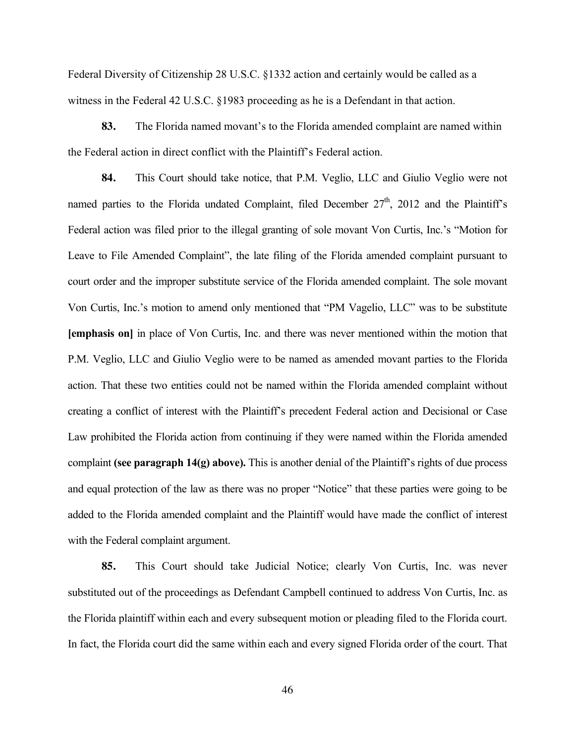Federal Diversity of Citizenship 28 U.S.C. §1332 action and certainly would be called as a witness in the Federal 42 U.S.C. §1983 proceeding as he is a Defendant in that action.

**83.** The Florida named movant's to the Florida amended complaint are named within the Federal action in direct conflict with the Plaintiff's Federal action.

**84.** This Court should take notice, that P.M. Veglio, LLC and Giulio Veglio were not named parties to the Florida undated Complaint, filed December  $27<sup>th</sup>$ , 2012 and the Plaintiff's Federal action was filed prior to the illegal granting of sole movant Von Curtis, Inc.'s "Motion for Leave to File Amended Complaint", the late filing of the Florida amended complaint pursuant to court order and the improper substitute service of the Florida amended complaint. The sole movant Von Curtis, Inc.'s motion to amend only mentioned that "PM Vagelio, LLC" was to be substitute **[emphasis on]** in place of Von Curtis, Inc. and there was never mentioned within the motion that P.M. Veglio, LLC and Giulio Veglio were to be named as amended movant parties to the Florida action. That these two entities could not be named within the Florida amended complaint without creating a conflict of interest with the Plaintiff's precedent Federal action and Decisional or Case Law prohibited the Florida action from continuing if they were named within the Florida amended complaint **(see paragraph 14(g) above).** This is another denial of the Plaintiff's rights of due process and equal protection of the law as there was no proper "Notice" that these parties were going to be added to the Florida amended complaint and the Plaintiff would have made the conflict of interest with the Federal complaint argument.

**85.** This Court should take Judicial Notice; clearly Von Curtis, Inc. was never substituted out of the proceedings as Defendant Campbell continued to address Von Curtis, Inc. as the Florida plaintiff within each and every subsequent motion or pleading filed to the Florida court. In fact, the Florida court did the same within each and every signed Florida order of the court. That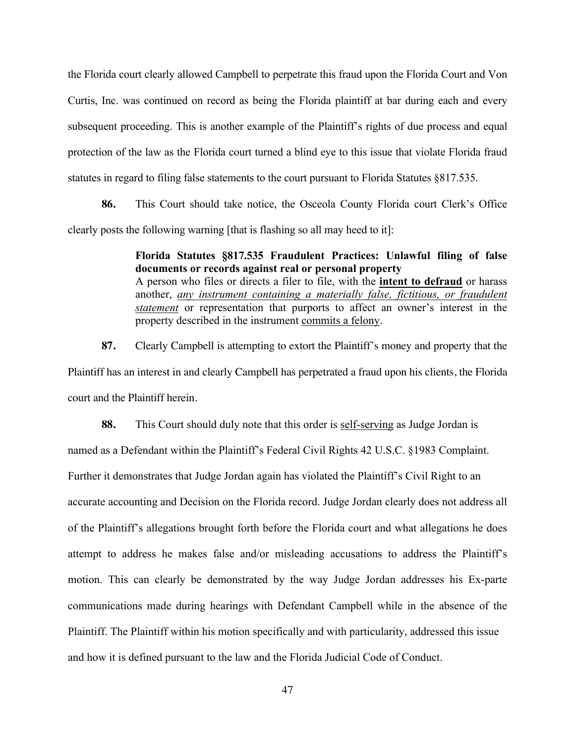the Florida court clearly allowed Campbell to perpetrate this fraud upon the Florida Court and Von Curtis, Inc. was continued on record as being the Florida plaintiff at bar during each and every subsequent proceeding. This is another example of the Plaintiff's rights of due process and equal protection of the law as the Florida court turned a blind eye to this issue that violate Florida fraud statutes in regard to filing false statements to the court pursuant to Florida Statutes §817.535.

**86.** This Court should take notice, the Osceola County Florida court Clerk's Office clearly posts the following warning [that is flashing so all may heed to it]:

> **Florida Statutes §817.535 Fraudulent Practices: Unlawful filing of false documents or records against real or personal property** A person who files or directs a filer to file, with the **intent to defraud** or harass another, *any instrument containing a materially false, fictitious, or fraudulent statement* or representation that purports to affect an owner's interest in the property described in the instrument commits a felony.

**87.** Clearly Campbell is attempting to extort the Plaintiff's money and property that the Plaintiff has an interest in and clearly Campbell has perpetrated a fraud upon his clients, the Florida court and the Plaintiff herein.

**88.** This Court should duly note that this order is self-serving as Judge Jordan is

named as a Defendant within the Plaintiff's Federal Civil Rights 42 U.S.C. §1983 Complaint.

Further it demonstrates that Judge Jordan again has violated the Plaintiff's Civil Right to an

accurate accounting and Decision on the Florida record. Judge Jordan clearly does not address all of the Plaintiff's allegations brought forth before the Florida court and what allegations he does attempt to address he makes false and/or misleading accusations to address the Plaintiff's motion. This can clearly be demonstrated by the way Judge Jordan addresses his Ex-parte communications made during hearings with Defendant Campbell while in the absence of the Plaintiff. The Plaintiff within his motion specifically and with particularity, addressed this issue and how it is defined pursuant to the law and the Florida Judicial Code of Conduct.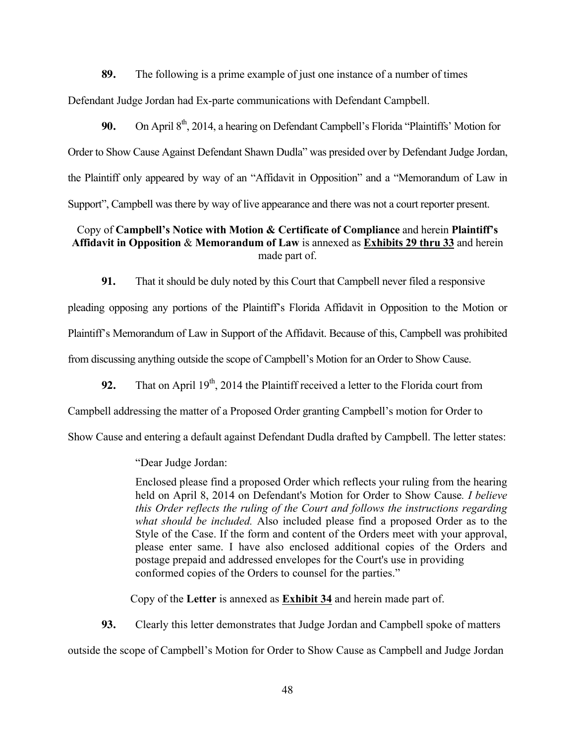**89.** The following is a prime example of just one instance of a number of times Defendant Judge Jordan had Ex-parte communications with Defendant Campbell.

90. On April 8<sup>th</sup>, 2014, a hearing on Defendant Campbell's Florida "Plaintiffs" Motion for Order to Show Cause Against Defendant Shawn Dudla" was presided over by Defendant Judge Jordan, the Plaintiff only appeared by way of an "Affidavit in Opposition" and a "Memorandum of Law in Support", Campbell was there by way of live appearance and there was not a court reporter present.

### Copy of **Campbell's Notice with Motion & Certificate of Compliance** and herein **Plaintiff's Affidavit in Opposition** & **Memorandum of Law** is annexed as **Exhibits 29 thru 33** and herein made part of.

**91.** That it should be duly noted by this Court that Campbell never filed a responsive

pleading opposing any portions of the Plaintiff's Florida Affidavit in Opposition to the Motion or Plaintiff's Memorandum of Law in Support of the Affidavit. Because of this, Campbell was prohibited from discussing anything outside the scope of Campbell's Motion for an Order to Show Cause.

**92.** That on April 19<sup>th</sup>, 2014 the Plaintiff received a letter to the Florida court from

Campbell addressing the matter of a Proposed Order granting Campbell's motion for Order to

Show Cause and entering a default against Defendant Dudla drafted by Campbell. The letter states:

"Dear Judge Jordan:

Enclosed please find a proposed Order which reflects your ruling from the hearing held on April 8, 2014 on Defendant's Motion for Order to Show Cause*. I believe this Order reflects the ruling of the Court and follows the instructions regarding what should be included.* Also included please find a proposed Order as to the Style of the Case. If the form and content of the Orders meet with your approval, please enter same. I have also enclosed additional copies of the Orders and postage prepaid and addressed envelopes for the Court's use in providing conformed copies of the Orders to counsel for the parties."

Copy of the **Letter** is annexed as **Exhibit 34** and herein made part of.

**93.** Clearly this letter demonstrates that Judge Jordan and Campbell spoke of matters

outside the scope of Campbell's Motion for Order to Show Cause as Campbell and Judge Jordan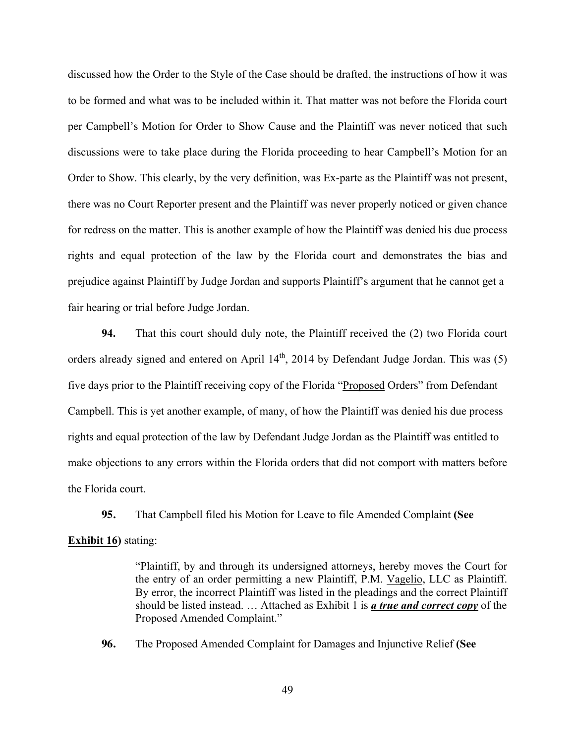discussed how the Order to the Style of the Case should be drafted, the instructions of how it was to be formed and what was to be included within it. That matter was not before the Florida court per Campbell's Motion for Order to Show Cause and the Plaintiff was never noticed that such discussions were to take place during the Florida proceeding to hear Campbell's Motion for an Order to Show. This clearly, by the very definition, was Ex-parte as the Plaintiff was not present, there was no Court Reporter present and the Plaintiff was never properly noticed or given chance for redress on the matter. This is another example of how the Plaintiff was denied his due process rights and equal protection of the law by the Florida court and demonstrates the bias and prejudice against Plaintiff by Judge Jordan and supports Plaintiff's argument that he cannot get a fair hearing or trial before Judge Jordan.

**94.** That this court should duly note, the Plaintiff received the (2) two Florida court orders already signed and entered on April  $14<sup>th</sup>$ , 2014 by Defendant Judge Jordan. This was (5) five days prior to the Plaintiff receiving copy of the Florida "Proposed Orders" from Defendant Campbell. This is yet another example, of many, of how the Plaintiff was denied his due process rights and equal protection of the law by Defendant Judge Jordan as the Plaintiff was entitled to make objections to any errors within the Florida orders that did not comport with matters before the Florida court.

**95.** That Campbell filed his Motion for Leave to file Amended Complaint **(See Exhibit 16)** stating:

> "Plaintiff, by and through its undersigned attorneys, hereby moves the Court for the entry of an order permitting a new Plaintiff, P.M. Vagelio, LLC as Plaintiff. By error, the incorrect Plaintiff was listed in the pleadings and the correct Plaintiff should be listed instead. … Attached as Exhibit 1 is *a true and correct copy* of the Proposed Amended Complaint."

**96.** The Proposed Amended Complaint for Damages and Injunctive Relief **(See**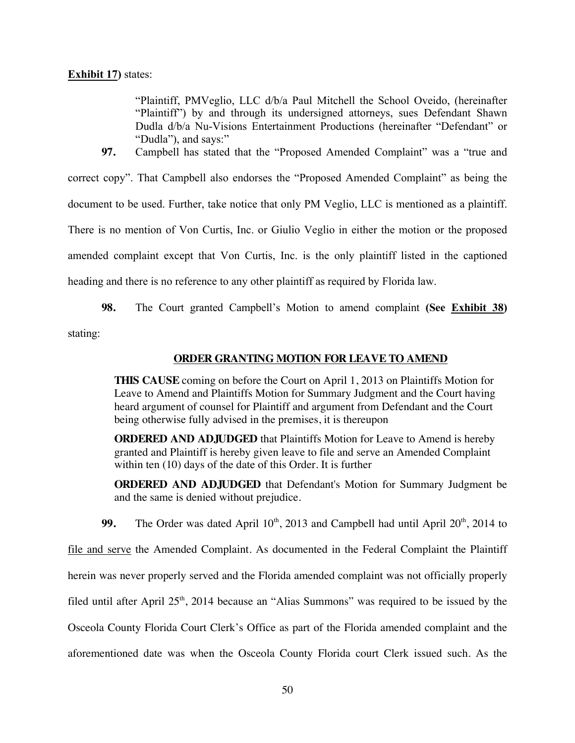### **Exhibit 17)** states:

"Plaintiff, PMVeglio, LLC d/b/a Paul Mitchell the School Oveido, (hereinafter "Plaintiff") by and through its undersigned attorneys, sues Defendant Shawn Dudla d/b/a Nu-Visions Entertainment Productions (hereinafter "Defendant" or "Dudla"), and says:"

**97.** Campbell has stated that the "Proposed Amended Complaint" was a "true and correct copy". That Campbell also endorses the "Proposed Amended Complaint" as being the document to be used. Further, take notice that only PM Veglio, LLC is mentioned as a plaintiff. There is no mention of Von Curtis, Inc. or Giulio Veglio in either the motion or the proposed amended complaint except that Von Curtis, Inc. is the only plaintiff listed in the captioned heading and there is no reference to any other plaintiff as required by Florida law.

**98.** The Court granted Campbell's Motion to amend complaint **(See Exhibit 38)** stating:

## **ORDER GRANTING MOTION FOR LEAVE TO AMEND**

**THIS CAUSE** coming on before the Court on April 1, 2013 on Plaintiffs Motion for Leave to Amend and Plaintiffs Motion for Summary Judgment and the Court having heard argument of counsel for Plaintiff and argument from Defendant and the Court being otherwise fully advised in the premises, it is thereupon

**ORDERED AND ADJUDGED** that Plaintiffs Motion for Leave to Amend is hereby granted and Plaintiff is hereby given leave to file and serve an Amended Complaint within ten (10) days of the date of this Order. It is further

**ORDERED AND ADJUDGED** that Defendant's Motion for Summary Judgment be and the same is denied without prejudice.

**99.** The Order was dated April  $10<sup>th</sup>$ , 2013 and Campbell had until April  $20<sup>th</sup>$ , 2014 to

file and serve the Amended Complaint. As documented in the Federal Complaint the Plaintiff

herein was never properly served and the Florida amended complaint was not officially properly

filed until after April  $25<sup>th</sup>$ , 2014 because an "Alias Summons" was required to be issued by the

Osceola County Florida Court Clerk's Office as part of the Florida amended complaint and the

aforementioned date was when the Osceola County Florida court Clerk issued such. As the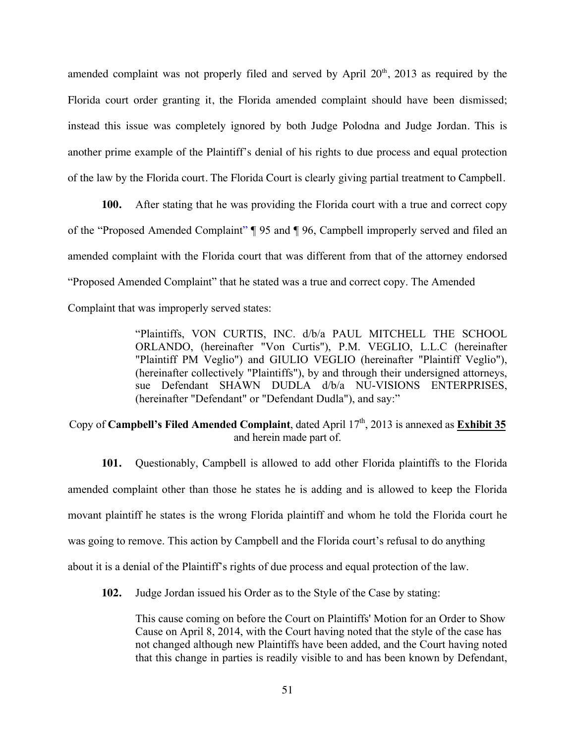amended complaint was not properly filed and served by April  $20<sup>th</sup>$ ,  $2013$  as required by the Florida court order granting it, the Florida amended complaint should have been dismissed; instead this issue was completely ignored by both Judge Polodna and Judge Jordan. This is another prime example of the Plaintiff's denial of his rights to due process and equal protection of the law by the Florida court. The Florida Court is clearly giving partial treatment to Campbell.

**100.** After stating that he was providing the Florida court with a true and correct copy of the "Proposed Amended Complaint" ¶ 95 and ¶ 96, Campbell improperly served and filed an amended complaint with the Florida court that was different from that of the attorney endorsed "Proposed Amended Complaint" that he stated was a true and correct copy. The Amended Complaint that was improperly served states:

> "Plaintiffs, VON CURTIS, INC. d/b/a PAUL MITCHELL THE SCHOOL ORLANDO, (hereinafter "Von Curtis"), P.M. VEGLIO, L.L.C (hereinafter "Plaintiff PM Veglio") and GIULIO VEGLIO (hereinafter "Plaintiff Veglio"), (hereinafter collectively "Plaintiffs"), by and through their undersigned attorneys, sue Defendant SHAWN DUDLA d/b/a NU-VISIONS ENTERPRISES, (hereinafter "Defendant" or "Defendant Dudla"), and say:"

# Copy of **Campbell's Filed Amended Complaint**, dated April 17<sup>th</sup>, 2013 is annexed as **Exhibit 35** and herein made part of.

**101.** Questionably, Campbell is allowed to add other Florida plaintiffs to the Florida amended complaint other than those he states he is adding and is allowed to keep the Florida movant plaintiff he states is the wrong Florida plaintiff and whom he told the Florida court he was going to remove. This action by Campbell and the Florida court's refusal to do anything about it is a denial of the Plaintiff's rights of due process and equal protection of the law.

**102.** Judge Jordan issued his Order as to the Style of the Case by stating:

This cause coming on before the Court on Plaintiffs' Motion for an Order to Show Cause on April 8, 2014, with the Court having noted that the style of the case has not changed although new Plaintiffs have been added, and the Court having noted that this change in parties is readily visible to and has been known by Defendant,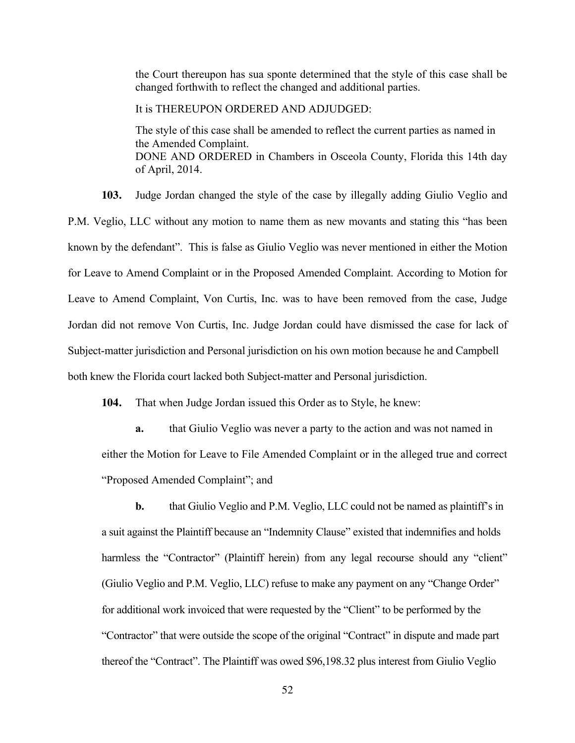the Court thereupon has sua sponte determined that the style of this case shall be changed forthwith to reflect the changed and additional parties.

It is THEREUPON ORDERED AND ADJUDGED:

The style of this case shall be amended to reflect the current parties as named in the Amended Complaint. DONE AND ORDERED in Chambers in Osceola County, Florida this 14th day of April, 2014.

**103.** Judge Jordan changed the style of the case by illegally adding Giulio Veglio and P.M. Veglio, LLC without any motion to name them as new movants and stating this "has been known by the defendant". This is false as Giulio Veglio was never mentioned in either the Motion for Leave to Amend Complaint or in the Proposed Amended Complaint. According to Motion for Leave to Amend Complaint, Von Curtis, Inc. was to have been removed from the case, Judge Jordan did not remove Von Curtis, Inc. Judge Jordan could have dismissed the case for lack of Subject-matter jurisdiction and Personal jurisdiction on his own motion because he and Campbell both knew the Florida court lacked both Subject-matter and Personal jurisdiction.

**104.** That when Judge Jordan issued this Order as to Style, he knew:

**a.** that Giulio Veglio was never a party to the action and was not named in either the Motion for Leave to File Amended Complaint or in the alleged true and correct "Proposed Amended Complaint"; and

**b.** that Giulio Veglio and P.M. Veglio, LLC could not be named as plaintiff's in a suit against the Plaintiff because an "Indemnity Clause" existed that indemnifies and holds harmless the "Contractor" (Plaintiff herein) from any legal recourse should any "client" (Giulio Veglio and P.M. Veglio, LLC) refuse to make any payment on any "Change Order" for additional work invoiced that were requested by the "Client" to be performed by the "Contractor" that were outside the scope of the original "Contract" in dispute and made part thereof the "Contract". The Plaintiff was owed \$96,198.32 plus interest from Giulio Veglio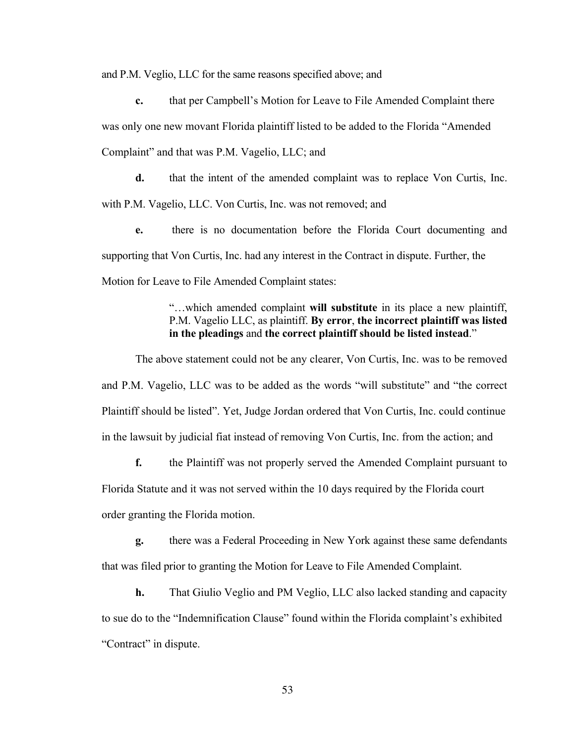and P.M. Veglio, LLC for the same reasons specified above; and

**c.** that per Campbell's Motion for Leave to File Amended Complaint there was only one new movant Florida plaintiff listed to be added to the Florida "Amended Complaint" and that was P.M. Vagelio, LLC; and

**d.** that the intent of the amended complaint was to replace Von Curtis, Inc. with P.M. Vagelio, LLC. Von Curtis, Inc. was not removed; and

**e.** there is no documentation before the Florida Court documenting and supporting that Von Curtis, Inc. had any interest in the Contract in dispute. Further, the Motion for Leave to File Amended Complaint states:

> "…which amended complaint **will substitute** in its place a new plaintiff, P.M. Vagelio LLC, as plaintiff. **By error**, **the incorrect plaintiff was listed in the pleadings** and **the correct plaintiff should be listed instead**."

The above statement could not be any clearer, Von Curtis, Inc. was to be removed and P.M. Vagelio, LLC was to be added as the words "will substitute" and "the correct Plaintiff should be listed". Yet, Judge Jordan ordered that Von Curtis, Inc. could continue in the lawsuit by judicial fiat instead of removing Von Curtis, Inc. from the action; and

**f.** the Plaintiff was not properly served the Amended Complaint pursuant to Florida Statute and it was not served within the 10 days required by the Florida court order granting the Florida motion.

**g.** there was a Federal Proceeding in New York against these same defendants that was filed prior to granting the Motion for Leave to File Amended Complaint.

**h.** That Giulio Veglio and PM Veglio, LLC also lacked standing and capacity to sue do to the "Indemnification Clause" found within the Florida complaint's exhibited "Contract" in dispute.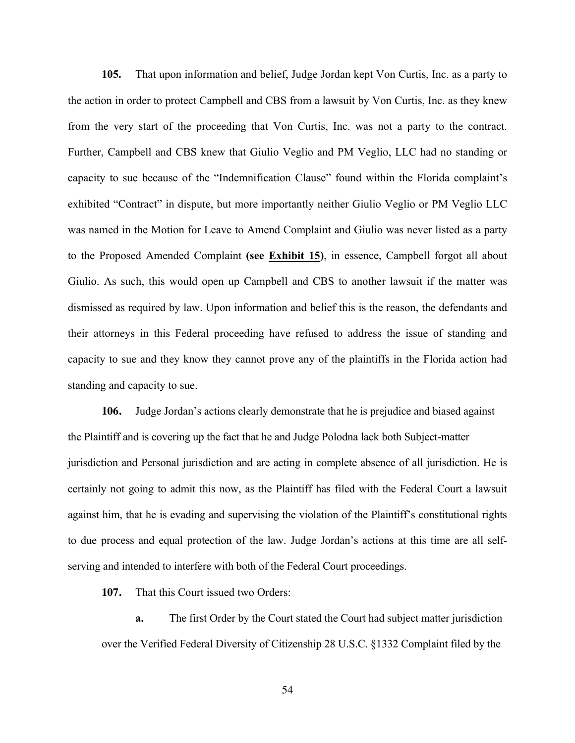**105.** That upon information and belief, Judge Jordan kept Von Curtis, Inc. as a party to the action in order to protect Campbell and CBS from a lawsuit by Von Curtis, Inc. as they knew from the very start of the proceeding that Von Curtis, Inc. was not a party to the contract. Further, Campbell and CBS knew that Giulio Veglio and PM Veglio, LLC had no standing or capacity to sue because of the "Indemnification Clause" found within the Florida complaint's exhibited "Contract" in dispute, but more importantly neither Giulio Veglio or PM Veglio LLC was named in the Motion for Leave to Amend Complaint and Giulio was never listed as a party to the Proposed Amended Complaint **(see Exhibit 15)**, in essence, Campbell forgot all about Giulio. As such, this would open up Campbell and CBS to another lawsuit if the matter was dismissed as required by law. Upon information and belief this is the reason, the defendants and their attorneys in this Federal proceeding have refused to address the issue of standing and capacity to sue and they know they cannot prove any of the plaintiffs in the Florida action had standing and capacity to sue.

**106.** Judge Jordan's actions clearly demonstrate that he is prejudice and biased against the Plaintiff and is covering up the fact that he and Judge Polodna lack both Subject-matter jurisdiction and Personal jurisdiction and are acting in complete absence of all jurisdiction. He is certainly not going to admit this now, as the Plaintiff has filed with the Federal Court a lawsuit against him, that he is evading and supervising the violation of the Plaintiff's constitutional rights to due process and equal protection of the law. Judge Jordan's actions at this time are all selfserving and intended to interfere with both of the Federal Court proceedings.

**107.** That this Court issued two Orders:

**a.** The first Order by the Court stated the Court had subject matter jurisdiction over the Verified Federal Diversity of Citizenship 28 U.S.C. §1332 Complaint filed by the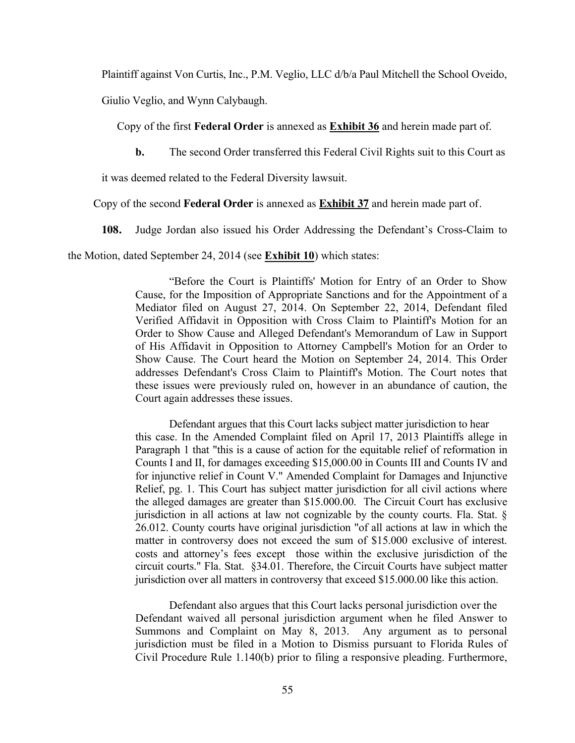Plaintiff against Von Curtis, Inc., P.M. Veglio, LLC d/b/a Paul Mitchell the School Oveido,

Giulio Veglio, and Wynn Calybaugh.

Copy of the first **Federal Order** is annexed as **Exhibit 36** and herein made part of.

**b.** The second Order transferred this Federal Civil Rights suit to this Court as

it was deemed related to the Federal Diversity lawsuit.

Copy of the second **Federal Order** is annexed as **Exhibit 37** and herein made part of.

**108.** Judge Jordan also issued his Order Addressing the Defendant's Cross-Claim to

the Motion, dated September 24, 2014 (see **Exhibit 10**) which states:

"Before the Court is Plaintiffs' Motion for Entry of an Order to Show Cause, for the Imposition of Appropriate Sanctions and for the Appointment of a Mediator filed on August 27, 2014. On September 22, 2014, Defendant filed Verified Affidavit in Opposition with Cross Claim to Plaintiff's Motion for an Order to Show Cause and Alleged Defendant's Memorandum of Law in Support of His Affidavit in Opposition to Attorney Campbell's Motion for an Order to Show Cause. The Court heard the Motion on September 24, 2014. This Order addresses Defendant's Cross Claim to Plaintiff's Motion. The Court notes that these issues were previously ruled on, however in an abundance of caution, the Court again addresses these issues.

Defendant argues that this Court lacks subject matter jurisdiction to hear this case. In the Amended Complaint filed on April 17, 2013 Plaintiffs allege in Paragraph 1 that "this is a cause of action for the equitable relief of reformation in Counts I and II, for damages exceeding \$15,000.00 in Counts III and Counts IV and for injunctive relief in Count V." Amended Complaint for Damages and Injunctive Relief, pg. 1. This Court has subject matter jurisdiction for all civil actions where the alleged damages are greater than \$15.000.00. The Circuit Court has exclusive jurisdiction in all actions at law not cognizable by the county courts. Fla. Stat. § 26.012. County courts have original jurisdiction "of all actions at law in which the matter in controversy does not exceed the sum of \$15.000 exclusive of interest. costs and attorney's fees except those within the exclusive jurisdiction of the circuit courts." Fla. Stat. §34.01. Therefore, the Circuit Courts have subject matter jurisdiction over all matters in controversy that exceed \$15.000.00 like this action.

Defendant also argues that this Court lacks personal jurisdiction over the Defendant waived all personal jurisdiction argument when he filed Answer to Summons and Complaint on May 8, 2013. Any argument as to personal jurisdiction must be filed in a Motion to Dismiss pursuant to Florida Rules of Civil Procedure Rule 1.140(b) prior to filing a responsive pleading. Furthermore,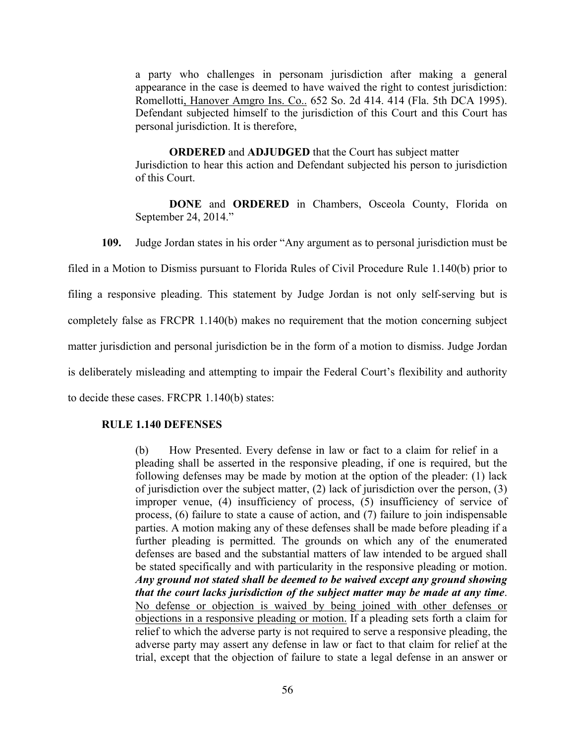a party who challenges in personam jurisdiction after making a general appearance in the case is deemed to have waived the right to contest jurisdiction: Romellotti, Hanover Amgro Ins. Co.. 652 So. 2d 414. 414 (Fla. 5th DCA 1995). Defendant subjected himself to the jurisdiction of this Court and this Court has personal jurisdiction. It is therefore,

**ORDERED** and **ADJUDGED** that the Court has subject matter Jurisdiction to hear this action and Defendant subjected his person to jurisdiction of this Court.

**DONE** and **ORDERED** in Chambers, Osceola County, Florida on September 24, 2014."

**109.** Judge Jordan states in his order "Any argument as to personal jurisdiction must be

filed in a Motion to Dismiss pursuant to Florida Rules of Civil Procedure Rule 1.140(b) prior to

filing a responsive pleading. This statement by Judge Jordan is not only self-serving but is

completely false as FRCPR 1.140(b) makes no requirement that the motion concerning subject

matter jurisdiction and personal jurisdiction be in the form of a motion to dismiss. Judge Jordan

is deliberately misleading and attempting to impair the Federal Court's flexibility and authority

to decide these cases. FRCPR 1.140(b) states:

### **RULE 1.140 DEFENSES**

(b) How Presented. Every defense in law or fact to a claim for relief in a pleading shall be asserted in the responsive pleading, if one is required, but the following defenses may be made by motion at the option of the pleader: (1) lack of jurisdiction over the subject matter, (2) lack of jurisdiction over the person, (3) improper venue, (4) insufficiency of process, (5) insufficiency of service of process, (6) failure to state a cause of action, and (7) failure to join indispensable parties. A motion making any of these defenses shall be made before pleading if a further pleading is permitted. The grounds on which any of the enumerated defenses are based and the substantial matters of law intended to be argued shall be stated specifically and with particularity in the responsive pleading or motion. *Any ground not stated shall be deemed to be waived except any ground showing that the court lacks jurisdiction of the subject matter may be made at any time*. No defense or objection is waived by being joined with other defenses or objections in a responsive pleading or motion. If a pleading sets forth a claim for relief to which the adverse party is not required to serve a responsive pleading, the adverse party may assert any defense in law or fact to that claim for relief at the trial, except that the objection of failure to state a legal defense in an answer or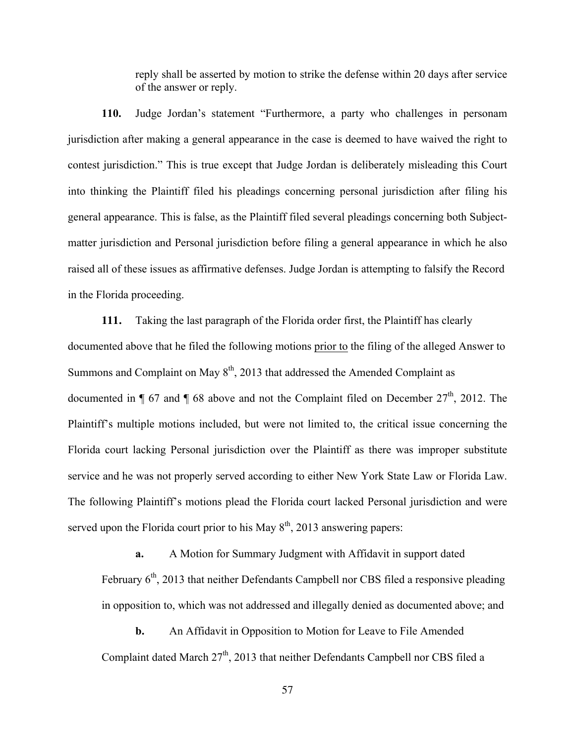reply shall be asserted by motion to strike the defense within 20 days after service of the answer or reply.

**110.** Judge Jordan's statement "Furthermore, a party who challenges in personam jurisdiction after making a general appearance in the case is deemed to have waived the right to contest jurisdiction." This is true except that Judge Jordan is deliberately misleading this Court into thinking the Plaintiff filed his pleadings concerning personal jurisdiction after filing his general appearance. This is false, as the Plaintiff filed several pleadings concerning both Subjectmatter jurisdiction and Personal jurisdiction before filing a general appearance in which he also raised all of these issues as affirmative defenses. Judge Jordan is attempting to falsify the Record in the Florida proceeding.

**111.** Taking the last paragraph of the Florida order first, the Plaintiff has clearly documented above that he filed the following motions prior to the filing of the alleged Answer to Summons and Complaint on May  $8<sup>th</sup>$ , 2013 that addressed the Amended Complaint as documented in  $\P$  67 and  $\P$  68 above and not the Complaint filed on December 27<sup>th</sup>, 2012. The Plaintiff's multiple motions included, but were not limited to, the critical issue concerning the Florida court lacking Personal jurisdiction over the Plaintiff as there was improper substitute service and he was not properly served according to either New York State Law or Florida Law. The following Plaintiff's motions plead the Florida court lacked Personal jurisdiction and were served upon the Florida court prior to his May  $8<sup>th</sup>$ , 2013 answering papers:

**a.** A Motion for Summary Judgment with Affidavit in support dated February  $6<sup>th</sup>$ , 2013 that neither Defendants Campbell nor CBS filed a responsive pleading in opposition to, which was not addressed and illegally denied as documented above; and

**b.** An Affidavit in Opposition to Motion for Leave to File Amended Complaint dated March 27<sup>th</sup>, 2013 that neither Defendants Campbell nor CBS filed a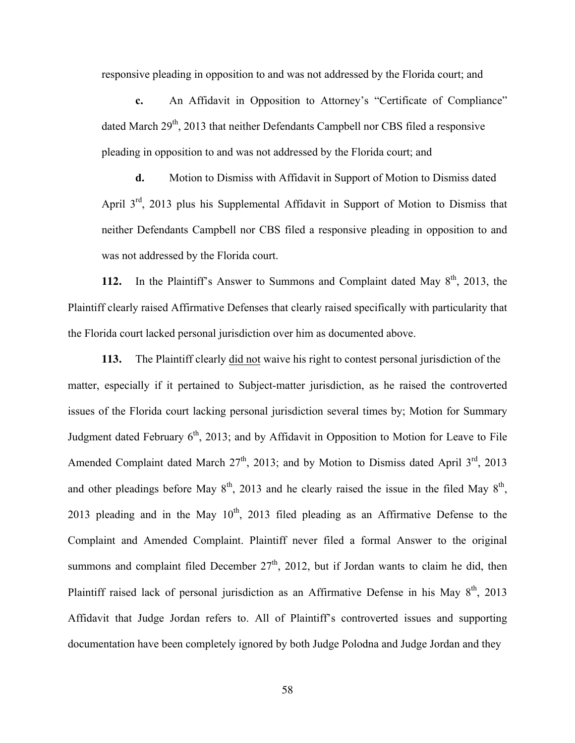responsive pleading in opposition to and was not addressed by the Florida court; and

**c.** An Affidavit in Opposition to Attorney's "Certificate of Compliance" dated March 29<sup>th</sup>, 2013 that neither Defendants Campbell nor CBS filed a responsive pleading in opposition to and was not addressed by the Florida court; and

**d.** Motion to Dismiss with Affidavit in Support of Motion to Dismiss dated April 3<sup>rd</sup>, 2013 plus his Supplemental Affidavit in Support of Motion to Dismiss that neither Defendants Campbell nor CBS filed a responsive pleading in opposition to and was not addressed by the Florida court.

**112.** In the Plaintiff's Answer to Summons and Complaint dated May  $8<sup>th</sup>$ , 2013, the Plaintiff clearly raised Affirmative Defenses that clearly raised specifically with particularity that the Florida court lacked personal jurisdiction over him as documented above.

**113.** The Plaintiff clearly did not waive his right to contest personal jurisdiction of the matter, especially if it pertained to Subject-matter jurisdiction, as he raised the controverted issues of the Florida court lacking personal jurisdiction several times by; Motion for Summary Judgment dated February  $6<sup>th</sup>$ , 2013; and by Affidavit in Opposition to Motion for Leave to File Amended Complaint dated March  $27<sup>th</sup>$ , 2013; and by Motion to Dismiss dated April  $3<sup>rd</sup>$ , 2013 and other pleadings before May  $8<sup>th</sup>$ , 2013 and he clearly raised the issue in the filed May  $8<sup>th</sup>$ , 2013 pleading and in the May  $10<sup>th</sup>$ , 2013 filed pleading as an Affirmative Defense to the Complaint and Amended Complaint. Plaintiff never filed a formal Answer to the original summons and complaint filed December  $27<sup>th</sup>$ , 2012, but if Jordan wants to claim he did, then Plaintiff raised lack of personal jurisdiction as an Affirmative Defense in his May 8<sup>th</sup>, 2013 Affidavit that Judge Jordan refers to. All of Plaintiff's controverted issues and supporting documentation have been completely ignored by both Judge Polodna and Judge Jordan and they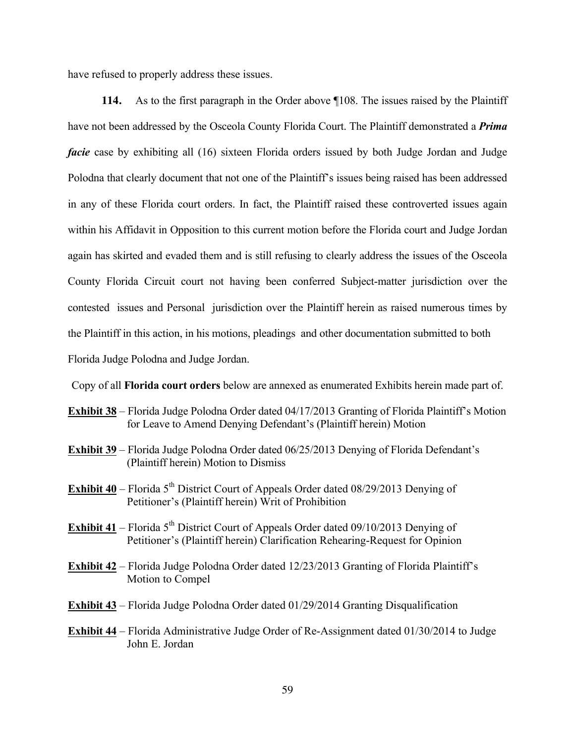have refused to properly address these issues.

**114.** As to the first paragraph in the Order above ¶108. The issues raised by the Plaintiff have not been addressed by the Osceola County Florida Court. The Plaintiff demonstrated a *Prima facie* case by exhibiting all (16) sixteen Florida orders issued by both Judge Jordan and Judge Polodna that clearly document that not one of the Plaintiff's issues being raised has been addressed in any of these Florida court orders. In fact, the Plaintiff raised these controverted issues again within his Affidavit in Opposition to this current motion before the Florida court and Judge Jordan again has skirted and evaded them and is still refusing to clearly address the issues of the Osceola County Florida Circuit court not having been conferred Subject-matter jurisdiction over the contested issues and Personal jurisdiction over the Plaintiff herein as raised numerous times by the Plaintiff in this action, in his motions, pleadings and other documentation submitted to both Florida Judge Polodna and Judge Jordan.

Copy of all **Florida court orders** below are annexed as enumerated Exhibits herein made part of.

- **Exhibit 38** Florida Judge Polodna Order dated 04/17/2013 Granting of Florida Plaintiff's Motion for Leave to Amend Denying Defendant's (Plaintiff herein) Motion
- **Exhibit 39** Florida Judge Polodna Order dated 06/25/2013 Denying of Florida Defendant's (Plaintiff herein) Motion to Dismiss
- **Exhibit 40** Florida 5<sup>th</sup> District Court of Appeals Order dated 08/29/2013 Denying of Petitioner's (Plaintiff herein) Writ of Prohibition
- **Exhibit 41** Florida  $5<sup>th</sup>$  District Court of Appeals Order dated 09/10/2013 Denying of Petitioner's (Plaintiff herein) Clarification Rehearing-Request for Opinion
- **Exhibit 42** Florida Judge Polodna Order dated 12/23/2013 Granting of Florida Plaintiff's Motion to Compel
- **Exhibit 43** Florida Judge Polodna Order dated 01/29/2014 Granting Disqualification
- **Exhibit 44** Florida Administrative Judge Order of Re-Assignment dated 01/30/2014 to Judge John E. Jordan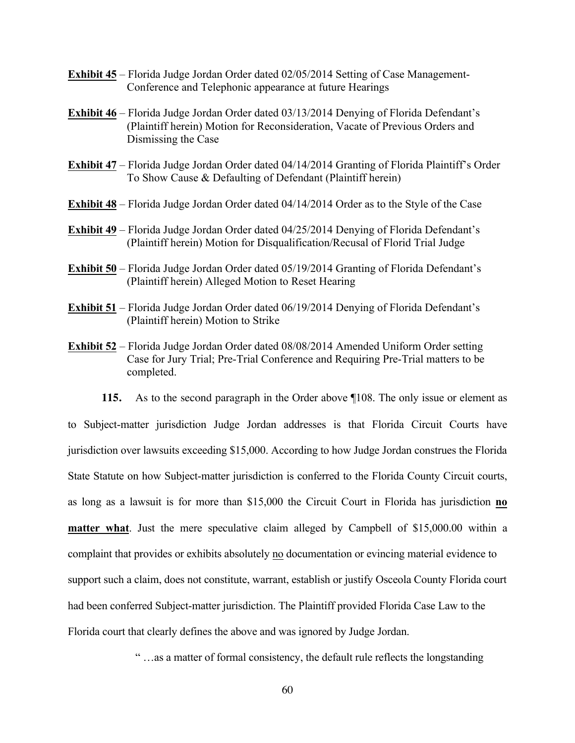- **Exhibit 45** Florida Judge Jordan Order dated 02/05/2014 Setting of Case Management-Conference and Telephonic appearance at future Hearings
- **Exhibit 46** Florida Judge Jordan Order dated 03/13/2014 Denying of Florida Defendant's (Plaintiff herein) Motion for Reconsideration, Vacate of Previous Orders and Dismissing the Case
- **Exhibit 47** Florida Judge Jordan Order dated 04/14/2014 Granting of Florida Plaintiff's Order To Show Cause & Defaulting of Defendant (Plaintiff herein)
- **Exhibit 48** Florida Judge Jordan Order dated 04/14/2014 Order as to the Style of the Case
- **Exhibit 49** Florida Judge Jordan Order dated 04/25/2014 Denying of Florida Defendant's (Plaintiff herein) Motion for Disqualification/Recusal of Florid Trial Judge
- **Exhibit 50** Florida Judge Jordan Order dated 05/19/2014 Granting of Florida Defendant's (Plaintiff herein) Alleged Motion to Reset Hearing
- **Exhibit 51** Florida Judge Jordan Order dated 06/19/2014 Denying of Florida Defendant's (Plaintiff herein) Motion to Strike
- **Exhibit 52** Florida Judge Jordan Order dated 08/08/2014 Amended Uniform Order setting Case for Jury Trial; Pre-Trial Conference and Requiring Pre-Trial matters to be completed.

**115.** As to the second paragraph in the Order above ¶108. The only issue or element as to Subject-matter jurisdiction Judge Jordan addresses is that Florida Circuit Courts have jurisdiction over lawsuits exceeding \$15,000. According to how Judge Jordan construes the Florida State Statute on how Subject-matter jurisdiction is conferred to the Florida County Circuit courts, as long as a lawsuit is for more than \$15,000 the Circuit Court in Florida has jurisdiction **no matter what**. Just the mere speculative claim alleged by Campbell of \$15,000.00 within a complaint that provides or exhibits absolutely no documentation or evincing material evidence to support such a claim, does not constitute, warrant, establish or justify Osceola County Florida court had been conferred Subject-matter jurisdiction. The Plaintiff provided Florida Case Law to the Florida court that clearly defines the above and was ignored by Judge Jordan.

" …as a matter of formal consistency, the default rule reflects the longstanding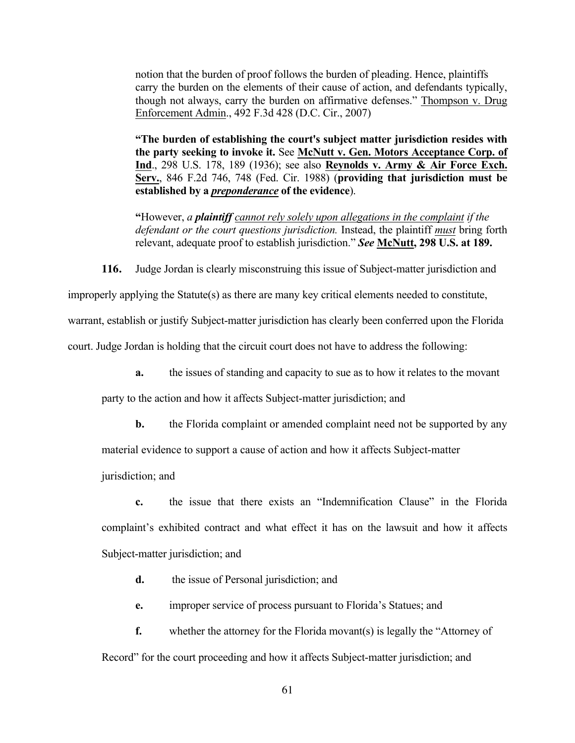notion that the burden of proof follows the burden of pleading. Hence, plaintiffs carry the burden on the elements of their cause of action, and defendants typically, though not always, carry the burden on affirmative defenses." Thompson v. Drug Enforcement Admin., 492 F.3d 428 (D.C. Cir., 2007)

**"The burden of establishing the court's subject matter jurisdiction resides with the party seeking to invoke it.** See **McNutt v. Gen. Motors Acceptance Corp. of Ind**., 298 U.S. 178, 189 (1936); see also **Reynolds v. Army & Air Force Exch. Serv.**, 846 F.2d 746, 748 (Fed. Cir. 1988) (**providing that jurisdiction must be established by a** *preponderance* **of the evidence**).

**"**However, *a plaintiff cannot rely solely upon allegations in the complaint if the defendant or the court questions jurisdiction.* Instead, the plaintiff *must* bring forth relevant, adequate proof to establish jurisdiction." *See* **McNutt, 298 U.S. at 189.**

**116.** Judge Jordan is clearly misconstruing this issue of Subject-matter jurisdiction and

improperly applying the Statute(s) as there are many key critical elements needed to constitute,

warrant, establish or justify Subject-matter jurisdiction has clearly been conferred upon the Florida

court. Judge Jordan is holding that the circuit court does not have to address the following:

**a.** the issues of standing and capacity to sue as to how it relates to the movant

party to the action and how it affects Subject-matter jurisdiction; and

**b.** the Florida complaint or amended complaint need not be supported by any

material evidence to support a cause of action and how it affects Subject-matter

jurisdiction; and

**c.** the issue that there exists an "Indemnification Clause" in the Florida complaint's exhibited contract and what effect it has on the lawsuit and how it affects Subject-matter jurisdiction; and

**d.** the issue of Personal jurisdiction; and

**e.** improper service of process pursuant to Florida's Statues; and

**f.** whether the attorney for the Florida movant(s) is legally the "Attorney of Record" for the court proceeding and how it affects Subject-matter jurisdiction; and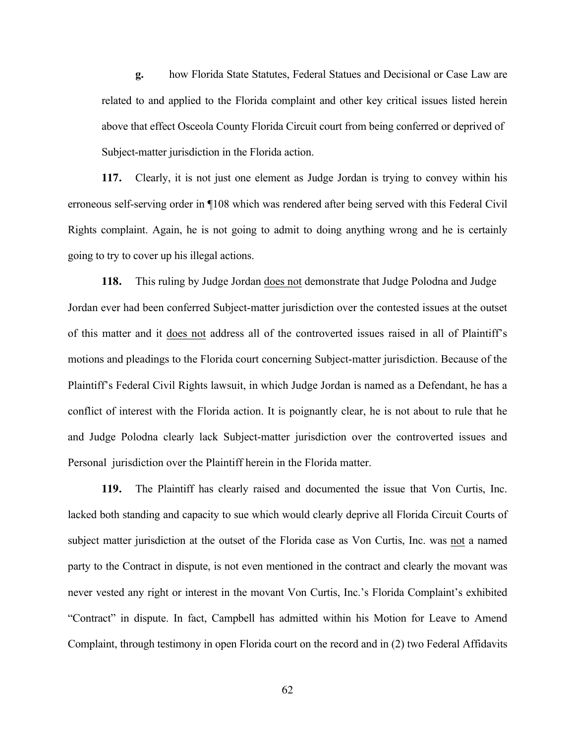**g.** how Florida State Statutes, Federal Statues and Decisional or Case Law are related to and applied to the Florida complaint and other key critical issues listed herein above that effect Osceola County Florida Circuit court from being conferred or deprived of Subject-matter jurisdiction in the Florida action.

**117.** Clearly, it is not just one element as Judge Jordan is trying to convey within his erroneous self-serving order in ¶108 which was rendered after being served with this Federal Civil Rights complaint. Again, he is not going to admit to doing anything wrong and he is certainly going to try to cover up his illegal actions.

**118.** This ruling by Judge Jordan does not demonstrate that Judge Polodna and Judge Jordan ever had been conferred Subject-matter jurisdiction over the contested issues at the outset of this matter and it does not address all of the controverted issues raised in all of Plaintiff's motions and pleadings to the Florida court concerning Subject-matter jurisdiction. Because of the Plaintiff's Federal Civil Rights lawsuit, in which Judge Jordan is named as a Defendant, he has a conflict of interest with the Florida action. It is poignantly clear, he is not about to rule that he and Judge Polodna clearly lack Subject-matter jurisdiction over the controverted issues and Personal jurisdiction over the Plaintiff herein in the Florida matter.

**119.** The Plaintiff has clearly raised and documented the issue that Von Curtis, Inc. lacked both standing and capacity to sue which would clearly deprive all Florida Circuit Courts of subject matter jurisdiction at the outset of the Florida case as Von Curtis, Inc. was not a named party to the Contract in dispute, is not even mentioned in the contract and clearly the movant was never vested any right or interest in the movant Von Curtis, Inc.'s Florida Complaint's exhibited "Contract" in dispute. In fact, Campbell has admitted within his Motion for Leave to Amend Complaint, through testimony in open Florida court on the record and in (2) two Federal Affidavits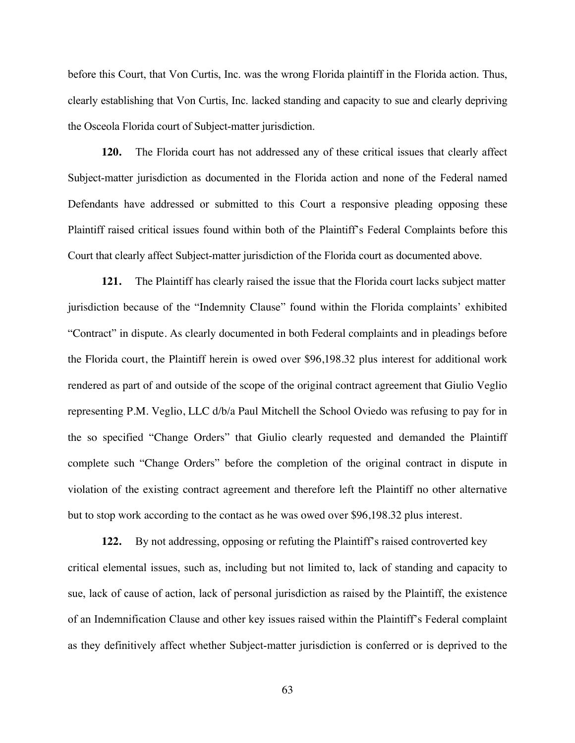before this Court, that Von Curtis, Inc. was the wrong Florida plaintiff in the Florida action. Thus, clearly establishing that Von Curtis, Inc. lacked standing and capacity to sue and clearly depriving the Osceola Florida court of Subject-matter jurisdiction.

**120.** The Florida court has not addressed any of these critical issues that clearly affect Subject-matter jurisdiction as documented in the Florida action and none of the Federal named Defendants have addressed or submitted to this Court a responsive pleading opposing these Plaintiff raised critical issues found within both of the Plaintiff's Federal Complaints before this Court that clearly affect Subject-matter jurisdiction of the Florida court as documented above.

**121.** The Plaintiff has clearly raised the issue that the Florida court lacks subject matter jurisdiction because of the "Indemnity Clause" found within the Florida complaints' exhibited "Contract" in dispute. As clearly documented in both Federal complaints and in pleadings before the Florida court, the Plaintiff herein is owed over \$96,198.32 plus interest for additional work rendered as part of and outside of the scope of the original contract agreement that Giulio Veglio representing P.M. Veglio, LLC d/b/a Paul Mitchell the School Oviedo was refusing to pay for in the so specified "Change Orders" that Giulio clearly requested and demanded the Plaintiff complete such "Change Orders" before the completion of the original contract in dispute in violation of the existing contract agreement and therefore left the Plaintiff no other alternative but to stop work according to the contact as he was owed over \$96,198.32 plus interest.

**122.** By not addressing, opposing or refuting the Plaintiff's raised controverted key critical elemental issues, such as, including but not limited to, lack of standing and capacity to sue, lack of cause of action, lack of personal jurisdiction as raised by the Plaintiff, the existence of an Indemnification Clause and other key issues raised within the Plaintiff's Federal complaint as they definitively affect whether Subject-matter jurisdiction is conferred or is deprived to the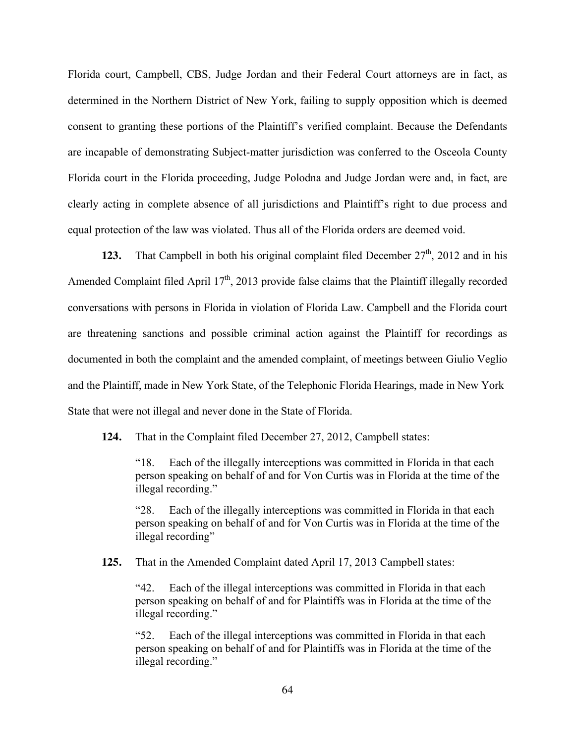Florida court, Campbell, CBS, Judge Jordan and their Federal Court attorneys are in fact, as determined in the Northern District of New York, failing to supply opposition which is deemed consent to granting these portions of the Plaintiff's verified complaint. Because the Defendants are incapable of demonstrating Subject-matter jurisdiction was conferred to the Osceola County Florida court in the Florida proceeding, Judge Polodna and Judge Jordan were and, in fact, are clearly acting in complete absence of all jurisdictions and Plaintiff's right to due process and equal protection of the law was violated. Thus all of the Florida orders are deemed void.

**123.** That Campbell in both his original complaint filed December  $27<sup>th</sup>$ , 2012 and in his Amended Complaint filed April  $17<sup>th</sup>$ , 2013 provide false claims that the Plaintiff illegally recorded conversations with persons in Florida in violation of Florida Law. Campbell and the Florida court are threatening sanctions and possible criminal action against the Plaintiff for recordings as documented in both the complaint and the amended complaint, of meetings between Giulio Veglio and the Plaintiff, made in New York State, of the Telephonic Florida Hearings, made in New York State that were not illegal and never done in the State of Florida.

**124.** That in the Complaint filed December 27, 2012, Campbell states:

"18. Each of the illegally interceptions was committed in Florida in that each person speaking on behalf of and for Von Curtis was in Florida at the time of the illegal recording."

"28. Each of the illegally interceptions was committed in Florida in that each person speaking on behalf of and for Von Curtis was in Florida at the time of the illegal recording"

**125.** That in the Amended Complaint dated April 17, 2013 Campbell states:

"42. Each of the illegal interceptions was committed in Florida in that each person speaking on behalf of and for Plaintiffs was in Florida at the time of the illegal recording."

"52. Each of the illegal interceptions was committed in Florida in that each person speaking on behalf of and for Plaintiffs was in Florida at the time of the illegal recording."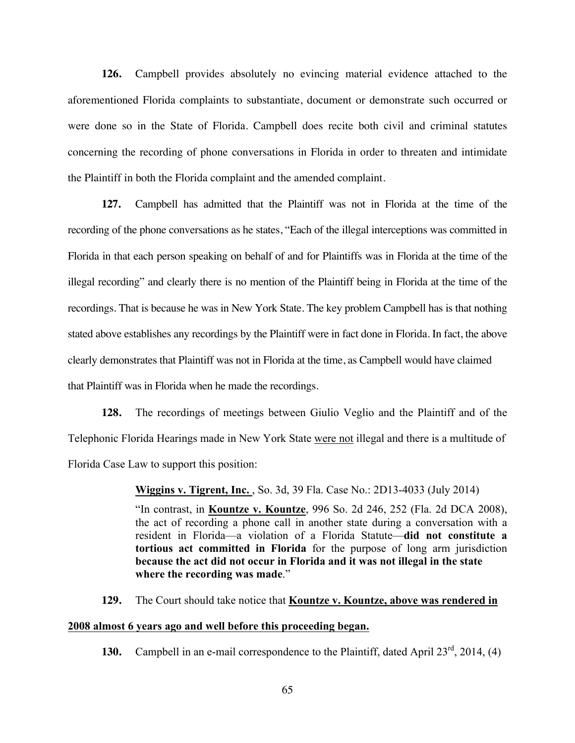**126.** Campbell provides absolutely no evincing material evidence attached to the aforementioned Florida complaints to substantiate, document or demonstrate such occurred or were done so in the State of Florida. Campbell does recite both civil and criminal statutes concerning the recording of phone conversations in Florida in order to threaten and intimidate the Plaintiff in both the Florida complaint and the amended complaint.

**127.** Campbell has admitted that the Plaintiff was not in Florida at the time of the recording of the phone conversations as he states, "Each of the illegal interceptions was committed in Florida in that each person speaking on behalf of and for Plaintiffs was in Florida at the time of the illegal recording" and clearly there is no mention of the Plaintiff being in Florida at the time of the recordings. That is because he was in New York State. The key problem Campbell has is that nothing stated above establishes any recordings by the Plaintiff were in fact done in Florida. In fact, the above clearly demonstrates that Plaintiff was not in Florida at the time, as Campbell would have claimed that Plaintiff was in Florida when he made the recordings.

**128.** The recordings of meetings between Giulio Veglio and the Plaintiff and of the Telephonic Florida Hearings made in New York State were not illegal and there is a multitude of Florida Case Law to support this position:

**Wiggins v. Tigrent, Inc.** , So. 3d, 39 Fla. Case No.: 2D13-4033 (July 2014)

"In contrast, in **Kountze v. Kountze**, 996 So. 2d 246, 252 (Fla. 2d DCA 2008), the act of recording a phone call in another state during a conversation with a resident in Florida—a violation of a Florida Statute—**did not constitute a tortious act committed in Florida** for the purpose of long arm jurisdiction **because the act did not occur in Florida and it was not illegal in the state where the recording was made**."

**129.** The Court should take notice that **Kountze v. Kountze, above was rendered in** 

#### **2008 almost 6 years ago and well before this proceeding began.**

**130.** Campbell in an e-mail correspondence to the Plaintiff, dated April 23<sup>rd</sup>, 2014, (4)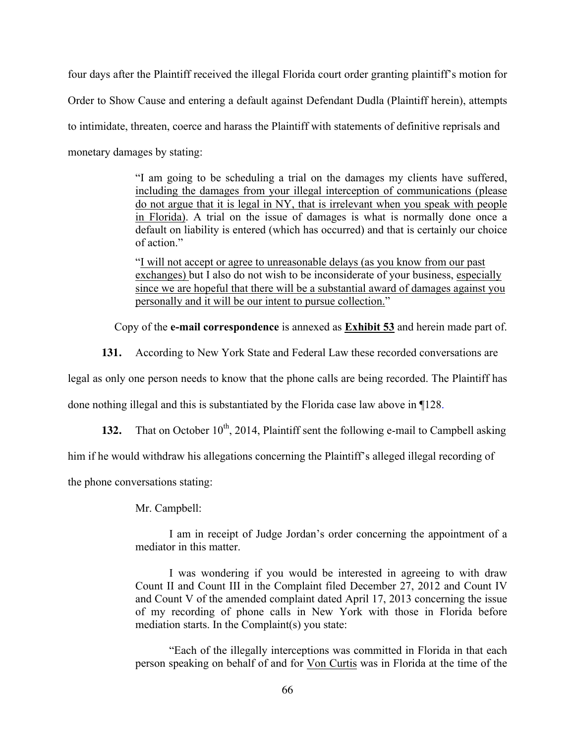four days after the Plaintiff received the illegal Florida court order granting plaintiff's motion for Order to Show Cause and entering a default against Defendant Dudla (Plaintiff herein), attempts to intimidate, threaten, coerce and harass the Plaintiff with statements of definitive reprisals and monetary damages by stating:

> "I am going to be scheduling a trial on the damages my clients have suffered, including the damages from your illegal interception of communications (please do not argue that it is legal in NY, that is irrelevant when you speak with people in Florida). A trial on the issue of damages is what is normally done once a default on liability is entered (which has occurred) and that is certainly our choice of action."

> "I will not accept or agree to unreasonable delays (as you know from our past exchanges) but I also do not wish to be inconsiderate of your business, especially since we are hopeful that there will be a substantial award of damages against you personally and it will be our intent to pursue collection."

Copy of the **e-mail correspondence** is annexed as **Exhibit 53** and herein made part of.

**131.** According to New York State and Federal Law these recorded conversations are

legal as only one person needs to know that the phone calls are being recorded. The Plaintiff has

done nothing illegal and this is substantiated by the Florida case law above in ¶128.

**132.** That on October  $10^{th}$ , 2014, Plaintiff sent the following e-mail to Campbell asking

him if he would withdraw his allegations concerning the Plaintiff's alleged illegal recording of

the phone conversations stating:

Mr. Campbell:

I am in receipt of Judge Jordan's order concerning the appointment of a mediator in this matter.

I was wondering if you would be interested in agreeing to with draw Count II and Count III in the Complaint filed December 27, 2012 and Count IV and Count V of the amended complaint dated April 17, 2013 concerning the issue of my recording of phone calls in New York with those in Florida before mediation starts. In the Complaint(s) you state:

"Each of the illegally interceptions was committed in Florida in that each person speaking on behalf of and for Von Curtis was in Florida at the time of the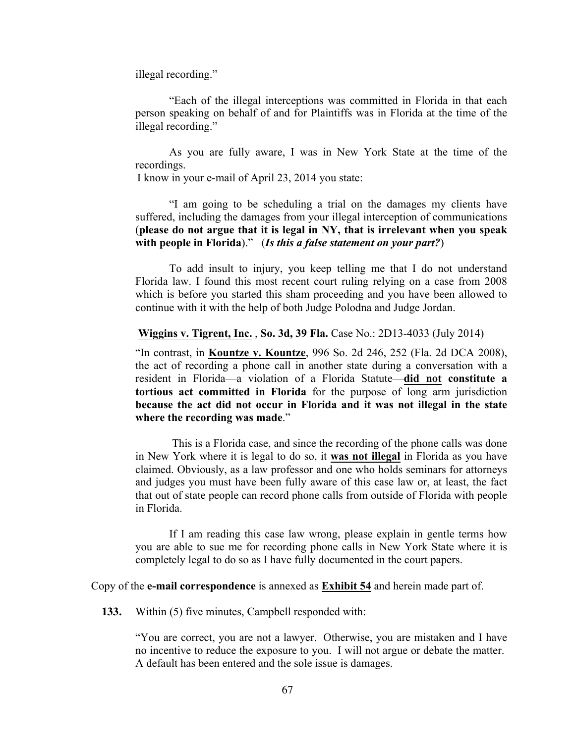illegal recording."

"Each of the illegal interceptions was committed in Florida in that each person speaking on behalf of and for Plaintiffs was in Florida at the time of the illegal recording."

As you are fully aware, I was in New York State at the time of the recordings.

I know in your e-mail of April 23, 2014 you state:

"I am going to be scheduling a trial on the damages my clients have suffered, including the damages from your illegal interception of communications (**please do not argue that it is legal in NY, that is irrelevant when you speak with people in Florida**)." (*Is this a false statement on your part?*)

To add insult to injury, you keep telling me that I do not understand Florida law. I found this most recent court ruling relying on a case from 2008 which is before you started this sham proceeding and you have been allowed to continue with it with the help of both Judge Polodna and Judge Jordan.

**Wiggins v. Tigrent, Inc.** , **So. 3d, 39 Fla.** Case No.: 2D13-4033 (July 2014)

"In contrast, in **Kountze v. Kountze**, 996 So. 2d 246, 252 (Fla. 2d DCA 2008), the act of recording a phone call in another state during a conversation with a resident in Florida—a violation of a Florida Statute—**did not constitute a tortious act committed in Florida** for the purpose of long arm jurisdiction **because the act did not occur in Florida and it was not illegal in the state where the recording was made**."

This is a Florida case, and since the recording of the phone calls was done in New York where it is legal to do so, it **was not illegal** in Florida as you have claimed. Obviously, as a law professor and one who holds seminars for attorneys and judges you must have been fully aware of this case law or, at least, the fact that out of state people can record phone calls from outside of Florida with people in Florida.

If I am reading this case law wrong, please explain in gentle terms how you are able to sue me for recording phone calls in New York State where it is completely legal to do so as I have fully documented in the court papers.

Copy of the **e-mail correspondence** is annexed as **Exhibit 54** and herein made part of.

**133.** Within (5) five minutes, Campbell responded with:

"You are correct, you are not a lawyer. Otherwise, you are mistaken and I have no incentive to reduce the exposure to you. I will not argue or debate the matter. A default has been entered and the sole issue is damages.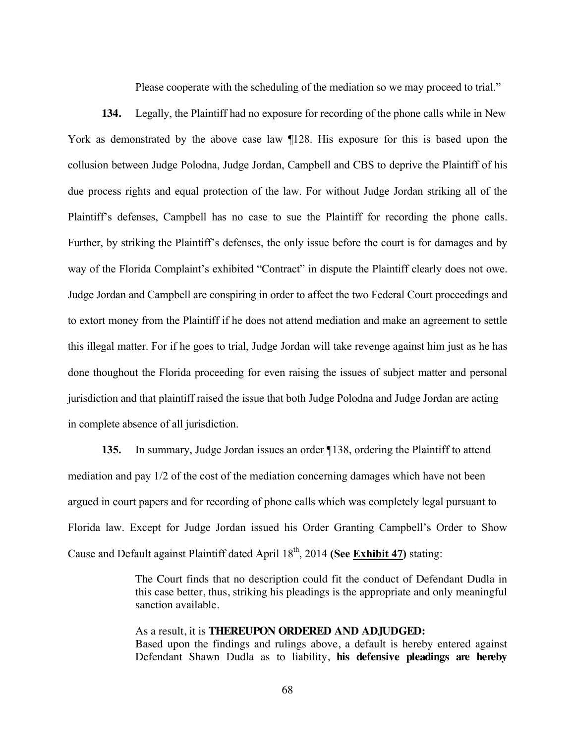Please cooperate with the scheduling of the mediation so we may proceed to trial."

**134.** Legally, the Plaintiff had no exposure for recording of the phone calls while in New York as demonstrated by the above case law ¶128. His exposure for this is based upon the collusion between Judge Polodna, Judge Jordan, Campbell and CBS to deprive the Plaintiff of his due process rights and equal protection of the law. For without Judge Jordan striking all of the Plaintiff's defenses, Campbell has no case to sue the Plaintiff for recording the phone calls. Further, by striking the Plaintiff's defenses, the only issue before the court is for damages and by way of the Florida Complaint's exhibited "Contract" in dispute the Plaintiff clearly does not owe. Judge Jordan and Campbell are conspiring in order to affect the two Federal Court proceedings and to extort money from the Plaintiff if he does not attend mediation and make an agreement to settle this illegal matter. For if he goes to trial, Judge Jordan will take revenge against him just as he has done thoughout the Florida proceeding for even raising the issues of subject matter and personal jurisdiction and that plaintiff raised the issue that both Judge Polodna and Judge Jordan are acting in complete absence of all jurisdiction.

**135.** In summary, Judge Jordan issues an order ¶138, ordering the Plaintiff to attend mediation and pay 1/2 of the cost of the mediation concerning damages which have not been argued in court papers and for recording of phone calls which was completely legal pursuant to Florida law. Except for Judge Jordan issued his Order Granting Campbell's Order to Show Cause and Default against Plaintiff dated April 18<sup>th</sup>, 2014 **(See Exhibit 47)** stating:

> The Court finds that no description could fit the conduct of Defendant Dudla in this case better, thus, striking his pleadings is the appropriate and only meaningful sanction available.

> As a result, it is **THEREUPON ORDERED AND ADJUDGED:** Based upon the findings and rulings above, a default is hereby entered against Defendant Shawn Dudla as to liability, **his defensive pleadings are hereby**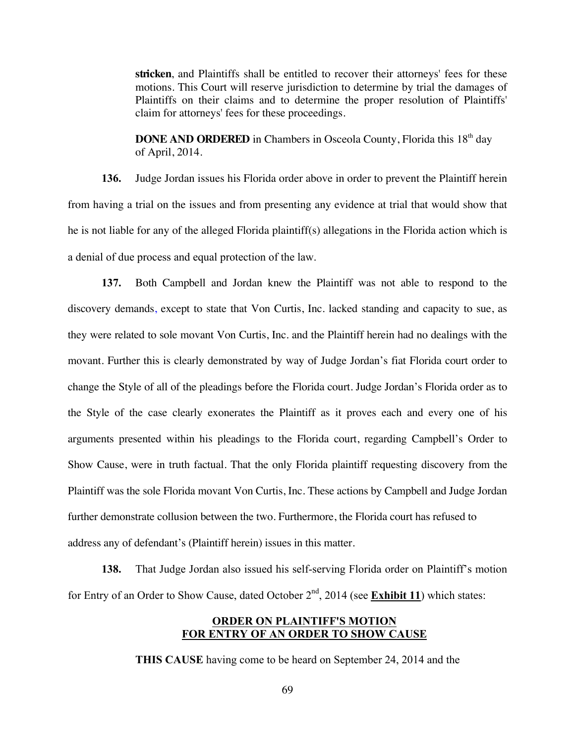**stricken**, and Plaintiffs shall be entitled to recover their attorneys' fees for these motions. This Court will reserve jurisdiction to determine by trial the damages of Plaintiffs on their claims and to determine the proper resolution of Plaintiffs' claim for attorneys' fees for these proceedings.

**DONE AND ORDERED** in Chambers in Osceola County, Florida this 18<sup>th</sup> day of April, 2014.

**136.** Judge Jordan issues his Florida order above in order to prevent the Plaintiff herein from having a trial on the issues and from presenting any evidence at trial that would show that he is not liable for any of the alleged Florida plaintiff(s) allegations in the Florida action which is a denial of due process and equal protection of the law.

**137.** Both Campbell and Jordan knew the Plaintiff was not able to respond to the discovery demands, except to state that Von Curtis, Inc. lacked standing and capacity to sue, as they were related to sole movant Von Curtis, Inc. and the Plaintiff herein had no dealings with the movant. Further this is clearly demonstrated by way of Judge Jordan's fiat Florida court order to change the Style of all of the pleadings before the Florida court. Judge Jordan's Florida order as to the Style of the case clearly exonerates the Plaintiff as it proves each and every one of his arguments presented within his pleadings to the Florida court, regarding Campbell's Order to Show Cause, were in truth factual. That the only Florida plaintiff requesting discovery from the Plaintiff was the sole Florida movant Von Curtis, Inc. These actions by Campbell and Judge Jordan further demonstrate collusion between the two. Furthermore, the Florida court has refused to address any of defendant's (Plaintiff herein) issues in this matter.

**138.** That Judge Jordan also issued his self-serving Florida order on Plaintiff's motion for Entry of an Order to Show Cause, dated October 2<sup>nd</sup>, 2014 (see **Exhibit 11**) which states:

#### **ORDER ON PLAINTIFF'S MOTION FOR ENTRY OF AN ORDER TO SHOW CAUSE**

**THIS CAUSE** having come to be heard on September 24, 2014 and the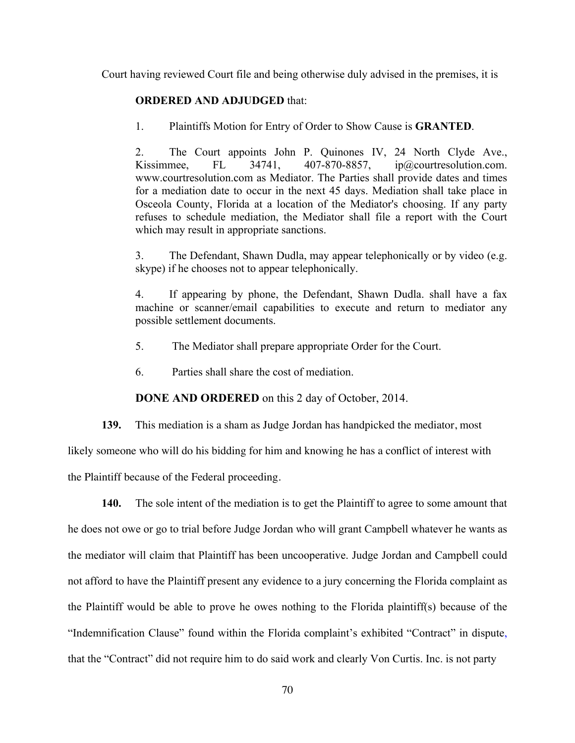Court having reviewed Court file and being otherwise duly advised in the premises, it is

## **ORDERED AND ADJUDGED** that:

1. Plaintiffs Motion for Entry of Order to Show Cause is **GRANTED**.

2. The Court appoints John P. Quinones IV, 24 North Clyde Ave., Kissimmee, FL 34741, 407-870-8857, ip@courtresolution.com. www.courtresolution.com as Mediator. The Parties shall provide dates and times for a mediation date to occur in the next 45 days. Mediation shall take place in Osceola County, Florida at a location of the Mediator's choosing. If any party refuses to schedule mediation, the Mediator shall file a report with the Court which may result in appropriate sanctions.

3. The Defendant, Shawn Dudla, may appear telephonically or by video (e.g. skype) if he chooses not to appear telephonically.

4. If appearing by phone, the Defendant, Shawn Dudla. shall have a fax machine or scanner/email capabilities to execute and return to mediator any possible settlement documents.

- 5. The Mediator shall prepare appropriate Order for the Court.
- 6. Parties shall share the cost of mediation.

**DONE AND ORDERED** on this 2 day of October, 2014.

**139.** This mediation is a sham as Judge Jordan has handpicked the mediator, most

likely someone who will do his bidding for him and knowing he has a conflict of interest with

the Plaintiff because of the Federal proceeding.

**140.** The sole intent of the mediation is to get the Plaintiff to agree to some amount that he does not owe or go to trial before Judge Jordan who will grant Campbell whatever he wants as the mediator will claim that Plaintiff has been uncooperative. Judge Jordan and Campbell could not afford to have the Plaintiff present any evidence to a jury concerning the Florida complaint as the Plaintiff would be able to prove he owes nothing to the Florida plaintiff(s) because of the "Indemnification Clause" found within the Florida complaint's exhibited "Contract" in dispute, that the "Contract" did not require him to do said work and clearly Von Curtis. Inc. is not party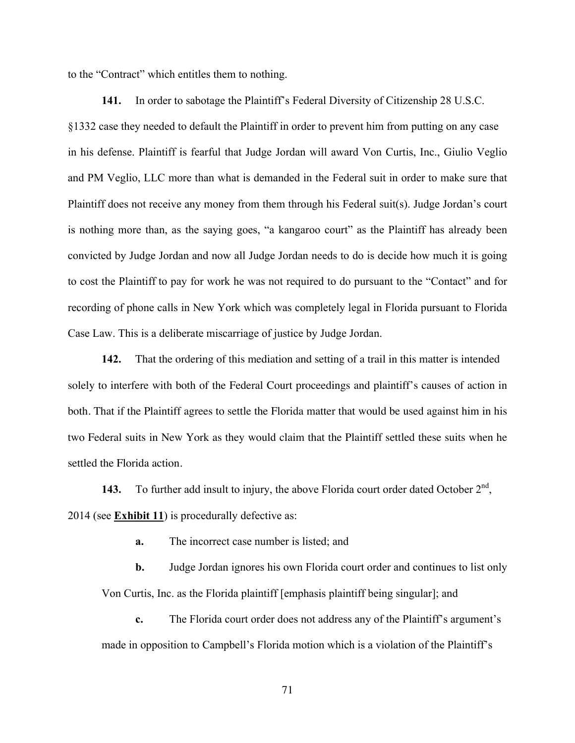to the "Contract" which entitles them to nothing.

**141.** In order to sabotage the Plaintiff's Federal Diversity of Citizenship 28 U.S.C. §1332 case they needed to default the Plaintiff in order to prevent him from putting on any case in his defense. Plaintiff is fearful that Judge Jordan will award Von Curtis, Inc., Giulio Veglio and PM Veglio, LLC more than what is demanded in the Federal suit in order to make sure that Plaintiff does not receive any money from them through his Federal suit(s). Judge Jordan's court is nothing more than, as the saying goes, "a kangaroo court" as the Plaintiff has already been convicted by Judge Jordan and now all Judge Jordan needs to do is decide how much it is going to cost the Plaintiff to pay for work he was not required to do pursuant to the "Contact" and for recording of phone calls in New York which was completely legal in Florida pursuant to Florida Case Law. This is a deliberate miscarriage of justice by Judge Jordan.

**142.** That the ordering of this mediation and setting of a trail in this matter is intended solely to interfere with both of the Federal Court proceedings and plaintiff's causes of action in both. That if the Plaintiff agrees to settle the Florida matter that would be used against him in his two Federal suits in New York as they would claim that the Plaintiff settled these suits when he settled the Florida action.

**143.** To further add insult to injury, the above Florida court order dated October  $2<sup>nd</sup>$ , 2014 (see **Exhibit 11**) is procedurally defective as:

**a.** The incorrect case number is listed; and

**b.** Judge Jordan ignores his own Florida court order and continues to list only Von Curtis, Inc. as the Florida plaintiff [emphasis plaintiff being singular]; and

**c.** The Florida court order does not address any of the Plaintiff's argument's made in opposition to Campbell's Florida motion which is a violation of the Plaintiff's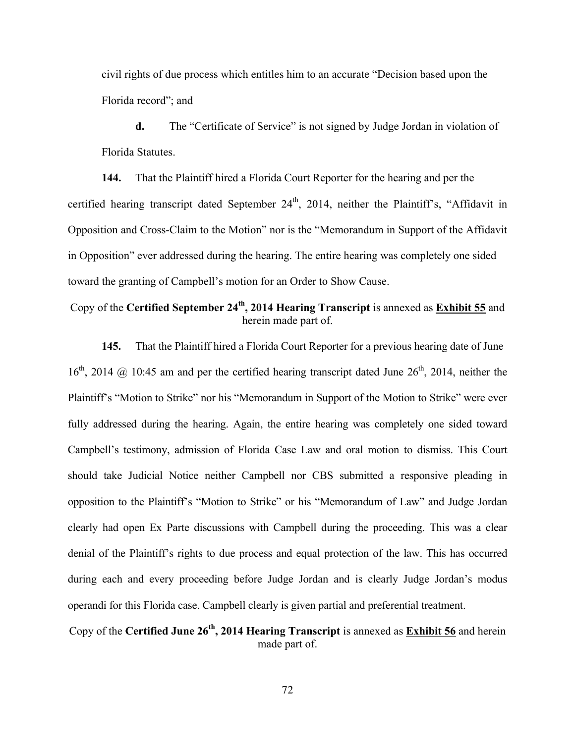civil rights of due process which entitles him to an accurate "Decision based upon the Florida record"; and

**d.** The "Certificate of Service" is not signed by Judge Jordan in violation of Florida Statutes.

**144.** That the Plaintiff hired a Florida Court Reporter for the hearing and per the certified hearing transcript dated September  $24<sup>th</sup>$ ,  $2014$ , neither the Plaintiff's, "Affidavit in Opposition and Cross-Claim to the Motion" nor is the "Memorandum in Support of the Affidavit in Opposition" ever addressed during the hearing. The entire hearing was completely one sided toward the granting of Campbell's motion for an Order to Show Cause.

# Copy of the **Certified September 24th, 2014 Hearing Transcript** is annexed as **Exhibit 55** and herein made part of.

**145.** That the Plaintiff hired a Florida Court Reporter for a previous hearing date of June  $16<sup>th</sup>$ , 2014  $\omega$  10:45 am and per the certified hearing transcript dated June  $26<sup>th</sup>$ , 2014, neither the Plaintiff's "Motion to Strike" nor his "Memorandum in Support of the Motion to Strike" were ever fully addressed during the hearing. Again, the entire hearing was completely one sided toward Campbell's testimony, admission of Florida Case Law and oral motion to dismiss. This Court should take Judicial Notice neither Campbell nor CBS submitted a responsive pleading in opposition to the Plaintiff's "Motion to Strike" or his "Memorandum of Law" and Judge Jordan clearly had open Ex Parte discussions with Campbell during the proceeding. This was a clear denial of the Plaintiff's rights to due process and equal protection of the law. This has occurred during each and every proceeding before Judge Jordan and is clearly Judge Jordan's modus operandi for this Florida case. Campbell clearly is given partial and preferential treatment.

# Copy of the **Certified June 26th, 2014 Hearing Transcript** is annexed as **Exhibit 56** and herein made part of.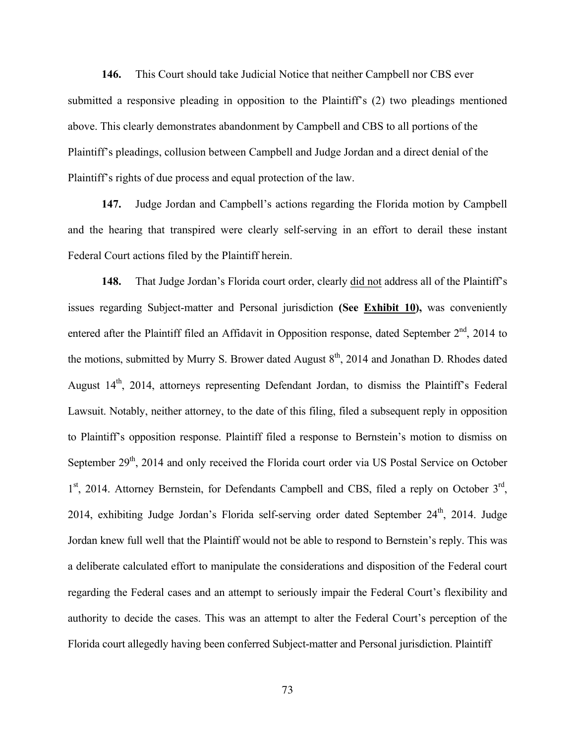**146.** This Court should take Judicial Notice that neither Campbell nor CBS ever submitted a responsive pleading in opposition to the Plaintiff's (2) two pleadings mentioned above. This clearly demonstrates abandonment by Campbell and CBS to all portions of the Plaintiff's pleadings, collusion between Campbell and Judge Jordan and a direct denial of the Plaintiff's rights of due process and equal protection of the law.

**147.** Judge Jordan and Campbell's actions regarding the Florida motion by Campbell and the hearing that transpired were clearly self-serving in an effort to derail these instant Federal Court actions filed by the Plaintiff herein.

**148.** That Judge Jordan's Florida court order, clearly did not address all of the Plaintiff's issues regarding Subject-matter and Personal jurisdiction **(See Exhibit 10),** was conveniently entered after the Plaintiff filed an Affidavit in Opposition response, dated September  $2<sup>nd</sup>$ , 2014 to the motions, submitted by Murry S. Brower dated August  $8<sup>th</sup>$ , 2014 and Jonathan D. Rhodes dated August 14<sup>th</sup>, 2014, attorneys representing Defendant Jordan, to dismiss the Plaintiff's Federal Lawsuit. Notably, neither attorney, to the date of this filing, filed a subsequent reply in opposition to Plaintiff's opposition response. Plaintiff filed a response to Bernstein's motion to dismiss on September  $29<sup>th</sup>$ , 2014 and only received the Florida court order via US Postal Service on October  $1<sup>st</sup>$ , 2014. Attorney Bernstein, for Defendants Campbell and CBS, filed a reply on October  $3<sup>rd</sup>$ , 2014, exhibiting Judge Jordan's Florida self-serving order dated September  $24<sup>th</sup>$ , 2014. Judge Jordan knew full well that the Plaintiff would not be able to respond to Bernstein's reply. This was a deliberate calculated effort to manipulate the considerations and disposition of the Federal court regarding the Federal cases and an attempt to seriously impair the Federal Court's flexibility and authority to decide the cases. This was an attempt to alter the Federal Court's perception of the Florida court allegedly having been conferred Subject-matter and Personal jurisdiction. Plaintiff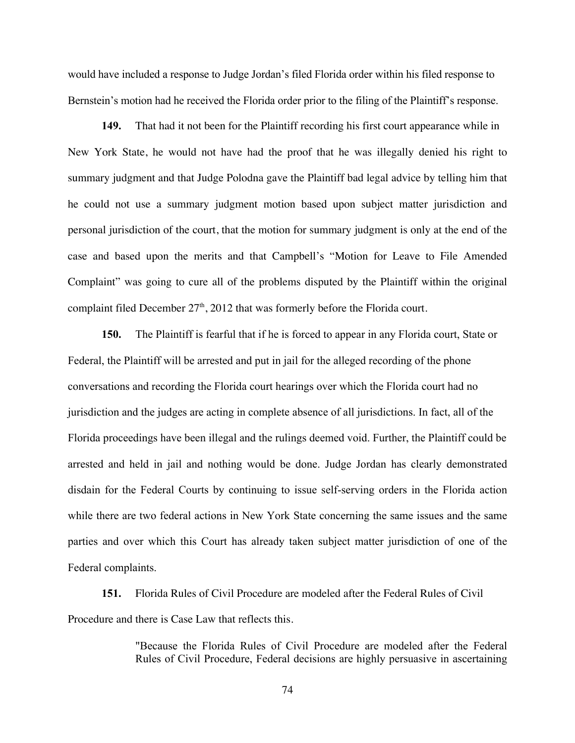would have included a response to Judge Jordan's filed Florida order within his filed response to Bernstein's motion had he received the Florida order prior to the filing of the Plaintiff's response.

**149.** That had it not been for the Plaintiff recording his first court appearance while in New York State, he would not have had the proof that he was illegally denied his right to summary judgment and that Judge Polodna gave the Plaintiff bad legal advice by telling him that he could not use a summary judgment motion based upon subject matter jurisdiction and personal jurisdiction of the court, that the motion for summary judgment is only at the end of the case and based upon the merits and that Campbell's "Motion for Leave to File Amended Complaint" was going to cure all of the problems disputed by the Plaintiff within the original complaint filed December  $27<sup>th</sup>$ , 2012 that was formerly before the Florida court.

**150.** The Plaintiff is fearful that if he is forced to appear in any Florida court, State or Federal, the Plaintiff will be arrested and put in jail for the alleged recording of the phone conversations and recording the Florida court hearings over which the Florida court had no jurisdiction and the judges are acting in complete absence of all jurisdictions. In fact, all of the Florida proceedings have been illegal and the rulings deemed void. Further, the Plaintiff could be arrested and held in jail and nothing would be done. Judge Jordan has clearly demonstrated disdain for the Federal Courts by continuing to issue self-serving orders in the Florida action while there are two federal actions in New York State concerning the same issues and the same parties and over which this Court has already taken subject matter jurisdiction of one of the Federal complaints.

**151.** Florida Rules of Civil Procedure are modeled after the Federal Rules of Civil Procedure and there is Case Law that reflects this.

> "Because the Florida Rules of Civil Procedure are modeled after the Federal Rules of Civil Procedure, Federal decisions are highly persuasive in ascertaining

> > 74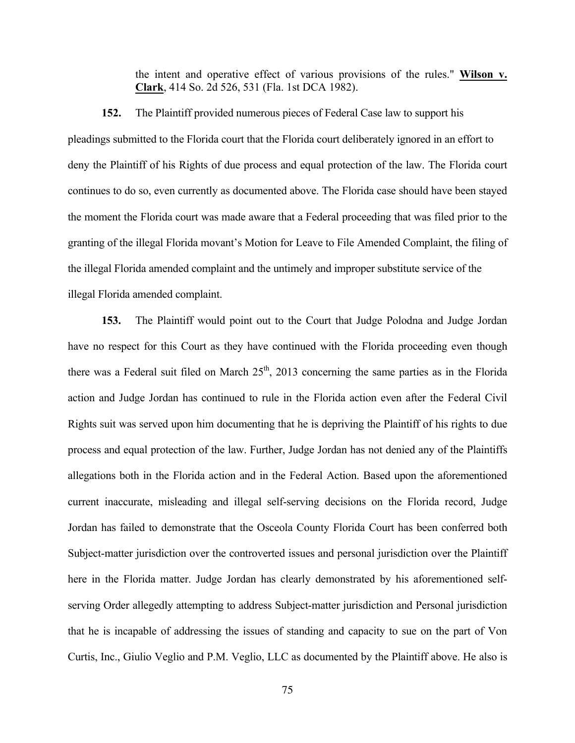the intent and operative effect of various provisions of the rules." **Wilson v. Clark**, 414 So. 2d 526, 531 (Fla. 1st DCA 1982).

## **152.** The Plaintiff provided numerous pieces of Federal Case law to support his

pleadings submitted to the Florida court that the Florida court deliberately ignored in an effort to deny the Plaintiff of his Rights of due process and equal protection of the law. The Florida court continues to do so, even currently as documented above. The Florida case should have been stayed the moment the Florida court was made aware that a Federal proceeding that was filed prior to the granting of the illegal Florida movant's Motion for Leave to File Amended Complaint, the filing of the illegal Florida amended complaint and the untimely and improper substitute service of the illegal Florida amended complaint.

**153.** The Plaintiff would point out to the Court that Judge Polodna and Judge Jordan have no respect for this Court as they have continued with the Florida proceeding even though there was a Federal suit filed on March  $25<sup>th</sup>$ , 2013 concerning the same parties as in the Florida action and Judge Jordan has continued to rule in the Florida action even after the Federal Civil Rights suit was served upon him documenting that he is depriving the Plaintiff of his rights to due process and equal protection of the law. Further, Judge Jordan has not denied any of the Plaintiffs allegations both in the Florida action and in the Federal Action. Based upon the aforementioned current inaccurate, misleading and illegal self-serving decisions on the Florida record, Judge Jordan has failed to demonstrate that the Osceola County Florida Court has been conferred both Subject-matter jurisdiction over the controverted issues and personal jurisdiction over the Plaintiff here in the Florida matter. Judge Jordan has clearly demonstrated by his aforementioned selfserving Order allegedly attempting to address Subject-matter jurisdiction and Personal jurisdiction that he is incapable of addressing the issues of standing and capacity to sue on the part of Von Curtis, Inc., Giulio Veglio and P.M. Veglio, LLC as documented by the Plaintiff above. He also is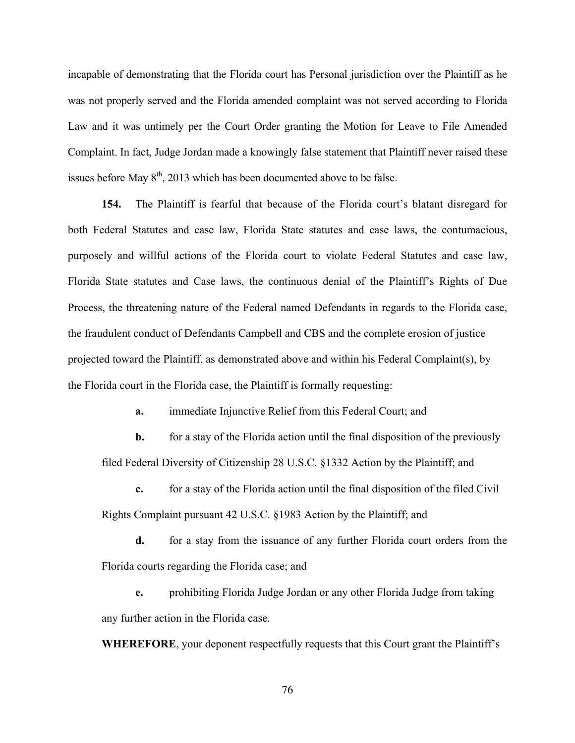incapable of demonstrating that the Florida court has Personal jurisdiction over the Plaintiff as he was not properly served and the Florida amended complaint was not served according to Florida Law and it was untimely per the Court Order granting the Motion for Leave to File Amended Complaint. In fact, Judge Jordan made a knowingly false statement that Plaintiff never raised these issues before May  $8<sup>th</sup>$ , 2013 which has been documented above to be false.

**154.** The Plaintiff is fearful that because of the Florida court's blatant disregard for both Federal Statutes and case law, Florida State statutes and case laws, the contumacious, purposely and willful actions of the Florida court to violate Federal Statutes and case law, Florida State statutes and Case laws, the continuous denial of the Plaintiff's Rights of Due Process, the threatening nature of the Federal named Defendants in regards to the Florida case, the fraudulent conduct of Defendants Campbell and CBS and the complete erosion of justice projected toward the Plaintiff, as demonstrated above and within his Federal Complaint(s), by the Florida court in the Florida case, the Plaintiff is formally requesting:

**a.** immediate Injunctive Relief from this Federal Court; and

**b.** for a stay of the Florida action until the final disposition of the previously filed Federal Diversity of Citizenship 28 U.S.C. §1332 Action by the Plaintiff; and

**c.** for a stay of the Florida action until the final disposition of the filed Civil Rights Complaint pursuant 42 U.S.C. §1983 Action by the Plaintiff; and

**d.** for a stay from the issuance of any further Florida court orders from the Florida courts regarding the Florida case; and

**e.** prohibiting Florida Judge Jordan or any other Florida Judge from taking any further action in the Florida case.

**WHEREFORE**, your deponent respectfully requests that this Court grant the Plaintiff's

76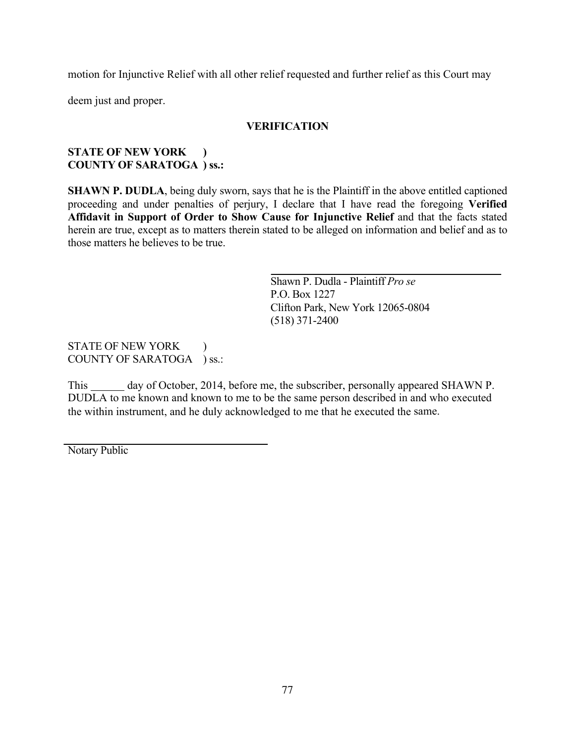motion for Injunctive Relief with all other relief requested and further relief as this Court may

deem just and proper.

## **VERIFICATION**

## **STATE OF NEW YORK ) COUNTY OF SARATOGA ) ss.:**

**SHAWN P. DUDLA**, being duly sworn, says that he is the Plaintiff in the above entitled captioned proceeding and under penalties of perjury, I declare that I have read the foregoing **Verified Affidavit in Support of Order to Show Cause for Injunctive Relief** and that the facts stated herein are true, except as to matters therein stated to be alleged on information and belief and as to those matters he believes to be true.

> Shawn P. Dudla - Plaintiff *Pro se* P.O. Box 1227 Clifton Park, New York 12065-0804 (518) 371-2400

STATE OF NEW YORK ) COUNTY OF SARATOGA ) ss.:

This day of October, 2014, before me, the subscriber, personally appeared SHAWN P. DUDLA to me known and known to me to be the same person described in and who executed the within instrument, and he duly acknowledged to me that he executed the same.

Notary Public